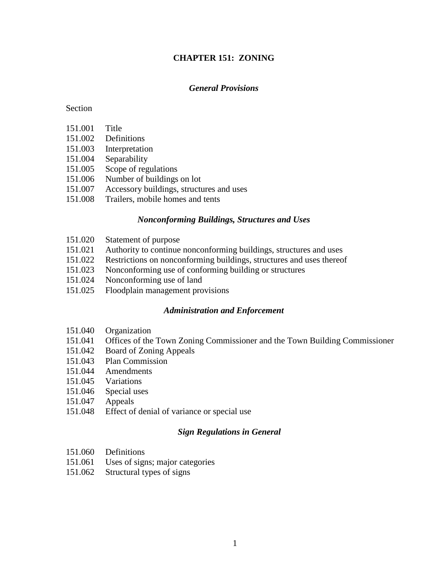## **CHAPTER 151: ZONING**

## *General Provisions*

#### Section

- 151.001 Title
- 151.002 Definitions
- 151.003 Interpretation
- 151.004 Separability
- 151.005 Scope of regulations
- 151.006 Number of buildings on lot
- 151.007 Accessory buildings, structures and uses
- 151.008 Trailers, mobile homes and tents

#### *Nonconforming Buildings, Structures and Uses*

- 151.020 Statement of purpose
- 151.021 Authority to continue nonconforming buildings, structures and uses
- 151.022 Restrictions on nonconforming buildings, structures and uses thereof
- 151.023 Nonconforming use of conforming building or structures
- 151.024 Nonconforming use of land
- 151.025 Floodplain management provisions

#### *Administration and Enforcement*

- 151.040 Organization
- 151.041 Offices of the Town Zoning Commissioner and the Town Building Commissioner
- 151.042 Board of Zoning Appeals
- 151.043 Plan Commission
- 151.044 Amendments
- 151.045 Variations
- 151.046 Special uses
- 151.047 Appeals
- 151.048 Effect of denial of variance or special use

## *Sign Regulations in General*

- 151.060 Definitions
- 151.061 Uses of signs; major categories
- 151.062 Structural types of signs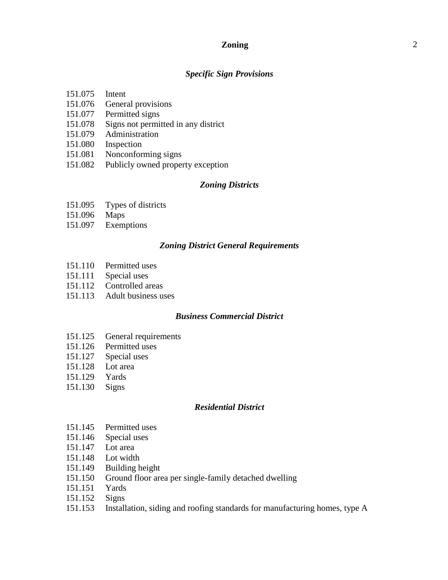## **Zoning** 2

#### *Specific Sign Provisions*

- 151.075 Intent
- 151.076 General provisions
- 151.077 Permitted signs
- 151.078 Signs not permitted in any district
- 151.079 Administration
- 151.080 Inspection
- 151.081 Nonconforming signs
- 151.082 Publicly owned property exception

### *Zoning Districts*

- 151.095 Types of districts
- 151.096 Maps
- 151.097 Exemptions

#### *Zoning District General Requirements*

- 151.110 Permitted uses
- 151.111 Special uses
- 151.112 Controlled areas
- 151.113 Adult business uses

#### *Business Commercial District*

- 151.125 General requirements
- 151.126 Permitted uses
- 151.127 Special uses
- 151.128 Lot area
- 151.129 Yards
- 151.130 Signs

#### *Residential District*

- 151.145 Permitted uses
- 151.146 Special uses
- 151.147 Lot area
- 151.148 Lot width
- 151.149 Building height
- 151.150 Ground floor area per single-family detached dwelling
- 151.151 Yards
- 151.152 Signs
- 151.153 Installation, siding and roofing standards for manufacturing homes, type A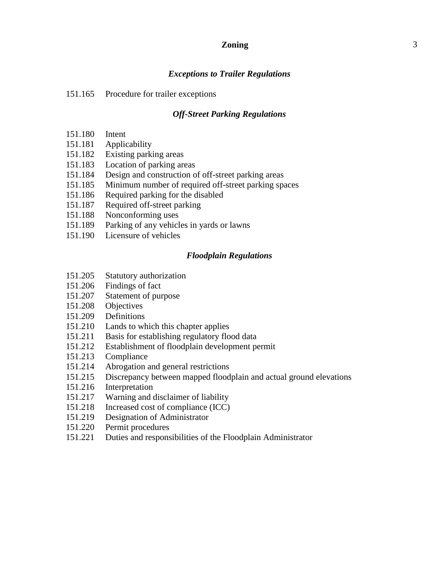## **Zoning** 3

#### *Exceptions to Trailer Regulations*

#### 151.165 Procedure for trailer exceptions

### *Off-Street Parking Regulations*

- 151.180 Intent
- 151.181 Applicability
- 151.182 Existing parking areas
- 151.183 Location of parking areas
- 151.184 Design and construction of off-street parking areas
- 151.185 Minimum number of required off-street parking spaces
- 151.186 Required parking for the disabled
- 151.187 Required off-street parking
- 151.188 Nonconforming uses
- 151.189 Parking of any vehicles in yards or lawns
- 151.190 Licensure of vehicles

#### *Floodplain Regulations*

- 151.205 Statutory authorization
- 151.206 Findings of fact
- 151.207 Statement of purpose
- 151.208 Objectives
- 151.209 Definitions
- 151.210 Lands to which this chapter applies
- 151.211 Basis for establishing regulatory flood data
- 151.212 Establishment of floodplain development permit
- 151.213 Compliance
- 151.214 Abrogation and general restrictions
- 151.215 Discrepancy between mapped floodplain and actual ground elevations
- 151.216 Interpretation
- 151.217 Warning and disclaimer of liability
- 151.218 Increased cost of compliance (ICC)
- 151.219 Designation of Administrator
- 151.220 Permit procedures
- 151.221 Duties and responsibilities of the Floodplain Administrator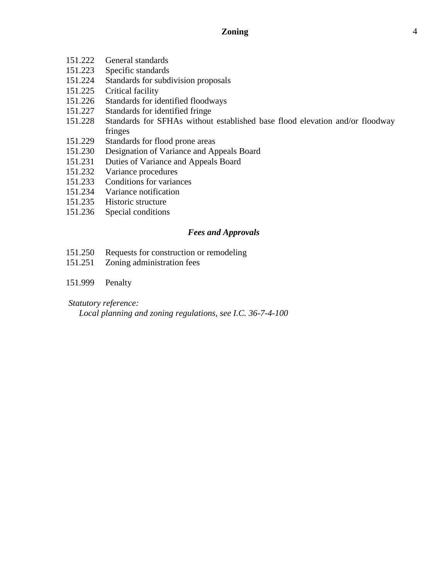- 151.222 General standards
- 151.223 Specific standards
- 151.224 Standards for subdivision proposals<br>151.225 Critical facility
- Critical facility
- 151.226 Standards for identified floodways
- 151.227 Standards for identified fringe
- 151.228 Standards for SFHAs without established base flood elevation and/or floodway fringes
- 151.229 Standards for flood prone areas
- 151.230 Designation of Variance and Appeals Board
- 151.231 Duties of Variance and Appeals Board
- 151.232 Variance procedures
- 151.233 Conditions for variances
- 151.234 Variance notification
- 151.235 Historic structure
- 151.236 Special conditions

## *Fees and Approvals*

- 151.250 Requests for construction or remodeling
- 151.251 Zoning administration fees
- 151.999 Penalty

## *Statutory reference:*

*Local planning and zoning regulations, see I.C. 36-7-4-100*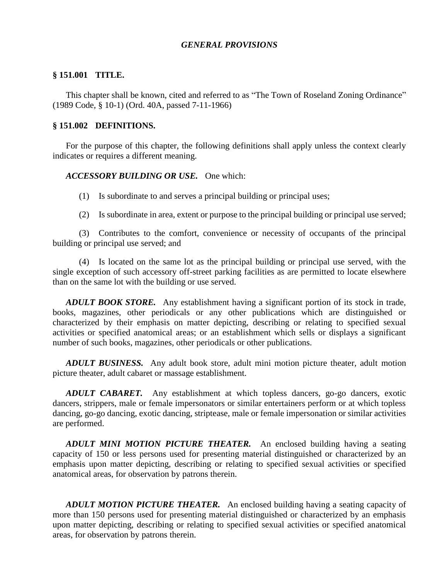## *GENERAL PROVISIONS*

#### **§ 151.001 TITLE.**

This chapter shall be known, cited and referred to as "The Town of Roseland Zoning Ordinance" (1989 Code, § 10-1) (Ord. 40A, passed 7-11-1966)

#### **§ 151.002 DEFINITIONS.**

For the purpose of this chapter, the following definitions shall apply unless the context clearly indicates or requires a different meaning.

#### *ACCESSORY BUILDING OR USE.* One which:

- (1) Is subordinate to and serves a principal building or principal uses;
- (2) Is subordinate in area, extent or purpose to the principal building or principal use served;

(3) Contributes to the comfort, convenience or necessity of occupants of the principal building or principal use served; and

(4) Is located on the same lot as the principal building or principal use served, with the single exception of such accessory off-street parking facilities as are permitted to locate elsewhere than on the same lot with the building or use served.

*ADULT BOOK STORE.* Any establishment having a significant portion of its stock in trade, books, magazines, other periodicals or any other publications which are distinguished or characterized by their emphasis on matter depicting, describing or relating to specified sexual activities or specified anatomical areas; or an establishment which sells or displays a significant number of such books, magazines, other periodicals or other publications.

*ADULT BUSINESS.* Any adult book store, adult mini motion picture theater, adult motion picture theater, adult cabaret or massage establishment.

*ADULT CABARET.* Any establishment at which topless dancers, go-go dancers, exotic dancers, strippers, male or female impersonators or similar entertainers perform or at which topless dancing, go-go dancing, exotic dancing, striptease, male or female impersonation or similar activities are performed.

*ADULT MINI MOTION PICTURE THEATER.* An enclosed building having a seating capacity of 150 or less persons used for presenting material distinguished or characterized by an emphasis upon matter depicting, describing or relating to specified sexual activities or specified anatomical areas, for observation by patrons therein.

*ADULT MOTION PICTURE THEATER.* An enclosed building having a seating capacity of more than 150 persons used for presenting material distinguished or characterized by an emphasis upon matter depicting, describing or relating to specified sexual activities or specified anatomical areas, for observation by patrons therein.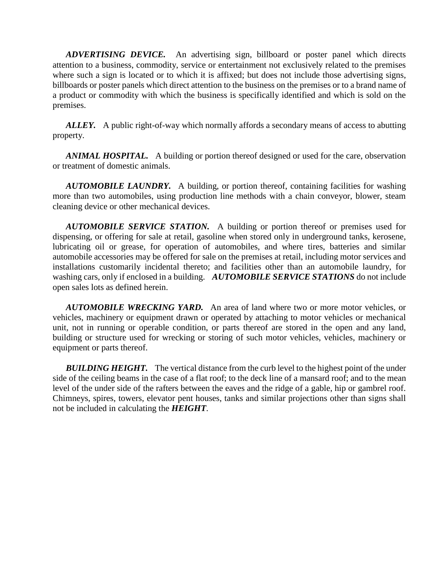*ADVERTISING DEVICE.* An advertising sign, billboard or poster panel which directs attention to a business, commodity, service or entertainment not exclusively related to the premises where such a sign is located or to which it is affixed; but does not include those advertising signs, billboards or poster panels which direct attention to the business on the premises or to a brand name of a product or commodity with which the business is specifically identified and which is sold on the premises.

*ALLEY.* A public right-of-way which normally affords a secondary means of access to abutting property.

*ANIMAL HOSPITAL.* A building or portion thereof designed or used for the care, observation or treatment of domestic animals.

*AUTOMOBILE LAUNDRY.* A building, or portion thereof, containing facilities for washing more than two automobiles, using production line methods with a chain conveyor, blower, steam cleaning device or other mechanical devices.

*AUTOMOBILE SERVICE STATION.* A building or portion thereof or premises used for dispensing, or offering for sale at retail, gasoline when stored only in underground tanks, kerosene, lubricating oil or grease, for operation of automobiles, and where tires, batteries and similar automobile accessories may be offered for sale on the premises at retail, including motor services and installations customarily incidental thereto; and facilities other than an automobile laundry, for washing cars, only if enclosed in a building. *AUTOMOBILE SERVICE STATIONS* do not include open sales lots as defined herein.

*AUTOMOBILE WRECKING YARD.* An area of land where two or more motor vehicles, or vehicles, machinery or equipment drawn or operated by attaching to motor vehicles or mechanical unit, not in running or operable condition, or parts thereof are stored in the open and any land, building or structure used for wrecking or storing of such motor vehicles, vehicles, machinery or equipment or parts thereof.

**BUILDING HEIGHT.** The vertical distance from the curb level to the highest point of the under side of the ceiling beams in the case of a flat roof; to the deck line of a mansard roof; and to the mean level of the under side of the rafters between the eaves and the ridge of a gable, hip or gambrel roof. Chimneys, spires, towers, elevator pent houses, tanks and similar projections other than signs shall not be included in calculating the *HEIGHT*.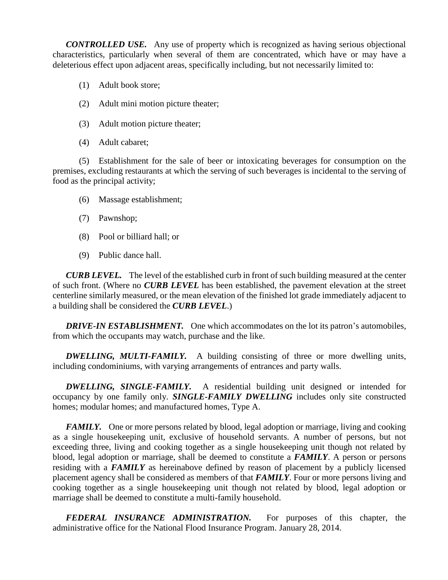*CONTROLLED USE.* Any use of property which is recognized as having serious objectional characteristics, particularly when several of them are concentrated, which have or may have a deleterious effect upon adjacent areas, specifically including, but not necessarily limited to:

- (1) Adult book store;
- (2) Adult mini motion picture theater;
- (3) Adult motion picture theater;
- (4) Adult cabaret;

(5) Establishment for the sale of beer or intoxicating beverages for consumption on the premises, excluding restaurants at which the serving of such beverages is incidental to the serving of food as the principal activity;

- (6) Massage establishment;
- (7) Pawnshop;
- (8) Pool or billiard hall; or
- (9) Public dance hall.

*CURB LEVEL.* The level of the established curb in front of such building measured at the center of such front. (Where no *CURB LEVEL* has been established, the pavement elevation at the street centerline similarly measured, or the mean elevation of the finished lot grade immediately adjacent to a building shall be considered the *CURB LEVEL*.)

**DRIVE-IN ESTABLISHMENT.** One which accommodates on the lot its patron's automobiles, from which the occupants may watch, purchase and the like.

*DWELLING, MULTI-FAMILY.* A building consisting of three or more dwelling units, including condominiums, with varying arrangements of entrances and party walls.

*DWELLING, SINGLE-FAMILY.* A residential building unit designed or intended for occupancy by one family only. *SINGLE-FAMILY DWELLING* includes only site constructed homes; modular homes; and manufactured homes, Type A.

*FAMILY.* One or more persons related by blood, legal adoption or marriage, living and cooking as a single housekeeping unit, exclusive of household servants. A number of persons, but not exceeding three, living and cooking together as a single housekeeping unit though not related by blood, legal adoption or marriage, shall be deemed to constitute a *FAMILY*. A person or persons residing with a *FAMILY* as hereinabove defined by reason of placement by a publicly licensed placement agency shall be considered as members of that *FAMILY*. Four or more persons living and cooking together as a single housekeeping unit though not related by blood, legal adoption or marriage shall be deemed to constitute a multi-family household.

*FEDERAL INSURANCE ADMINISTRATION.* For purposes of this chapter, the administrative office for the National Flood Insurance Program. January 28, 2014.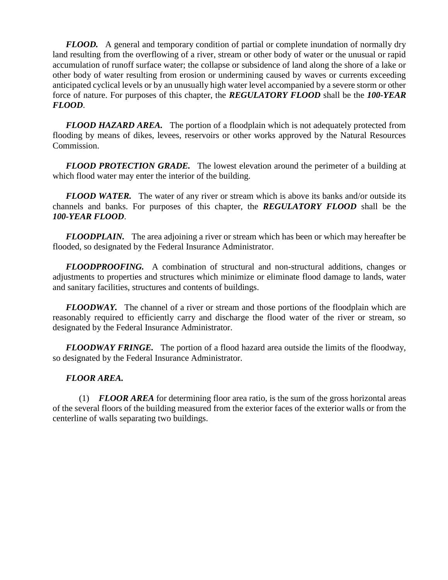*FLOOD.* A general and temporary condition of partial or complete inundation of normally dry land resulting from the overflowing of a river, stream or other body of water or the unusual or rapid accumulation of runoff surface water; the collapse or subsidence of land along the shore of a lake or other body of water resulting from erosion or undermining caused by waves or currents exceeding anticipated cyclical levels or by an unusually high water level accompanied by a severe storm or other force of nature. For purposes of this chapter, the *REGULATORY FLOOD* shall be the *100-YEAR FLOOD*.

*FLOOD HAZARD AREA.* The portion of a floodplain which is not adequately protected from flooding by means of dikes, levees, reservoirs or other works approved by the Natural Resources Commission.

*FLOOD PROTECTION GRADE.* The lowest elevation around the perimeter of a building at which flood water may enter the interior of the building.

*FLOOD WATER.* The water of any river or stream which is above its banks and/or outside its channels and banks. For purposes of this chapter, the *REGULATORY FLOOD* shall be the *100-YEAR FLOOD*.

*FLOODPLAIN.* The area adjoining a river or stream which has been or which may hereafter be flooded, so designated by the Federal Insurance Administrator.

*FLOODPROOFING.* A combination of structural and non-structural additions, changes or adjustments to properties and structures which minimize or eliminate flood damage to lands, water and sanitary facilities, structures and contents of buildings.

*FLOODWAY.* The channel of a river or stream and those portions of the floodplain which are reasonably required to efficiently carry and discharge the flood water of the river or stream, so designated by the Federal Insurance Administrator.

*FLOODWAY FRINGE.* The portion of a flood hazard area outside the limits of the floodway, so designated by the Federal Insurance Administrator.

## *FLOOR AREA.*

(1) *FLOOR AREA* for determining floor area ratio, is the sum of the gross horizontal areas of the several floors of the building measured from the exterior faces of the exterior walls or from the centerline of walls separating two buildings.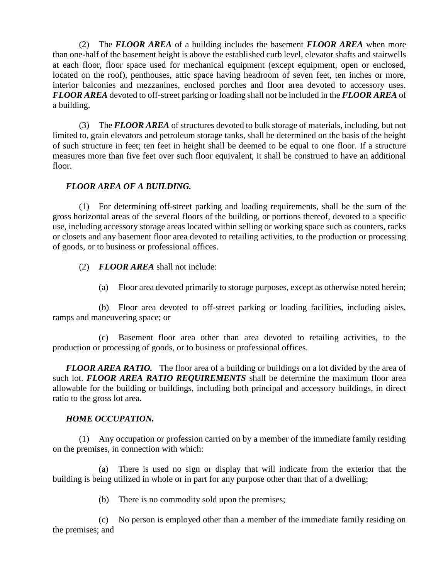(2) The *FLOOR AREA* of a building includes the basement *FLOOR AREA* when more than one-half of the basement height is above the established curb level, elevator shafts and stairwells at each floor, floor space used for mechanical equipment (except equipment, open or enclosed, located on the roof), penthouses, attic space having headroom of seven feet, ten inches or more, interior balconies and mezzanines, enclosed porches and floor area devoted to accessory uses. *FLOOR AREA* devoted to off-street parking or loading shall not be included in the *FLOOR AREA* of a building.

(3) The *FLOOR AREA* of structures devoted to bulk storage of materials, including, but not limited to, grain elevators and petroleum storage tanks, shall be determined on the basis of the height of such structure in feet; ten feet in height shall be deemed to be equal to one floor. If a structure measures more than five feet over such floor equivalent, it shall be construed to have an additional floor.

## *FLOOR AREA OF A BUILDING.*

(1) For determining off-street parking and loading requirements, shall be the sum of the gross horizontal areas of the several floors of the building, or portions thereof, devoted to a specific use, including accessory storage areas located within selling or working space such as counters, racks or closets and any basement floor area devoted to retailing activities, to the production or processing of goods, or to business or professional offices.

- (2) *FLOOR AREA* shall not include:
	- (a) Floor area devoted primarily to storage purposes, except as otherwise noted herein;

(b) Floor area devoted to off-street parking or loading facilities, including aisles, ramps and maneuvering space; or

(c) Basement floor area other than area devoted to retailing activities, to the production or processing of goods, or to business or professional offices.

*FLOOR AREA RATIO.* The floor area of a building or buildings on a lot divided by the area of such lot. *FLOOR AREA RATIO REQUIREMENTS* shall be determine the maximum floor area allowable for the building or buildings, including both principal and accessory buildings, in direct ratio to the gross lot area.

## *HOME OCCUPATION.*

(1) Any occupation or profession carried on by a member of the immediate family residing on the premises, in connection with which:

(a) There is used no sign or display that will indicate from the exterior that the building is being utilized in whole or in part for any purpose other than that of a dwelling;

(b) There is no commodity sold upon the premises;

(c) No person is employed other than a member of the immediate family residing on the premises; and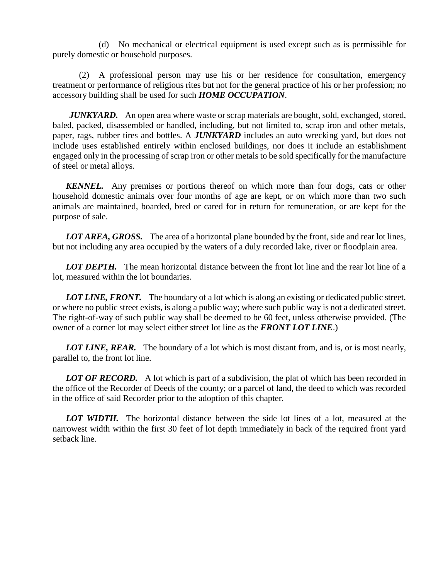(d) No mechanical or electrical equipment is used except such as is permissible for purely domestic or household purposes.

(2) A professional person may use his or her residence for consultation, emergency treatment or performance of religious rites but not for the general practice of his or her profession; no accessory building shall be used for such *HOME OCCUPATION*.

*JUNKYARD.* An open area where waste or scrap materials are bought, sold, exchanged, stored, baled, packed, disassembled or handled, including, but not limited to, scrap iron and other metals, paper, rags, rubber tires and bottles. A *JUNKYARD* includes an auto wrecking yard, but does not include uses established entirely within enclosed buildings, nor does it include an establishment engaged only in the processing of scrap iron or other metals to be sold specifically for the manufacture of steel or metal alloys.

*KENNEL.* Any premises or portions thereof on which more than four dogs, cats or other household domestic animals over four months of age are kept, or on which more than two such animals are maintained, boarded, bred or cared for in return for remuneration, or are kept for the purpose of sale.

*LOT AREA, GROSS.* The area of a horizontal plane bounded by the front, side and rear lot lines, but not including any area occupied by the waters of a duly recorded lake, river or floodplain area.

*LOT DEPTH.* The mean horizontal distance between the front lot line and the rear lot line of a lot, measured within the lot boundaries.

**LOT LINE, FRONT.** The boundary of a lot which is along an existing or dedicated public street, or where no public street exists, is along a public way; where such public way is not a dedicated street. The right-of-way of such public way shall be deemed to be 60 feet, unless otherwise provided. (The owner of a corner lot may select either street lot line as the *FRONT LOT LINE*.)

*LOT LINE, REAR.* The boundary of a lot which is most distant from, and is, or is most nearly, parallel to, the front lot line.

**LOT OF RECORD.** A lot which is part of a subdivision, the plat of which has been recorded in the office of the Recorder of Deeds of the county; or a parcel of land, the deed to which was recorded in the office of said Recorder prior to the adoption of this chapter.

*LOT WIDTH.* The horizontal distance between the side lot lines of a lot, measured at the narrowest width within the first 30 feet of lot depth immediately in back of the required front yard setback line.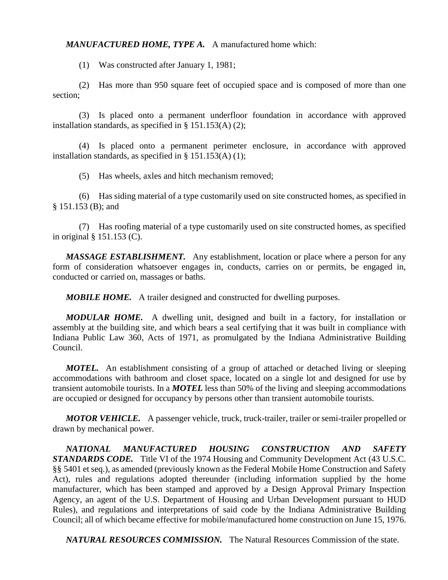*MANUFACTURED HOME, TYPE A.* A manufactured home which:

(1) Was constructed after January 1, 1981;

(2) Has more than 950 square feet of occupied space and is composed of more than one section;

(3) Is placed onto a permanent underfloor foundation in accordance with approved installation standards, as specified in § 151.153(A) (2);

(4) Is placed onto a permanent perimeter enclosure, in accordance with approved installation standards, as specified in § 151.153(A) (1);

(5) Has wheels, axles and hitch mechanism removed;

(6) Has siding material of a type customarily used on site constructed homes, as specified in § 151.153 (B); and

(7) Has roofing material of a type customarily used on site constructed homes, as specified in original § 151.153 (C).

*MASSAGE ESTABLISHMENT.* Any establishment, location or place where a person for any form of consideration whatsoever engages in, conducts, carries on or permits, be engaged in, conducted or carried on, massages or baths.

*MOBILE HOME.* A trailer designed and constructed for dwelling purposes.

*MODULAR HOME.* A dwelling unit, designed and built in a factory, for installation or assembly at the building site, and which bears a seal certifying that it was built in compliance with Indiana Public Law 360, Acts of 1971, as promulgated by the Indiana Administrative Building Council.

*MOTEL.* An establishment consisting of a group of attached or detached living or sleeping accommodations with bathroom and closet space, located on a single lot and designed for use by transient automobile tourists. In a *MOTEL* less than 50% of the living and sleeping accommodations are occupied or designed for occupancy by persons other than transient automobile tourists.

*MOTOR VEHICLE.* A passenger vehicle, truck, truck-trailer, trailer or semi-trailer propelled or drawn by mechanical power.

*NATIONAL MANUFACTURED HOUSING CONSTRUCTION AND SAFETY STANDARDS CODE.* Title VI of the 1974 Housing and Community Development Act (43 U.S.C. §§ 5401 et seq.), as amended (previously known as the Federal Mobile Home Construction and Safety Act), rules and regulations adopted thereunder (including information supplied by the home manufacturer, which has been stamped and approved by a Design Approval Primary Inspection Agency, an agent of the U.S. Department of Housing and Urban Development pursuant to HUD Rules), and regulations and interpretations of said code by the Indiana Administrative Building Council; all of which became effective for mobile/manufactured home construction on June 15, 1976.

*NATURAL RESOURCES COMMISSION.* The Natural Resources Commission of the state.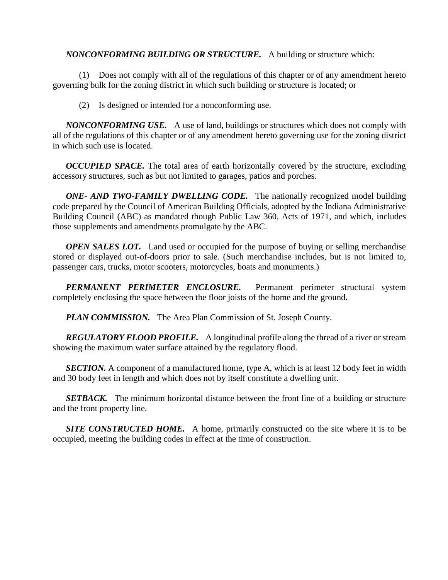## *NONCONFORMING BUILDING OR STRUCTURE.* A building or structure which:

(1) Does not comply with all of the regulations of this chapter or of any amendment hereto governing bulk for the zoning district in which such building or structure is located; or

(2) Is designed or intended for a nonconforming use.

*NONCONFORMING USE.* A use of land, buildings or structures which does not comply with all of the regulations of this chapter or of any amendment hereto governing use for the zoning district in which such use is located.

*OCCUPIED SPACE.* The total area of earth horizontally covered by the structure, excluding accessory structures, such as but not limited to garages, patios and porches.

*ONE- AND TWO-FAMILY DWELLING CODE.* The nationally recognized model building code prepared by the Council of American Building Officials, adopted by the Indiana Administrative Building Council (ABC) as mandated though Public Law 360, Acts of 1971, and which, includes those supplements and amendments promulgate by the ABC.

*OPEN SALES LOT.* Land used or occupied for the purpose of buying or selling merchandise stored or displayed out-of-doors prior to sale. (Such merchandise includes, but is not limited to, passenger cars, trucks, motor scooters, motorcycles, boats and monuments.)

*PERMANENT PERIMETER ENCLOSURE.* Permanent perimeter structural system completely enclosing the space between the floor joists of the home and the ground.

*PLAN COMMISSION.* The Area Plan Commission of St. Joseph County.

*REGULATORY FLOOD PROFILE.* A longitudinal profile along the thread of a river or stream showing the maximum water surface attained by the regulatory flood.

**SECTION.** A component of a manufactured home, type A, which is at least 12 body feet in width and 30 body feet in length and which does not by itself constitute a dwelling unit.

*SETBACK.* The minimum horizontal distance between the front line of a building or structure and the front property line.

*SITE CONSTRUCTED HOME.* A home, primarily constructed on the site where it is to be occupied, meeting the building codes in effect at the time of construction.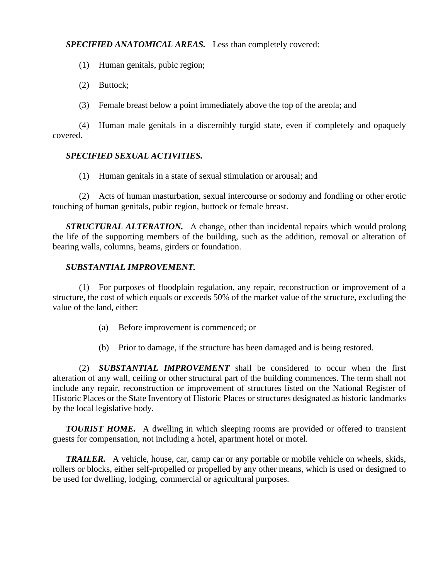## *SPECIFIED ANATOMICAL AREAS.* Less than completely covered:

- (1) Human genitals, pubic region;
- (2) Buttock;
- (3) Female breast below a point immediately above the top of the areola; and

(4) Human male genitals in a discernibly turgid state, even if completely and opaquely covered.

## *SPECIFIED SEXUAL ACTIVITIES.*

(1) Human genitals in a state of sexual stimulation or arousal; and

(2) Acts of human masturbation, sexual intercourse or sodomy and fondling or other erotic touching of human genitals, pubic region, buttock or female breast.

*STRUCTURAL ALTERATION.* A change, other than incidental repairs which would prolong the life of the supporting members of the building, such as the addition, removal or alteration of bearing walls, columns, beams, girders or foundation.

#### *SUBSTANTIAL IMPROVEMENT.*

(1) For purposes of floodplain regulation, any repair, reconstruction or improvement of a structure, the cost of which equals or exceeds 50% of the market value of the structure, excluding the value of the land, either:

- (a) Before improvement is commenced; or
- (b) Prior to damage, if the structure has been damaged and is being restored.

(2) *SUBSTANTIAL IMPROVEMENT* shall be considered to occur when the first alteration of any wall, ceiling or other structural part of the building commences. The term shall not include any repair, reconstruction or improvement of structures listed on the National Register of Historic Places or the State Inventory of Historic Places or structures designated as historic landmarks by the local legislative body.

**TOURIST HOME.** A dwelling in which sleeping rooms are provided or offered to transient guests for compensation, not including a hotel, apartment hotel or motel.

*TRAILER.* A vehicle, house, car, camp car or any portable or mobile vehicle on wheels, skids, rollers or blocks, either self-propelled or propelled by any other means, which is used or designed to be used for dwelling, lodging, commercial or agricultural purposes.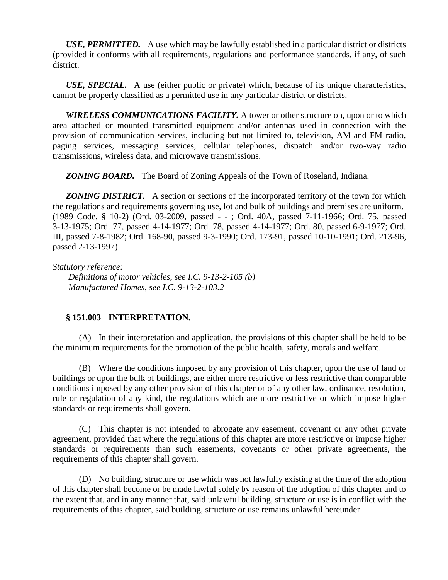*USE, PERMITTED.* A use which may be lawfully established in a particular district or districts (provided it conforms with all requirements, regulations and performance standards, if any, of such district.

*USE, SPECIAL.* A use (either public or private) which, because of its unique characteristics, cannot be properly classified as a permitted use in any particular district or districts.

*WIRELESS COMMUNICATIONS FACILITY.* A tower or other structure on, upon or to which area attached or mounted transmitted equipment and/or antennas used in connection with the provision of communication services, including but not limited to, television, AM and FM radio, paging services, messaging services, cellular telephones, dispatch and/or two-way radio transmissions, wireless data, and microwave transmissions.

*ZONING BOARD.* The Board of Zoning Appeals of the Town of Roseland, Indiana.

*ZONING DISTRICT.* A section or sections of the incorporated territory of the town for which the regulations and requirements governing use, lot and bulk of buildings and premises are uniform. (1989 Code, § 10-2) (Ord. 03-2009, passed - - ; Ord. 40A, passed 7-11-1966; Ord. 75, passed 3-13-1975; Ord. 77, passed 4-14-1977; Ord. 78, passed 4-14-1977; Ord. 80, passed 6-9-1977; Ord. III, passed 7-8-1982; Ord. 168-90, passed 9-3-1990; Ord. 173-91, passed 10-10-1991; Ord. 213-96, passed 2-13-1997)

*Statutory reference:*

*Definitions of motor vehicles, see I.C. 9-13-2-105 (b) Manufactured Homes, see I.C. 9-13-2-103.2*

## **§ 151.003 INTERPRETATION.**

(A) In their interpretation and application, the provisions of this chapter shall be held to be the minimum requirements for the promotion of the public health, safety, morals and welfare.

(B) Where the conditions imposed by any provision of this chapter, upon the use of land or buildings or upon the bulk of buildings, are either more restrictive or less restrictive than comparable conditions imposed by any other provision of this chapter or of any other law, ordinance, resolution, rule or regulation of any kind, the regulations which are more restrictive or which impose higher standards or requirements shall govern.

(C) This chapter is not intended to abrogate any easement, covenant or any other private agreement, provided that where the regulations of this chapter are more restrictive or impose higher standards or requirements than such easements, covenants or other private agreements, the requirements of this chapter shall govern.

(D) No building, structure or use which was not lawfully existing at the time of the adoption of this chapter shall become or be made lawful solely by reason of the adoption of this chapter and to the extent that, and in any manner that, said unlawful building, structure or use is in conflict with the requirements of this chapter, said building, structure or use remains unlawful hereunder.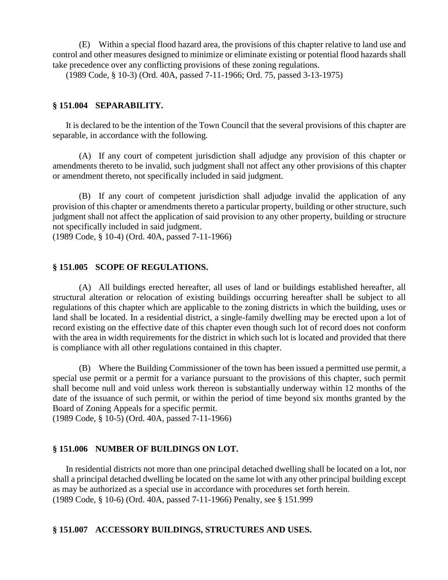(E) Within a special flood hazard area, the provisions of this chapter relative to land use and control and other measures designed to minimize or eliminate existing or potential flood hazards shall take precedence over any conflicting provisions of these zoning regulations.

(1989 Code, § 10-3) (Ord. 40A, passed 7-11-1966; Ord. 75, passed 3-13-1975)

#### **§ 151.004 SEPARABILITY.**

It is declared to be the intention of the Town Council that the several provisions of this chapter are separable, in accordance with the following.

(A) If any court of competent jurisdiction shall adjudge any provision of this chapter or amendments thereto to be invalid, such judgment shall not affect any other provisions of this chapter or amendment thereto, not specifically included in said judgment.

(B) If any court of competent jurisdiction shall adjudge invalid the application of any provision of this chapter or amendments thereto a particular property, building or other structure, such judgment shall not affect the application of said provision to any other property, building or structure not specifically included in said judgment.

(1989 Code, § 10-4) (Ord. 40A, passed 7-11-1966)

#### **§ 151.005 SCOPE OF REGULATIONS.**

(A) All buildings erected hereafter, all uses of land or buildings established hereafter, all structural alteration or relocation of existing buildings occurring hereafter shall be subject to all regulations of this chapter which are applicable to the zoning districts in which the building, uses or land shall be located. In a residential district, a single-family dwelling may be erected upon a lot of record existing on the effective date of this chapter even though such lot of record does not conform with the area in width requirements for the district in which such lot is located and provided that there is compliance with all other regulations contained in this chapter.

(B) Where the Building Commissioner of the town has been issued a permitted use permit, a special use permit or a permit for a variance pursuant to the provisions of this chapter, such permit shall become null and void unless work thereon is substantially underway within 12 months of the date of the issuance of such permit, or within the period of time beyond six months granted by the Board of Zoning Appeals for a specific permit.

(1989 Code, § 10-5) (Ord. 40A, passed 7-11-1966)

#### **§ 151.006 NUMBER OF BUILDINGS ON LOT.**

In residential districts not more than one principal detached dwelling shall be located on a lot, nor shall a principal detached dwelling be located on the same lot with any other principal building except as may be authorized as a special use in accordance with procedures set forth herein. (1989 Code, § 10-6) (Ord. 40A, passed 7-11-1966) Penalty, see § 151.999

#### **§ 151.007 ACCESSORY BUILDINGS, STRUCTURES AND USES.**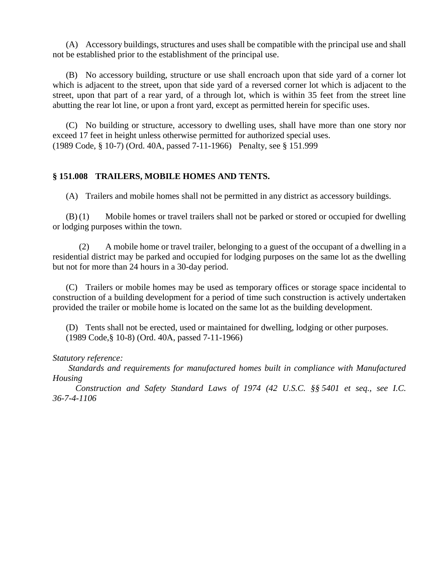(A) Accessory buildings, structures and uses shall be compatible with the principal use and shall not be established prior to the establishment of the principal use.

(B) No accessory building, structure or use shall encroach upon that side yard of a corner lot which is adjacent to the street, upon that side yard of a reversed corner lot which is adjacent to the street, upon that part of a rear yard, of a through lot, which is within 35 feet from the street line abutting the rear lot line, or upon a front yard, except as permitted herein for specific uses.

(C) No building or structure, accessory to dwelling uses, shall have more than one story nor exceed 17 feet in height unless otherwise permitted for authorized special uses. (1989 Code, § 10-7) (Ord. 40A, passed 7-11-1966) Penalty, see § 151.999

## **§ 151.008 TRAILERS, MOBILE HOMES AND TENTS.**

(A) Trailers and mobile homes shall not be permitted in any district as accessory buildings.

(B) (1) Mobile homes or travel trailers shall not be parked or stored or occupied for dwelling or lodging purposes within the town.

(2) A mobile home or travel trailer, belonging to a guest of the occupant of a dwelling in a residential district may be parked and occupied for lodging purposes on the same lot as the dwelling but not for more than 24 hours in a 30-day period.

(C) Trailers or mobile homes may be used as temporary offices or storage space incidental to construction of a building development for a period of time such construction is actively undertaken provided the trailer or mobile home is located on the same lot as the building development.

(D) Tents shall not be erected, used or maintained for dwelling, lodging or other purposes. (1989 Code,§ 10-8) (Ord. 40A, passed 7-11-1966)

## *Statutory reference:*

*Standards and requirements for manufactured homes built in compliance with Manufactured Housing*

 *Construction and Safety Standard Laws of 1974 (42 U.S.C. §§ 5401 et seq., see I.C. 36-7-4-1106*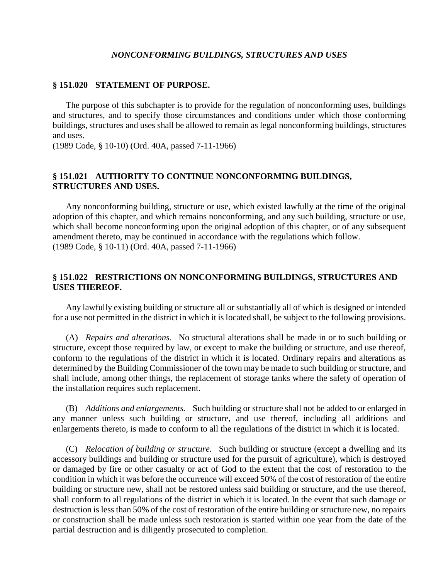#### *NONCONFORMING BUILDINGS, STRUCTURES AND USES*

#### **§ 151.020 STATEMENT OF PURPOSE.**

The purpose of this subchapter is to provide for the regulation of nonconforming uses, buildings and structures, and to specify those circumstances and conditions under which those conforming buildings, structures and uses shall be allowed to remain as legal nonconforming buildings, structures and uses.

(1989 Code, § 10-10) (Ord. 40A, passed 7-11-1966)

#### **§ 151.021 AUTHORITY TO CONTINUE NONCONFORMING BUILDINGS, STRUCTURES AND USES.**

Any nonconforming building, structure or use, which existed lawfully at the time of the original adoption of this chapter, and which remains nonconforming, and any such building, structure or use, which shall become nonconforming upon the original adoption of this chapter, or of any subsequent amendment thereto, may be continued in accordance with the regulations which follow. (1989 Code, § 10-11) (Ord. 40A, passed 7-11-1966)

#### **§ 151.022 RESTRICTIONS ON NONCONFORMING BUILDINGS, STRUCTURES AND USES THEREOF.**

Any lawfully existing building or structure all or substantially all of which is designed or intended for a use not permitted in the district in which it is located shall, be subject to the following provisions.

(A) *Repairs and alterations.* No structural alterations shall be made in or to such building or structure, except those required by law, or except to make the building or structure, and use thereof, conform to the regulations of the district in which it is located. Ordinary repairs and alterations as determined by the Building Commissioner of the town may be made to such building or structure, and shall include, among other things, the replacement of storage tanks where the safety of operation of the installation requires such replacement.

(B) *Additions and enlargements.* Such building or structure shall not be added to or enlarged in any manner unless such building or structure, and use thereof, including all additions and enlargements thereto, is made to conform to all the regulations of the district in which it is located.

(C) *Relocation of building or structure.* Such building or structure (except a dwelling and its accessory buildings and building or structure used for the pursuit of agriculture), which is destroyed or damaged by fire or other casualty or act of God to the extent that the cost of restoration to the condition in which it was before the occurrence will exceed 50% of the cost of restoration of the entire building or structure new, shall not be restored unless said building or structure, and the use thereof, shall conform to all regulations of the district in which it is located. In the event that such damage or destruction is less than 50% of the cost of restoration of the entire building or structure new, no repairs or construction shall be made unless such restoration is started within one year from the date of the partial destruction and is diligently prosecuted to completion.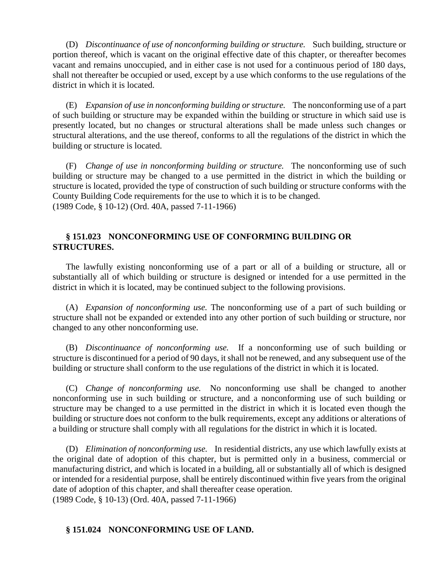(D) *Discontinuance of use of nonconforming building or structure.* Such building, structure or portion thereof, which is vacant on the original effective date of this chapter, or thereafter becomes vacant and remains unoccupied, and in either case is not used for a continuous period of 180 days, shall not thereafter be occupied or used, except by a use which conforms to the use regulations of the district in which it is located.

(E) *Expansion of use in nonconforming building or structure.* The nonconforming use of a part of such building or structure may be expanded within the building or structure in which said use is presently located, but no changes or structural alterations shall be made unless such changes or structural alterations, and the use thereof, conforms to all the regulations of the district in which the building or structure is located.

(F) *Change of use in nonconforming building or structure.* The nonconforming use of such building or structure may be changed to a use permitted in the district in which the building or structure is located, provided the type of construction of such building or structure conforms with the County Building Code requirements for the use to which it is to be changed. (1989 Code, § 10-12) (Ord. 40A, passed 7-11-1966)

## **§ 151.023 NONCONFORMING USE OF CONFORMING BUILDING OR STRUCTURES.**

The lawfully existing nonconforming use of a part or all of a building or structure, all or substantially all of which building or structure is designed or intended for a use permitted in the district in which it is located, may be continued subject to the following provisions.

(A) *Expansion of nonconforming use.* The nonconforming use of a part of such building or structure shall not be expanded or extended into any other portion of such building or structure, nor changed to any other nonconforming use.

(B) *Discontinuance of nonconforming use.* If a nonconforming use of such building or structure is discontinued for a period of 90 days, it shall not be renewed, and any subsequent use of the building or structure shall conform to the use regulations of the district in which it is located.

(C) *Change of nonconforming use.* No nonconforming use shall be changed to another nonconforming use in such building or structure, and a nonconforming use of such building or structure may be changed to a use permitted in the district in which it is located even though the building or structure does not conform to the bulk requirements, except any additions or alterations of a building or structure shall comply with all regulations for the district in which it is located.

(D) *Elimination of nonconforming use.* In residential districts, any use which lawfully exists at the original date of adoption of this chapter, but is permitted only in a business, commercial or manufacturing district, and which is located in a building, all or substantially all of which is designed or intended for a residential purpose, shall be entirely discontinued within five years from the original date of adoption of this chapter, and shall thereafter cease operation. (1989 Code, § 10-13) (Ord. 40A, passed 7-11-1966)

## **§ 151.024 NONCONFORMING USE OF LAND.**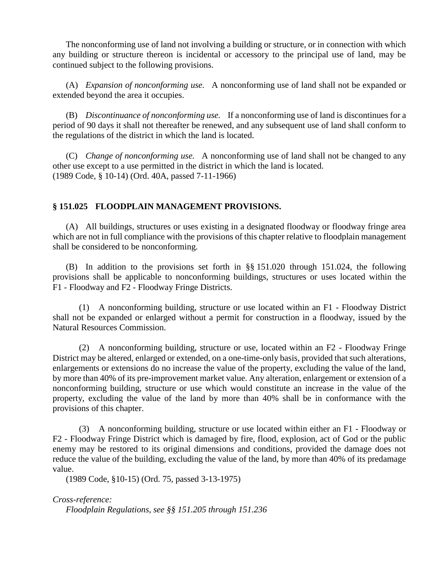The nonconforming use of land not involving a building or structure, or in connection with which any building or structure thereon is incidental or accessory to the principal use of land, may be continued subject to the following provisions.

(A) *Expansion of nonconforming use.* A nonconforming use of land shall not be expanded or extended beyond the area it occupies.

(B) *Discontinuance of nonconforming use.* If a nonconforming use of land is discontinues for a period of 90 days it shall not thereafter be renewed, and any subsequent use of land shall conform to the regulations of the district in which the land is located.

(C) *Change of nonconforming use.* A nonconforming use of land shall not be changed to any other use except to a use permitted in the district in which the land is located. (1989 Code, § 10-14) (Ord. 40A, passed 7-11-1966)

## **§ 151.025 FLOODPLAIN MANAGEMENT PROVISIONS.**

(A) All buildings, structures or uses existing in a designated floodway or floodway fringe area which are not in full compliance with the provisions of this chapter relative to floodplain management shall be considered to be nonconforming.

(B) In addition to the provisions set forth in §§ 151.020 through 151.024, the following provisions shall be applicable to nonconforming buildings, structures or uses located within the F1 - Floodway and F2 - Floodway Fringe Districts.

(1) A nonconforming building, structure or use located within an F1 - Floodway District shall not be expanded or enlarged without a permit for construction in a floodway, issued by the Natural Resources Commission.

(2) A nonconforming building, structure or use, located within an F2 - Floodway Fringe District may be altered, enlarged or extended, on a one-time-only basis, provided that such alterations, enlargements or extensions do no increase the value of the property, excluding the value of the land, by more than 40% of its pre-improvement market value. Any alteration, enlargement or extension of a nonconforming building, structure or use which would constitute an increase in the value of the property, excluding the value of the land by more than 40% shall be in conformance with the provisions of this chapter.

(3) A nonconforming building, structure or use located within either an F1 - Floodway or F2 - Floodway Fringe District which is damaged by fire, flood, explosion, act of God or the public enemy may be restored to its original dimensions and conditions, provided the damage does not reduce the value of the building, excluding the value of the land, by more than 40% of its predamage value.

(1989 Code, §10-15) (Ord. 75, passed 3-13-1975)

*Cross-reference:*

*Floodplain Regulations, see §§ 151.205 through 151.236*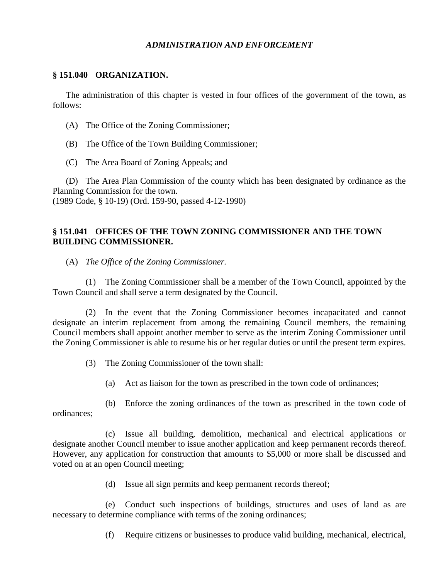### *ADMINISTRATION AND ENFORCEMENT*

#### **§ 151.040 ORGANIZATION.**

The administration of this chapter is vested in four offices of the government of the town, as follows:

- (A) The Office of the Zoning Commissioner;
- (B) The Office of the Town Building Commissioner;
- (C) The Area Board of Zoning Appeals; and

(D) The Area Plan Commission of the county which has been designated by ordinance as the Planning Commission for the town. (1989 Code, § 10-19) (Ord. 159-90, passed 4-12-1990)

## **§ 151.041 OFFICES OF THE TOWN ZONING COMMISSIONER AND THE TOWN BUILDING COMMISSIONER.**

(A) *The Office of the Zoning Commissioner.*

(1) The Zoning Commissioner shall be a member of the Town Council, appointed by the Town Council and shall serve a term designated by the Council.

(2) In the event that the Zoning Commissioner becomes incapacitated and cannot designate an interim replacement from among the remaining Council members, the remaining Council members shall appoint another member to serve as the interim Zoning Commissioner until the Zoning Commissioner is able to resume his or her regular duties or until the present term expires.

- (3) The Zoning Commissioner of the town shall:
	- (a) Act as liaison for the town as prescribed in the town code of ordinances;

(b) Enforce the zoning ordinances of the town as prescribed in the town code of ordinances;

(c) Issue all building, demolition, mechanical and electrical applications or designate another Council member to issue another application and keep permanent records thereof. However, any application for construction that amounts to \$5,000 or more shall be discussed and voted on at an open Council meeting;

(d) Issue all sign permits and keep permanent records thereof;

(e) Conduct such inspections of buildings, structures and uses of land as are necessary to determine compliance with terms of the zoning ordinances;

(f) Require citizens or businesses to produce valid building, mechanical, electrical,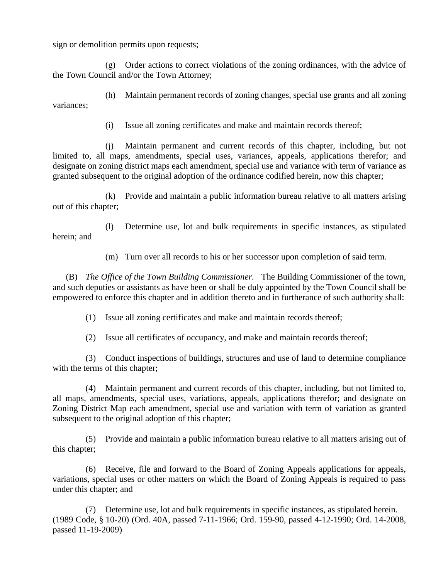sign or demolition permits upon requests;

(g) Order actions to correct violations of the zoning ordinances, with the advice of the Town Council and/or the Town Attorney;

(h) Maintain permanent records of zoning changes, special use grants and all zoning variances;

(i) Issue all zoning certificates and make and maintain records thereof;

(j) Maintain permanent and current records of this chapter, including, but not limited to, all maps, amendments, special uses, variances, appeals, applications therefor; and designate on zoning district maps each amendment, special use and variance with term of variance as granted subsequent to the original adoption of the ordinance codified herein, now this chapter;

(k) Provide and maintain a public information bureau relative to all matters arising out of this chapter;

(l) Determine use, lot and bulk requirements in specific instances, as stipulated herein; and

(m) Turn over all records to his or her successor upon completion of said term.

(B) *The Office of the Town Building Commissioner.* The Building Commissioner of the town, and such deputies or assistants as have been or shall be duly appointed by the Town Council shall be empowered to enforce this chapter and in addition thereto and in furtherance of such authority shall:

(1) Issue all zoning certificates and make and maintain records thereof;

(2) Issue all certificates of occupancy, and make and maintain records thereof;

(3) Conduct inspections of buildings, structures and use of land to determine compliance with the terms of this chapter;

(4) Maintain permanent and current records of this chapter, including, but not limited to, all maps, amendments, special uses, variations, appeals, applications therefor; and designate on Zoning District Map each amendment, special use and variation with term of variation as granted subsequent to the original adoption of this chapter;

(5) Provide and maintain a public information bureau relative to all matters arising out of this chapter;

(6) Receive, file and forward to the Board of Zoning Appeals applications for appeals, variations, special uses or other matters on which the Board of Zoning Appeals is required to pass under this chapter; and

(7) Determine use, lot and bulk requirements in specific instances, as stipulated herein. (1989 Code, § 10-20) (Ord. 40A, passed 7-11-1966; Ord. 159-90, passed 4-12-1990; Ord. 14-2008, passed 11-19-2009)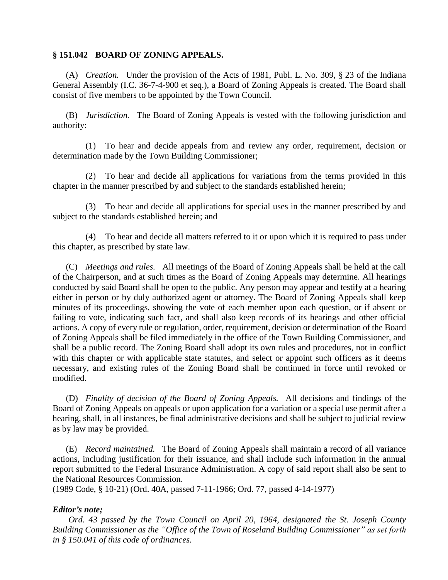## **§ 151.042 BOARD OF ZONING APPEALS.**

(A) *Creation.* Under the provision of the Acts of 1981, Publ. L. No. 309, § 23 of the Indiana General Assembly (I.C. 36-7-4-900 et seq.), a Board of Zoning Appeals is created. The Board shall consist of five members to be appointed by the Town Council.

(B) *Jurisdiction.* The Board of Zoning Appeals is vested with the following jurisdiction and authority:

(1) To hear and decide appeals from and review any order, requirement, decision or determination made by the Town Building Commissioner;

(2) To hear and decide all applications for variations from the terms provided in this chapter in the manner prescribed by and subject to the standards established herein;

(3) To hear and decide all applications for special uses in the manner prescribed by and subject to the standards established herein; and

(4) To hear and decide all matters referred to it or upon which it is required to pass under this chapter, as prescribed by state law.

(C) *Meetings and rules.* All meetings of the Board of Zoning Appeals shall be held at the call of the Chairperson, and at such times as the Board of Zoning Appeals may determine. All hearings conducted by said Board shall be open to the public. Any person may appear and testify at a hearing either in person or by duly authorized agent or attorney. The Board of Zoning Appeals shall keep minutes of its proceedings, showing the vote of each member upon each question, or if absent or failing to vote, indicating such fact, and shall also keep records of its hearings and other official actions. A copy of every rule or regulation, order, requirement, decision or determination of the Board of Zoning Appeals shall be filed immediately in the office of the Town Building Commissioner, and shall be a public record. The Zoning Board shall adopt its own rules and procedures, not in conflict with this chapter or with applicable state statutes, and select or appoint such officers as it deems necessary, and existing rules of the Zoning Board shall be continued in force until revoked or modified.

(D) *Finality of decision of the Board of Zoning Appeals.* All decisions and findings of the Board of Zoning Appeals on appeals or upon application for a variation or a special use permit after a hearing, shall, in all instances, be final administrative decisions and shall be subject to judicial review as by law may be provided.

(E) *Record maintained.* The Board of Zoning Appeals shall maintain a record of all variance actions, including justification for their issuance, and shall include such information in the annual report submitted to the Federal Insurance Administration. A copy of said report shall also be sent to the National Resources Commission.

(1989 Code, § 10-21) (Ord. 40A, passed 7-11-1966; Ord. 77, passed 4-14-1977)

## *Editor's note;*

*Ord. 43 passed by the Town Council on April 20, 1964, designated the St. Joseph County Building Commissioner as the "Office of the Town of Roseland Building Commissioner" as set forth in § 150.041 of this code of ordinances.*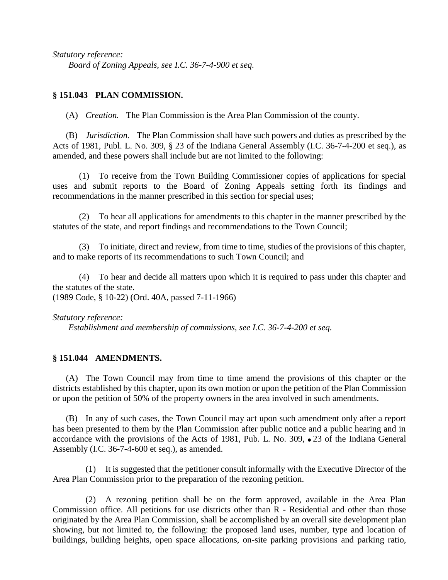*Statutory reference: Board of Zoning Appeals, see I.C. 36-7-4-900 et seq.*

## **§ 151.043 PLAN COMMISSION.**

(A) *Creation.* The Plan Commission is the Area Plan Commission of the county.

(B) *Jurisdiction.* The Plan Commission shall have such powers and duties as prescribed by the Acts of 1981, Publ. L. No. 309, § 23 of the Indiana General Assembly (I.C. 36-7-4-200 et seq.), as amended, and these powers shall include but are not limited to the following:

(1) To receive from the Town Building Commissioner copies of applications for special uses and submit reports to the Board of Zoning Appeals setting forth its findings and recommendations in the manner prescribed in this section for special uses;

(2) To hear all applications for amendments to this chapter in the manner prescribed by the statutes of the state, and report findings and recommendations to the Town Council;

(3) To initiate, direct and review, from time to time, studies of the provisions of this chapter, and to make reports of its recommendations to such Town Council; and

(4) To hear and decide all matters upon which it is required to pass under this chapter and the statutes of the state. (1989 Code, § 10-22) (Ord. 40A, passed 7-11-1966)

*Statutory reference:*

*Establishment and membership of commissions, see I.C. 36-7-4-200 et seq.*

## **§ 151.044 AMENDMENTS.**

(A) The Town Council may from time to time amend the provisions of this chapter or the districts established by this chapter, upon its own motion or upon the petition of the Plan Commission or upon the petition of 50% of the property owners in the area involved in such amendments.

(B) In any of such cases, the Town Council may act upon such amendment only after a report has been presented to them by the Plan Commission after public notice and a public hearing and in accordance with the provisions of the Acts of 1981, Pub. L. No.  $309$ ,  $\bullet$  23 of the Indiana General Assembly (I.C. 36-7-4-600 et seq.), as amended.

(1) It is suggested that the petitioner consult informally with the Executive Director of the Area Plan Commission prior to the preparation of the rezoning petition.

(2) A rezoning petition shall be on the form approved, available in the Area Plan Commission office. All petitions for use districts other than R - Residential and other than those originated by the Area Plan Commission, shall be accomplished by an overall site development plan showing, but not limited to, the following: the proposed land uses, number, type and location of buildings, building heights, open space allocations, on-site parking provisions and parking ratio,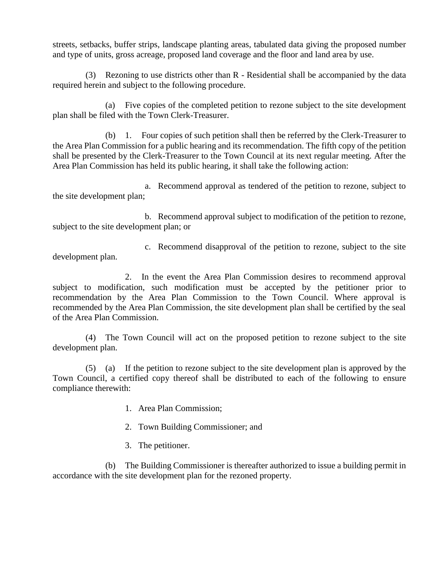streets, setbacks, buffer strips, landscape planting areas, tabulated data giving the proposed number and type of units, gross acreage, proposed land coverage and the floor and land area by use.

(3) Rezoning to use districts other than R - Residential shall be accompanied by the data required herein and subject to the following procedure.

(a) Five copies of the completed petition to rezone subject to the site development plan shall be filed with the Town Clerk-Treasurer.

(b) 1. Four copies of such petition shall then be referred by the Clerk-Treasurer to the Area Plan Commission for a public hearing and its recommendation. The fifth copy of the petition shall be presented by the Clerk-Treasurer to the Town Council at its next regular meeting. After the Area Plan Commission has held its public hearing, it shall take the following action:

a. Recommend approval as tendered of the petition to rezone, subject to the site development plan;

b. Recommend approval subject to modification of the petition to rezone, subject to the site development plan; or

c. Recommend disapproval of the petition to rezone, subject to the site development plan.

2. In the event the Area Plan Commission desires to recommend approval subject to modification, such modification must be accepted by the petitioner prior to recommendation by the Area Plan Commission to the Town Council. Where approval is recommended by the Area Plan Commission, the site development plan shall be certified by the seal of the Area Plan Commission.

(4) The Town Council will act on the proposed petition to rezone subject to the site development plan.

(5) (a) If the petition to rezone subject to the site development plan is approved by the Town Council, a certified copy thereof shall be distributed to each of the following to ensure compliance therewith:

- 1. Area Plan Commission;
- 2. Town Building Commissioner; and
- 3. The petitioner.

(b) The Building Commissioner is thereafter authorized to issue a building permit in accordance with the site development plan for the rezoned property.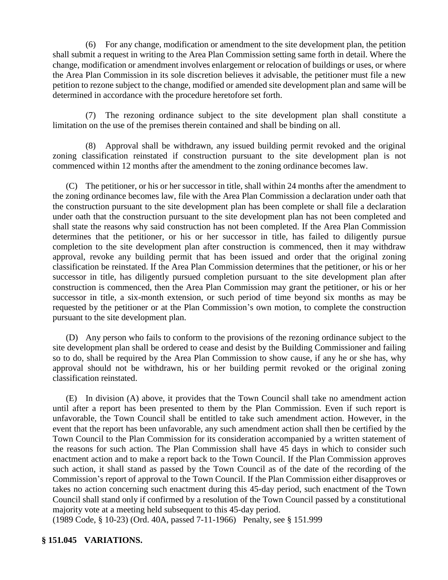(6) For any change, modification or amendment to the site development plan, the petition shall submit a request in writing to the Area Plan Commission setting same forth in detail. Where the change, modification or amendment involves enlargement or relocation of buildings or uses, or where the Area Plan Commission in its sole discretion believes it advisable, the petitioner must file a new petition to rezone subject to the change, modified or amended site development plan and same will be determined in accordance with the procedure heretofore set forth.

(7) The rezoning ordinance subject to the site development plan shall constitute a limitation on the use of the premises therein contained and shall be binding on all.

(8) Approval shall be withdrawn, any issued building permit revoked and the original zoning classification reinstated if construction pursuant to the site development plan is not commenced within 12 months after the amendment to the zoning ordinance becomes law.

(C) The petitioner, or his or her successor in title, shall within 24 months after the amendment to the zoning ordinance becomes law, file with the Area Plan Commission a declaration under oath that the construction pursuant to the site development plan has been complete or shall file a declaration under oath that the construction pursuant to the site development plan has not been completed and shall state the reasons why said construction has not been completed. If the Area Plan Commission determines that the petitioner, or his or her successor in title, has failed to diligently pursue completion to the site development plan after construction is commenced, then it may withdraw approval, revoke any building permit that has been issued and order that the original zoning classification be reinstated. If the Area Plan Commission determines that the petitioner, or his or her successor in title, has diligently pursued completion pursuant to the site development plan after construction is commenced, then the Area Plan Commission may grant the petitioner, or his or her successor in title, a six-month extension, or such period of time beyond six months as may be requested by the petitioner or at the Plan Commission's own motion, to complete the construction pursuant to the site development plan.

(D) Any person who fails to conform to the provisions of the rezoning ordinance subject to the site development plan shall be ordered to cease and desist by the Building Commissioner and failing so to do, shall be required by the Area Plan Commission to show cause, if any he or she has, why approval should not be withdrawn, his or her building permit revoked or the original zoning classification reinstated.

(E) In division (A) above, it provides that the Town Council shall take no amendment action until after a report has been presented to them by the Plan Commission. Even if such report is unfavorable, the Town Council shall be entitled to take such amendment action. However, in the event that the report has been unfavorable, any such amendment action shall then be certified by the Town Council to the Plan Commission for its consideration accompanied by a written statement of the reasons for such action. The Plan Commission shall have 45 days in which to consider such enactment action and to make a report back to the Town Council. If the Plan Commission approves such action, it shall stand as passed by the Town Council as of the date of the recording of the Commission's report of approval to the Town Council. If the Plan Commission either disapproves or takes no action concerning such enactment during this 45-day period, such enactment of the Town Council shall stand only if confirmed by a resolution of the Town Council passed by a constitutional majority vote at a meeting held subsequent to this 45-day period.

(1989 Code, § 10-23) (Ord. 40A, passed 7-11-1966) Penalty, see § 151.999

## **§ 151.045 VARIATIONS.**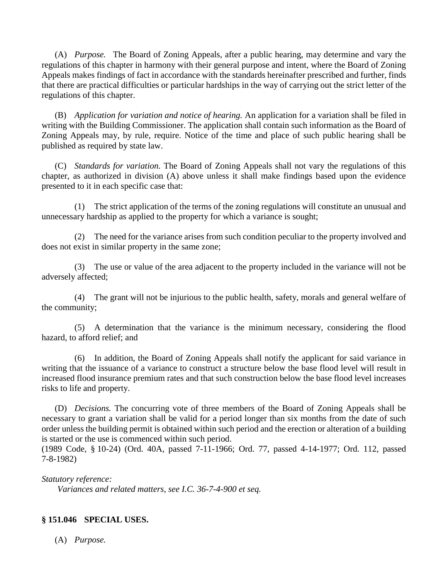(A) *Purpose.* The Board of Zoning Appeals, after a public hearing, may determine and vary the regulations of this chapter in harmony with their general purpose and intent, where the Board of Zoning Appeals makes findings of fact in accordance with the standards hereinafter prescribed and further, finds that there are practical difficulties or particular hardships in the way of carrying out the strict letter of the regulations of this chapter.

(B) *Application for variation and notice of hearing.* An application for a variation shall be filed in writing with the Building Commissioner. The application shall contain such information as the Board of Zoning Appeals may, by rule, require. Notice of the time and place of such public hearing shall be published as required by state law.

(C) *Standards for variation.* The Board of Zoning Appeals shall not vary the regulations of this chapter, as authorized in division (A) above unless it shall make findings based upon the evidence presented to it in each specific case that:

(1) The strict application of the terms of the zoning regulations will constitute an unusual and unnecessary hardship as applied to the property for which a variance is sought;

(2) The need for the variance arises from such condition peculiar to the property involved and does not exist in similar property in the same zone;

(3) The use or value of the area adjacent to the property included in the variance will not be adversely affected;

(4) The grant will not be injurious to the public health, safety, morals and general welfare of the community;

(5) A determination that the variance is the minimum necessary, considering the flood hazard, to afford relief; and

(6) In addition, the Board of Zoning Appeals shall notify the applicant for said variance in writing that the issuance of a variance to construct a structure below the base flood level will result in increased flood insurance premium rates and that such construction below the base flood level increases risks to life and property.

(D) *Decisions.* The concurring vote of three members of the Board of Zoning Appeals shall be necessary to grant a variation shall be valid for a period longer than six months from the date of such order unless the building permit is obtained within such period and the erection or alteration of a building is started or the use is commenced within such period.

(1989 Code, § 10-24) (Ord. 40A, passed 7-11-1966; Ord. 77, passed 4-14-1977; Ord. 112, passed 7-8-1982)

*Statutory reference:*

*Variances and related matters, see I.C. 36-7-4-900 et seq.*

## **§ 151.046 SPECIAL USES.**

(A) *Purpose.*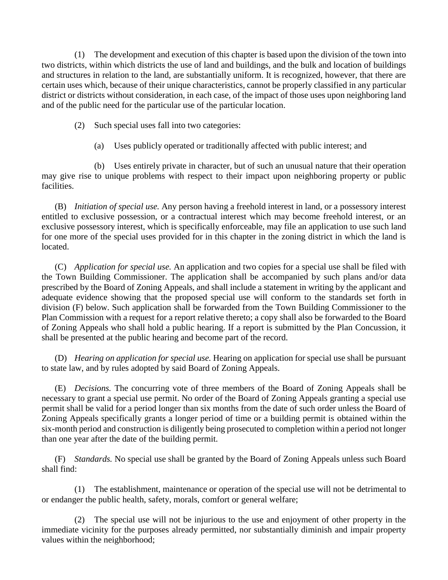(1) The development and execution of this chapter is based upon the division of the town into two districts, within which districts the use of land and buildings, and the bulk and location of buildings and structures in relation to the land, are substantially uniform. It is recognized, however, that there are certain uses which, because of their unique characteristics, cannot be properly classified in any particular district or districts without consideration, in each case, of the impact of those uses upon neighboring land and of the public need for the particular use of the particular location.

- (2) Such special uses fall into two categories:
	- (a) Uses publicly operated or traditionally affected with public interest; and

(b) Uses entirely private in character, but of such an unusual nature that their operation may give rise to unique problems with respect to their impact upon neighboring property or public facilities.

(B) *Initiation of special use.* Any person having a freehold interest in land, or a possessory interest entitled to exclusive possession, or a contractual interest which may become freehold interest, or an exclusive possessory interest, which is specifically enforceable, may file an application to use such land for one more of the special uses provided for in this chapter in the zoning district in which the land is located.

(C) *Application for special use.* An application and two copies for a special use shall be filed with the Town Building Commissioner. The application shall be accompanied by such plans and/or data prescribed by the Board of Zoning Appeals, and shall include a statement in writing by the applicant and adequate evidence showing that the proposed special use will conform to the standards set forth in division (F) below. Such application shall be forwarded from the Town Building Commissioner to the Plan Commission with a request for a report relative thereto; a copy shall also be forwarded to the Board of Zoning Appeals who shall hold a public hearing. If a report is submitted by the Plan Concussion, it shall be presented at the public hearing and become part of the record.

(D) *Hearing on application for special use.* Hearing on application for special use shall be pursuant to state law, and by rules adopted by said Board of Zoning Appeals.

(E) *Decisions.* The concurring vote of three members of the Board of Zoning Appeals shall be necessary to grant a special use permit. No order of the Board of Zoning Appeals granting a special use permit shall be valid for a period longer than six months from the date of such order unless the Board of Zoning Appeals specifically grants a longer period of time or a building permit is obtained within the six-month period and construction is diligently being prosecuted to completion within a period not longer than one year after the date of the building permit.

(F) *Standards.* No special use shall be granted by the Board of Zoning Appeals unless such Board shall find:

(1) The establishment, maintenance or operation of the special use will not be detrimental to or endanger the public health, safety, morals, comfort or general welfare;

(2) The special use will not be injurious to the use and enjoyment of other property in the immediate vicinity for the purposes already permitted, nor substantially diminish and impair property values within the neighborhood;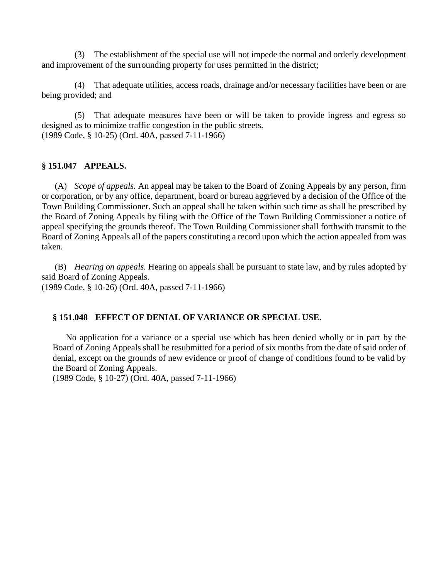(3) The establishment of the special use will not impede the normal and orderly development and improvement of the surrounding property for uses permitted in the district;

(4) That adequate utilities, access roads, drainage and/or necessary facilities have been or are being provided; and

(5) That adequate measures have been or will be taken to provide ingress and egress so designed as to minimize traffic congestion in the public streets. (1989 Code, § 10-25) (Ord. 40A, passed 7-11-1966)

#### **§ 151.047 APPEALS.**

(A) *Scope of appeals.* An appeal may be taken to the Board of Zoning Appeals by any person, firm or corporation, or by any office, department, board or bureau aggrieved by a decision of the Office of the Town Building Commissioner. Such an appeal shall be taken within such time as shall be prescribed by the Board of Zoning Appeals by filing with the Office of the Town Building Commissioner a notice of appeal specifying the grounds thereof. The Town Building Commissioner shall forthwith transmit to the Board of Zoning Appeals all of the papers constituting a record upon which the action appealed from was taken.

(B) *Hearing on appeals.* Hearing on appeals shall be pursuant to state law, and by rules adopted by said Board of Zoning Appeals. (1989 Code, § 10-26) (Ord. 40A, passed 7-11-1966)

#### **§ 151.048 EFFECT OF DENIAL OF VARIANCE OR SPECIAL USE.**

No application for a variance or a special use which has been denied wholly or in part by the Board of Zoning Appeals shall be resubmitted for a period of six months from the date of said order of denial, except on the grounds of new evidence or proof of change of conditions found to be valid by the Board of Zoning Appeals.

(1989 Code, § 10-27) (Ord. 40A, passed 7-11-1966)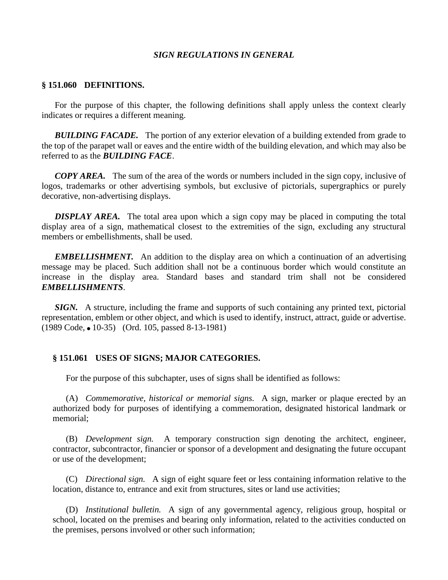#### *SIGN REGULATIONS IN GENERAL*

#### **§ 151.060 DEFINITIONS.**

For the purpose of this chapter, the following definitions shall apply unless the context clearly indicates or requires a different meaning.

*BUILDING FACADE.* The portion of any exterior elevation of a building extended from grade to the top of the parapet wall or eaves and the entire width of the building elevation, and which may also be referred to as the *BUILDING FACE*.

*COPY AREA.* The sum of the area of the words or numbers included in the sign copy, inclusive of logos, trademarks or other advertising symbols, but exclusive of pictorials, supergraphics or purely decorative, non-advertising displays.

*DISPLAY AREA.* The total area upon which a sign copy may be placed in computing the total display area of a sign, mathematical closest to the extremities of the sign, excluding any structural members or embellishments, shall be used.

*EMBELLISHMENT.* An addition to the display area on which a continuation of an advertising message may be placed. Such addition shall not be a continuous border which would constitute an increase in the display area. Standard bases and standard trim shall not be considered *EMBELLISHMENTS*.

*SIGN.* A structure, including the frame and supports of such containing any printed text, pictorial representation, emblem or other object, and which is used to identify, instruct, attract, guide or advertise. (1989 Code, • 10-35) (Ord. 105, passed 8-13-1981)

#### **§ 151.061 USES OF SIGNS; MAJOR CATEGORIES.**

For the purpose of this subchapter, uses of signs shall be identified as follows:

(A) *Commemorative, historical or memorial signs.* A sign, marker or plaque erected by an authorized body for purposes of identifying a commemoration, designated historical landmark or memorial;

(B) *Development sign.* A temporary construction sign denoting the architect, engineer, contractor, subcontractor, financier or sponsor of a development and designating the future occupant or use of the development;

(C) *Directional sign.* A sign of eight square feet or less containing information relative to the location, distance to, entrance and exit from structures, sites or land use activities;

(D) *Institutional bulletin.* A sign of any governmental agency, religious group, hospital or school, located on the premises and bearing only information, related to the activities conducted on the premises, persons involved or other such information;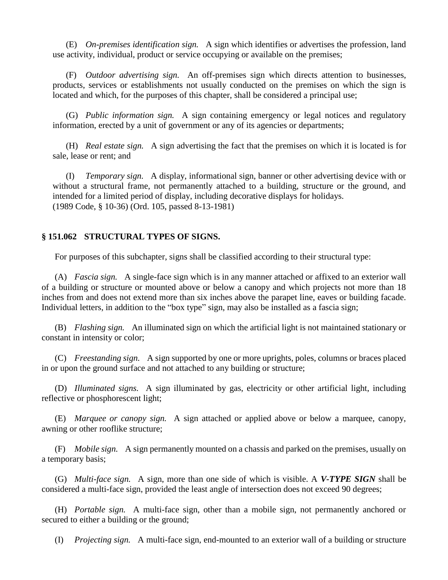(E) *On-premises identification sign.* A sign which identifies or advertises the profession, land use activity, individual, product or service occupying or available on the premises;

(F) *Outdoor advertising sign.* An off-premises sign which directs attention to businesses, products, services or establishments not usually conducted on the premises on which the sign is located and which, for the purposes of this chapter, shall be considered a principal use;

(G) *Public information sign.* A sign containing emergency or legal notices and regulatory information, erected by a unit of government or any of its agencies or departments;

(H) *Real estate sign.* A sign advertising the fact that the premises on which it is located is for sale, lease or rent; and

(I) *Temporary sign.* A display, informational sign, banner or other advertising device with or without a structural frame, not permanently attached to a building, structure or the ground, and intended for a limited period of display, including decorative displays for holidays. (1989 Code, § 10-36) (Ord. 105, passed 8-13-1981)

## **§ 151.062 STRUCTURAL TYPES OF SIGNS.**

For purposes of this subchapter, signs shall be classified according to their structural type:

(A) *Fascia sign.* A single-face sign which is in any manner attached or affixed to an exterior wall of a building or structure or mounted above or below a canopy and which projects not more than 18 inches from and does not extend more than six inches above the parapet line, eaves or building facade. Individual letters, in addition to the "box type" sign, may also be installed as a fascia sign;

(B) *Flashing sign.* An illuminated sign on which the artificial light is not maintained stationary or constant in intensity or color;

(C) *Freestanding sign.* A sign supported by one or more uprights, poles, columns or braces placed in or upon the ground surface and not attached to any building or structure;

(D) *Illuminated signs.* A sign illuminated by gas, electricity or other artificial light, including reflective or phosphorescent light;

(E) *Marquee or canopy sign.* A sign attached or applied above or below a marquee, canopy, awning or other rooflike structure;

(F) *Mobile sign.* A sign permanently mounted on a chassis and parked on the premises, usually on a temporary basis;

(G) *Multi-face sign.* A sign, more than one side of which is visible. A *V-TYPE SIGN* shall be considered a multi-face sign, provided the least angle of intersection does not exceed 90 degrees;

(H) *Portable sign.* A multi-face sign, other than a mobile sign, not permanently anchored or secured to either a building or the ground;

(I) *Projecting sign.* A multi-face sign, end-mounted to an exterior wall of a building or structure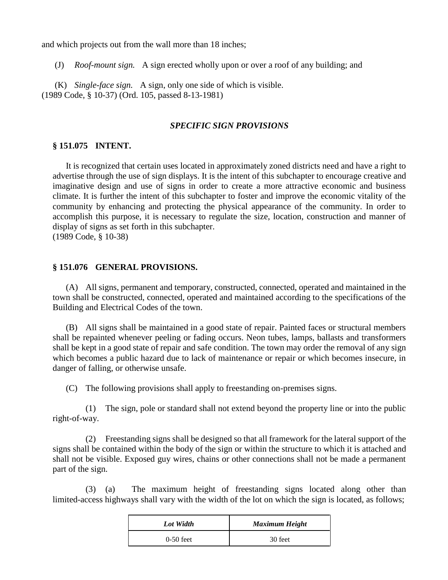and which projects out from the wall more than 18 inches;

(J) *Roof-mount sign.* A sign erected wholly upon or over a roof of any building; and

(K) *Single-face sign.* A sign, only one side of which is visible. (1989 Code, § 10-37) (Ord. 105, passed 8-13-1981)

## *SPECIFIC SIGN PROVISIONS*

#### **§ 151.075 INTENT.**

It is recognized that certain uses located in approximately zoned districts need and have a right to advertise through the use of sign displays. It is the intent of this subchapter to encourage creative and imaginative design and use of signs in order to create a more attractive economic and business climate. It is further the intent of this subchapter to foster and improve the economic vitality of the community by enhancing and protecting the physical appearance of the community. In order to accomplish this purpose, it is necessary to regulate the size, location, construction and manner of display of signs as set forth in this subchapter. (1989 Code, § 10-38)

# **§ 151.076 GENERAL PROVISIONS.**

(A) All signs, permanent and temporary, constructed, connected, operated and maintained in the town shall be constructed, connected, operated and maintained according to the specifications of the Building and Electrical Codes of the town.

(B) All signs shall be maintained in a good state of repair. Painted faces or structural members shall be repainted whenever peeling or fading occurs. Neon tubes, lamps, ballasts and transformers shall be kept in a good state of repair and safe condition. The town may order the removal of any sign which becomes a public hazard due to lack of maintenance or repair or which becomes insecure, in danger of falling, or otherwise unsafe.

(C) The following provisions shall apply to freestanding on-premises signs.

(1) The sign, pole or standard shall not extend beyond the property line or into the public right-of-way.

(2) Freestanding signs shall be designed so that all framework for the lateral support of the signs shall be contained within the body of the sign or within the structure to which it is attached and shall not be visible. Exposed guy wires, chains or other connections shall not be made a permanent part of the sign.

(3) (a) The maximum height of freestanding signs located along other than limited-access highways shall vary with the width of the lot on which the sign is located, as follows;

| Lot Width   | <b>Maximum Height</b> |
|-------------|-----------------------|
| $0-50$ feet | 30 feet               |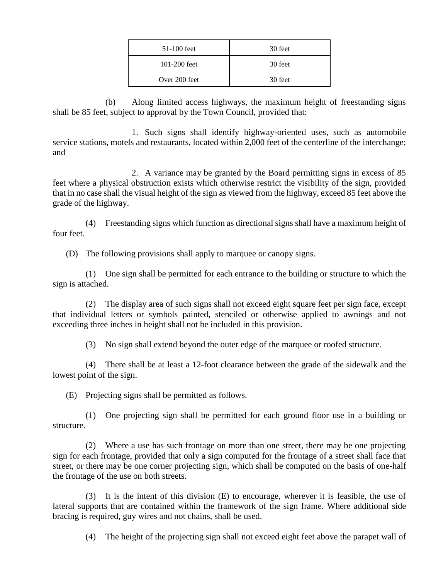| $51-100$ feet    | 30 feet |
|------------------|---------|
| $101 - 200$ feet | 30 feet |
| Over 200 feet    | 30 feet |

(b) Along limited access highways, the maximum height of freestanding signs shall be 85 feet, subject to approval by the Town Council, provided that:

1. Such signs shall identify highway-oriented uses, such as automobile service stations, motels and restaurants, located within 2,000 feet of the centerline of the interchange; and

2. A variance may be granted by the Board permitting signs in excess of 85 feet where a physical obstruction exists which otherwise restrict the visibility of the sign, provided that in no case shall the visual height of the sign as viewed from the highway, exceed 85 feet above the grade of the highway.

(4) Freestanding signs which function as directional signs shall have a maximum height of four feet.

(D) The following provisions shall apply to marquee or canopy signs.

(1) One sign shall be permitted for each entrance to the building or structure to which the sign is attached.

(2) The display area of such signs shall not exceed eight square feet per sign face, except that individual letters or symbols painted, stenciled or otherwise applied to awnings and not exceeding three inches in height shall not be included in this provision.

(3) No sign shall extend beyond the outer edge of the marquee or roofed structure.

(4) There shall be at least a 12-foot clearance between the grade of the sidewalk and the lowest point of the sign.

(E) Projecting signs shall be permitted as follows.

(1) One projecting sign shall be permitted for each ground floor use in a building or structure.

(2) Where a use has such frontage on more than one street, there may be one projecting sign for each frontage, provided that only a sign computed for the frontage of a street shall face that street, or there may be one corner projecting sign, which shall be computed on the basis of one-half the frontage of the use on both streets.

(3) It is the intent of this division (E) to encourage, wherever it is feasible, the use of lateral supports that are contained within the framework of the sign frame. Where additional side bracing is required, guy wires and not chains, shall be used.

(4) The height of the projecting sign shall not exceed eight feet above the parapet wall of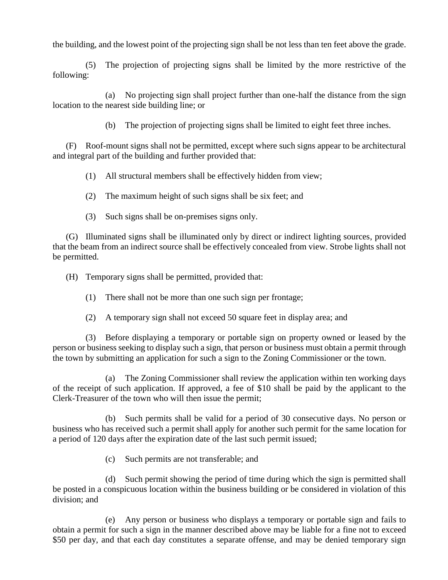the building, and the lowest point of the projecting sign shall be not less than ten feet above the grade.

(5) The projection of projecting signs shall be limited by the more restrictive of the following:

(a) No projecting sign shall project further than one-half the distance from the sign location to the nearest side building line; or

(b) The projection of projecting signs shall be limited to eight feet three inches.

(F) Roof-mount signs shall not be permitted, except where such signs appear to be architectural and integral part of the building and further provided that:

(1) All structural members shall be effectively hidden from view;

(2) The maximum height of such signs shall be six feet; and

(3) Such signs shall be on-premises signs only.

(G) Illuminated signs shall be illuminated only by direct or indirect lighting sources, provided that the beam from an indirect source shall be effectively concealed from view. Strobe lights shall not be permitted.

(H) Temporary signs shall be permitted, provided that:

(1) There shall not be more than one such sign per frontage;

(2) A temporary sign shall not exceed 50 square feet in display area; and

(3) Before displaying a temporary or portable sign on property owned or leased by the person or business seeking to display such a sign, that person or business must obtain a permit through the town by submitting an application for such a sign to the Zoning Commissioner or the town.

(a) The Zoning Commissioner shall review the application within ten working days of the receipt of such application. If approved, a fee of \$10 shall be paid by the applicant to the Clerk-Treasurer of the town who will then issue the permit;

(b) Such permits shall be valid for a period of 30 consecutive days. No person or business who has received such a permit shall apply for another such permit for the same location for a period of 120 days after the expiration date of the last such permit issued;

(c) Such permits are not transferable; and

(d) Such permit showing the period of time during which the sign is permitted shall be posted in a conspicuous location within the business building or be considered in violation of this division; and

(e) Any person or business who displays a temporary or portable sign and fails to obtain a permit for such a sign in the manner described above may be liable for a fine not to exceed \$50 per day, and that each day constitutes a separate offense, and may be denied temporary sign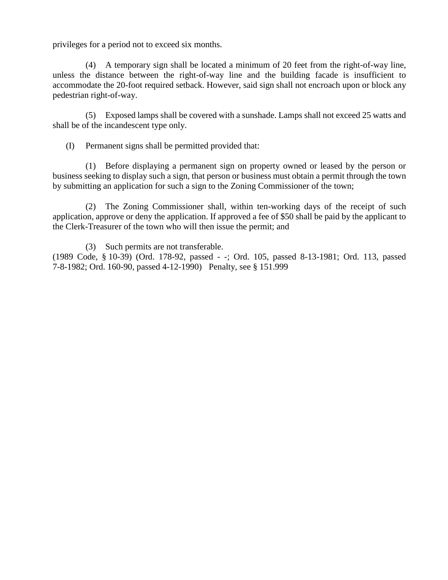privileges for a period not to exceed six months.

(4) A temporary sign shall be located a minimum of 20 feet from the right-of-way line, unless the distance between the right-of-way line and the building facade is insufficient to accommodate the 20-foot required setback. However, said sign shall not encroach upon or block any pedestrian right-of-way.

(5) Exposed lamps shall be covered with a sunshade. Lamps shall not exceed 25 watts and shall be of the incandescent type only.

(I) Permanent signs shall be permitted provided that:

(1) Before displaying a permanent sign on property owned or leased by the person or business seeking to display such a sign, that person or business must obtain a permit through the town by submitting an application for such a sign to the Zoning Commissioner of the town;

(2) The Zoning Commissioner shall, within ten-working days of the receipt of such application, approve or deny the application. If approved a fee of \$50 shall be paid by the applicant to the Clerk-Treasurer of the town who will then issue the permit; and

(3) Such permits are not transferable.

(1989 Code, § 10-39) (Ord. 178-92, passed - -; Ord. 105, passed 8-13-1981; Ord. 113, passed 7-8-1982; Ord. 160-90, passed 4-12-1990) Penalty, see § 151.999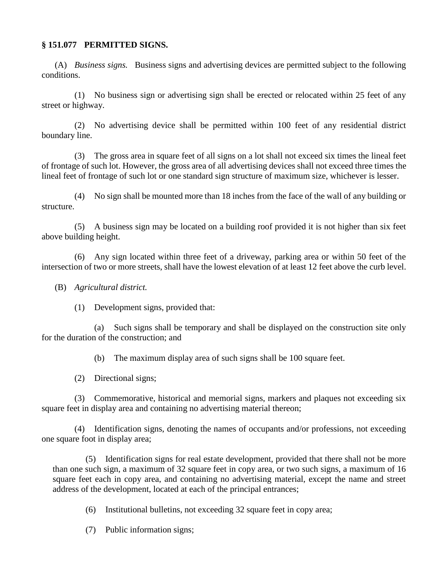## **§ 151.077 PERMITTED SIGNS.**

(A) *Business signs.* Business signs and advertising devices are permitted subject to the following conditions.

(1) No business sign or advertising sign shall be erected or relocated within 25 feet of any street or highway.

(2) No advertising device shall be permitted within 100 feet of any residential district boundary line.

(3) The gross area in square feet of all signs on a lot shall not exceed six times the lineal feet of frontage of such lot. However, the gross area of all advertising devices shall not exceed three times the lineal feet of frontage of such lot or one standard sign structure of maximum size, whichever is lesser.

(4) No sign shall be mounted more than 18 inches from the face of the wall of any building or structure.

(5) A business sign may be located on a building roof provided it is not higher than six feet above building height.

(6) Any sign located within three feet of a driveway, parking area or within 50 feet of the intersection of two or more streets, shall have the lowest elevation of at least 12 feet above the curb level.

(B) *Agricultural district.*

(1) Development signs, provided that:

(a) Such signs shall be temporary and shall be displayed on the construction site only for the duration of the construction; and

(b) The maximum display area of such signs shall be 100 square feet.

(2) Directional signs;

(3) Commemorative, historical and memorial signs, markers and plaques not exceeding six square feet in display area and containing no advertising material thereon;

(4) Identification signs, denoting the names of occupants and/or professions, not exceeding one square foot in display area;

(5) Identification signs for real estate development, provided that there shall not be more than one such sign, a maximum of 32 square feet in copy area, or two such signs, a maximum of 16 square feet each in copy area, and containing no advertising material, except the name and street address of the development, located at each of the principal entrances;

(6) Institutional bulletins, not exceeding 32 square feet in copy area;

(7) Public information signs;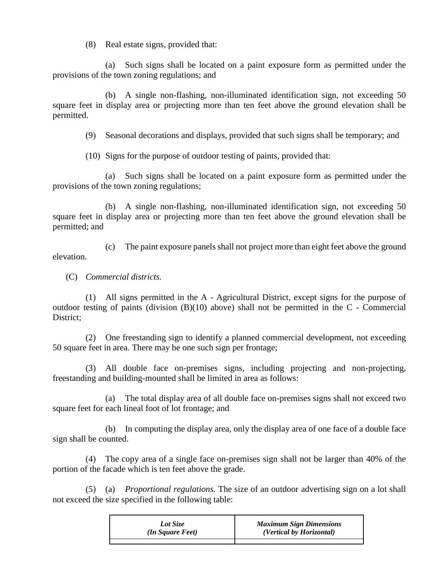(8) Real estate signs, provided that:

(a) Such signs shall be located on a paint exposure form as permitted under the provisions of the town zoning regulations; and

(b) A single non-flashing, non-illuminated identification sign, not exceeding 50 square feet in display area or projecting more than ten feet above the ground elevation shall be permitted.

(9) Seasonal decorations and displays, provided that such signs shall be temporary; and

(10) Signs for the purpose of outdoor testing of paints, provided that:

(a) Such signs shall be located on a paint exposure form as permitted under the provisions of the town zoning regulations;

(b) A single non-flashing, non-illuminated identification sign, not exceeding 50 square feet in display area or projecting more than ten feet above the ground elevation shall be permitted; and

(c) The paint exposure panels shall not project more than eight feet above the ground elevation.

(C) *Commercial districts.*

(1) All signs permitted in the A - Agricultural District, except signs for the purpose of outdoor testing of paints (division (B)(10) above) shall not be permitted in the C - Commercial District;

(2) One freestanding sign to identify a planned commercial development, not exceeding 50 square feet in area. There may be one such sign per frontage;

(3) All double face on-premises signs, including projecting and non-projecting, freestanding and building-mounted shall be limited in area as follows:

(a) The total display area of all double face on-premises signs shall not exceed two square feet for each lineal foot of lot frontage; and

(b) In computing the display area, only the display area of one face of a double face sign shall be counted.

(4) The copy area of a single face on-premises sign shall not be larger than 40% of the portion of the facade which is ten feet above the grade.

(5) (a) *Proportional regulations.* The size of an outdoor advertising sign on a lot shall not exceed the size specified in the following table:

| Lot Size         | <b>Maximum Sign Dimensions</b> |
|------------------|--------------------------------|
| (In Square Feet) | (Vertical by Horizontal)       |
|                  |                                |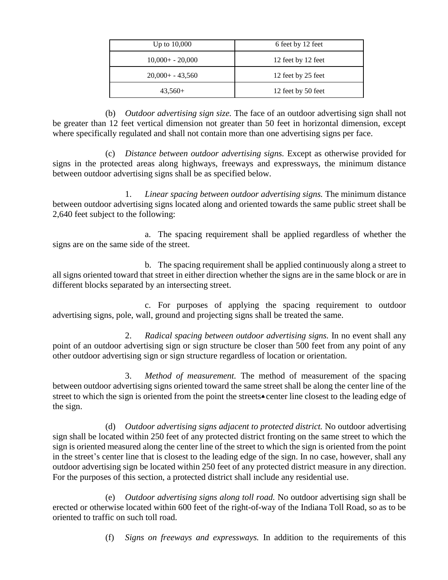| Up to $10,000$     | 6 feet by 12 feet  |
|--------------------|--------------------|
| $10,000+ - 20,000$ | 12 feet by 12 feet |
| $20,000+ -43,560$  | 12 feet by 25 feet |
| $43,560+$          | 12 feet by 50 feet |

(b) *Outdoor advertising sign size.* The face of an outdoor advertising sign shall not be greater than 12 feet vertical dimension not greater than 50 feet in horizontal dimension, except where specifically regulated and shall not contain more than one advertising signs per face.

(c) *Distance between outdoor advertising signs.* Except as otherwise provided for signs in the protected areas along highways, freeways and expressways, the minimum distance between outdoor advertising signs shall be as specified below.

1. *Linear spacing between outdoor advertising signs.* The minimum distance between outdoor advertising signs located along and oriented towards the same public street shall be 2,640 feet subject to the following:

a. The spacing requirement shall be applied regardless of whether the signs are on the same side of the street.

b. The spacing requirement shall be applied continuously along a street to all signs oriented toward that street in either direction whether the signs are in the same block or are in different blocks separated by an intersecting street.

c. For purposes of applying the spacing requirement to outdoor advertising signs, pole, wall, ground and projecting signs shall be treated the same.

2. *Radical spacing between outdoor advertising signs.* In no event shall any point of an outdoor advertising sign or sign structure be closer than 500 feet from any point of any other outdoor advertising sign or sign structure regardless of location or orientation.

3. *Method of measurement.* The method of measurement of the spacing between outdoor advertising signs oriented toward the same street shall be along the center line of the street to which the sign is oriented from the point the streets• center line closest to the leading edge of the sign.

(d) *Outdoor advertising signs adjacent to protected district.* No outdoor advertising sign shall be located within 250 feet of any protected district fronting on the same street to which the sign is oriented measured along the center line of the street to which the sign is oriented from the point in the street's center line that is closest to the leading edge of the sign. In no case, however, shall any outdoor advertising sign be located within 250 feet of any protected district measure in any direction. For the purposes of this section, a protected district shall include any residential use.

(e) *Outdoor advertising signs along toll road.* No outdoor advertising sign shall be erected or otherwise located within 600 feet of the right-of-way of the Indiana Toll Road, so as to be oriented to traffic on such toll road.

(f) *Signs on freeways and expressways.* In addition to the requirements of this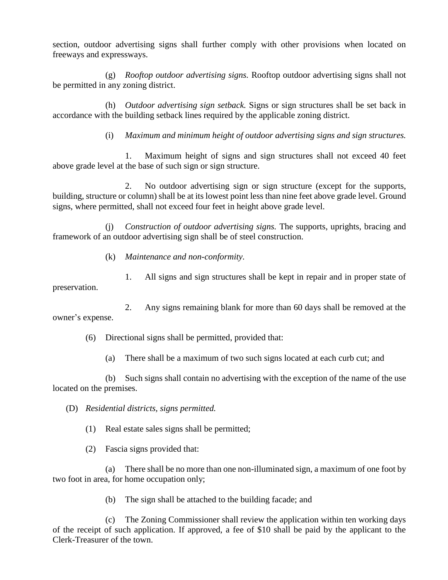section, outdoor advertising signs shall further comply with other provisions when located on freeways and expressways.

(g) *Rooftop outdoor advertising signs.* Rooftop outdoor advertising signs shall not be permitted in any zoning district.

(h) *Outdoor advertising sign setback.* Signs or sign structures shall be set back in accordance with the building setback lines required by the applicable zoning district.

(i) *Maximum and minimum height of outdoor advertising signs and sign structures.*

1. Maximum height of signs and sign structures shall not exceed 40 feet above grade level at the base of such sign or sign structure.

2. No outdoor advertising sign or sign structure (except for the supports, building, structure or column) shall be at its lowest point less than nine feet above grade level. Ground signs, where permitted, shall not exceed four feet in height above grade level.

(j) *Construction of outdoor advertising signs.* The supports, uprights, bracing and framework of an outdoor advertising sign shall be of steel construction.

(k) *Maintenance and non-conformity.*

1. All signs and sign structures shall be kept in repair and in proper state of preservation.

2. Any signs remaining blank for more than 60 days shall be removed at the owner's expense.

(6) Directional signs shall be permitted, provided that:

(a) There shall be a maximum of two such signs located at each curb cut; and

(b) Such signs shall contain no advertising with the exception of the name of the use located on the premises.

(D) *Residential districts, signs permitted.*

(1) Real estate sales signs shall be permitted;

(2) Fascia signs provided that:

(a) There shall be no more than one non-illuminated sign, a maximum of one foot by two foot in area, for home occupation only;

(b) The sign shall be attached to the building facade; and

(c) The Zoning Commissioner shall review the application within ten working days of the receipt of such application. If approved, a fee of \$10 shall be paid by the applicant to the Clerk-Treasurer of the town.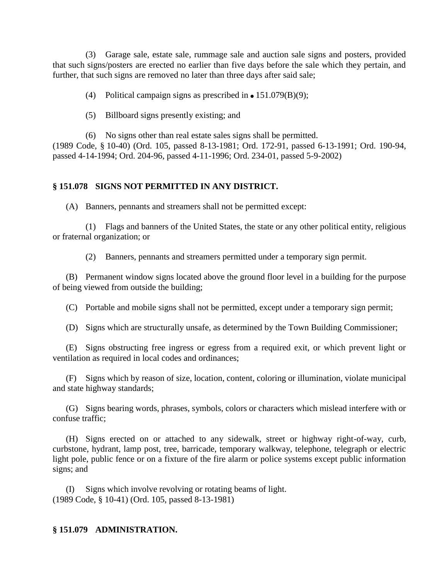(3) Garage sale, estate sale, rummage sale and auction sale signs and posters, provided that such signs/posters are erected no earlier than five days before the sale which they pertain, and further, that such signs are removed no later than three days after said sale;

(4) Political campaign signs as prescribed in  $\bullet$  151.079(B)(9);

(5) Billboard signs presently existing; and

(6) No signs other than real estate sales signs shall be permitted. (1989 Code, § 10-40) (Ord. 105, passed 8-13-1981; Ord. 172-91, passed 6-13-1991; Ord. 190-94, passed 4-14-1994; Ord. 204-96, passed 4-11-1996; Ord. 234-01, passed 5-9-2002)

# **§ 151.078 SIGNS NOT PERMITTED IN ANY DISTRICT.**

(A) Banners, pennants and streamers shall not be permitted except:

(1) Flags and banners of the United States, the state or any other political entity, religious or fraternal organization; or

(2) Banners, pennants and streamers permitted under a temporary sign permit.

(B) Permanent window signs located above the ground floor level in a building for the purpose of being viewed from outside the building;

(C) Portable and mobile signs shall not be permitted, except under a temporary sign permit;

(D) Signs which are structurally unsafe, as determined by the Town Building Commissioner;

(E) Signs obstructing free ingress or egress from a required exit, or which prevent light or ventilation as required in local codes and ordinances;

(F) Signs which by reason of size, location, content, coloring or illumination, violate municipal and state highway standards;

(G) Signs bearing words, phrases, symbols, colors or characters which mislead interfere with or confuse traffic;

(H) Signs erected on or attached to any sidewalk, street or highway right-of-way, curb, curbstone, hydrant, lamp post, tree, barricade, temporary walkway, telephone, telegraph or electric light pole, public fence or on a fixture of the fire alarm or police systems except public information signs; and

(I) Signs which involve revolving or rotating beams of light. (1989 Code, § 10-41) (Ord. 105, passed 8-13-1981)

# **§ 151.079 ADMINISTRATION.**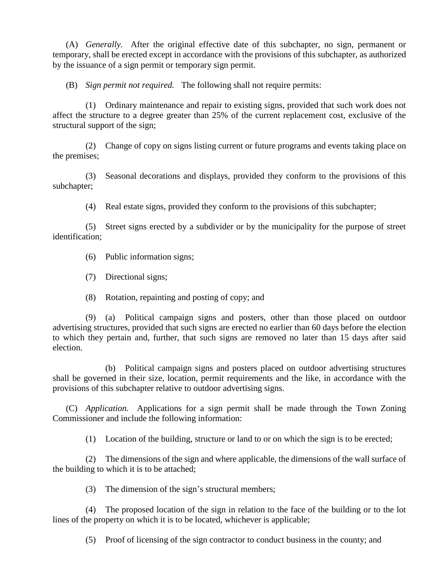(A) *Generally.* After the original effective date of this subchapter, no sign, permanent or temporary, shall be erected except in accordance with the provisions of this subchapter, as authorized by the issuance of a sign permit or temporary sign permit.

(B) *Sign permit not required.* The following shall not require permits:

(1) Ordinary maintenance and repair to existing signs, provided that such work does not affect the structure to a degree greater than 25% of the current replacement cost, exclusive of the structural support of the sign;

(2) Change of copy on signs listing current or future programs and events taking place on the premises;

(3) Seasonal decorations and displays, provided they conform to the provisions of this subchapter;

(4) Real estate signs, provided they conform to the provisions of this subchapter;

(5) Street signs erected by a subdivider or by the municipality for the purpose of street identification;

(6) Public information signs;

(7) Directional signs;

(8) Rotation, repainting and posting of copy; and

(9) (a) Political campaign signs and posters, other than those placed on outdoor advertising structures, provided that such signs are erected no earlier than 60 days before the election to which they pertain and, further, that such signs are removed no later than 15 days after said election.

(b) Political campaign signs and posters placed on outdoor advertising structures shall be governed in their size, location, permit requirements and the like, in accordance with the provisions of this subchapter relative to outdoor advertising signs.

(C) *Application.* Applications for a sign permit shall be made through the Town Zoning Commissioner and include the following information:

(1) Location of the building, structure or land to or on which the sign is to be erected;

(2) The dimensions of the sign and where applicable, the dimensions of the wall surface of the building to which it is to be attached;

(3) The dimension of the sign's structural members;

(4) The proposed location of the sign in relation to the face of the building or to the lot lines of the property on which it is to be located, whichever is applicable;

(5) Proof of licensing of the sign contractor to conduct business in the county; and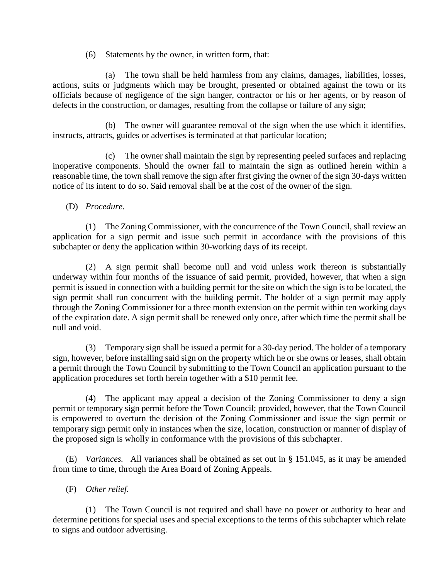(6) Statements by the owner, in written form, that:

(a) The town shall be held harmless from any claims, damages, liabilities, losses, actions, suits or judgments which may be brought, presented or obtained against the town or its officials because of negligence of the sign hanger, contractor or his or her agents, or by reason of defects in the construction, or damages, resulting from the collapse or failure of any sign;

(b) The owner will guarantee removal of the sign when the use which it identifies, instructs, attracts, guides or advertises is terminated at that particular location;

(c) The owner shall maintain the sign by representing peeled surfaces and replacing inoperative components. Should the owner fail to maintain the sign as outlined herein within a reasonable time, the town shall remove the sign after first giving the owner of the sign 30-days written notice of its intent to do so. Said removal shall be at the cost of the owner of the sign.

(D) *Procedure.*

(1) The Zoning Commissioner, with the concurrence of the Town Council, shall review an application for a sign permit and issue such permit in accordance with the provisions of this subchapter or deny the application within 30-working days of its receipt.

(2) A sign permit shall become null and void unless work thereon is substantially underway within four months of the issuance of said permit, provided, however, that when a sign permit is issued in connection with a building permit for the site on which the sign is to be located, the sign permit shall run concurrent with the building permit. The holder of a sign permit may apply through the Zoning Commissioner for a three month extension on the permit within ten working days of the expiration date. A sign permit shall be renewed only once, after which time the permit shall be null and void.

(3) Temporary sign shall be issued a permit for a 30-day period. The holder of a temporary sign, however, before installing said sign on the property which he or she owns or leases, shall obtain a permit through the Town Council by submitting to the Town Council an application pursuant to the application procedures set forth herein together with a \$10 permit fee.

(4) The applicant may appeal a decision of the Zoning Commissioner to deny a sign permit or temporary sign permit before the Town Council; provided, however, that the Town Council is empowered to overturn the decision of the Zoning Commissioner and issue the sign permit or temporary sign permit only in instances when the size, location, construction or manner of display of the proposed sign is wholly in conformance with the provisions of this subchapter.

(E) *Variances.* All variances shall be obtained as set out in § 151.045, as it may be amended from time to time, through the Area Board of Zoning Appeals.

(F) *Other relief.*

(1) The Town Council is not required and shall have no power or authority to hear and determine petitions for special uses and special exceptions to the terms of this subchapter which relate to signs and outdoor advertising.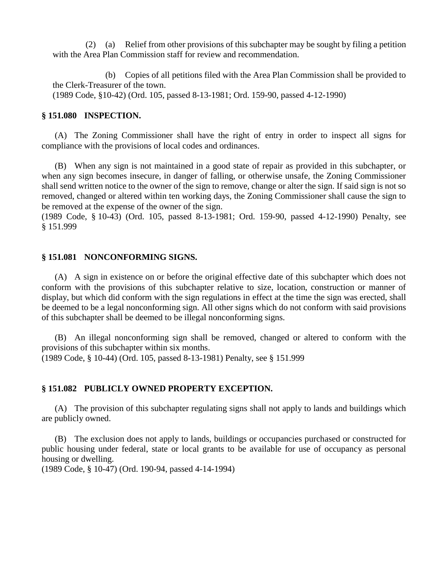(2) (a) Relief from other provisions of this subchapter may be sought by filing a petition with the Area Plan Commission staff for review and recommendation.

(b) Copies of all petitions filed with the Area Plan Commission shall be provided to the Clerk-Treasurer of the town. (1989 Code, §10-42) (Ord. 105, passed 8-13-1981; Ord. 159-90, passed 4-12-1990)

#### **§ 151.080 INSPECTION.**

(A) The Zoning Commissioner shall have the right of entry in order to inspect all signs for compliance with the provisions of local codes and ordinances.

(B) When any sign is not maintained in a good state of repair as provided in this subchapter, or when any sign becomes insecure, in danger of falling, or otherwise unsafe, the Zoning Commissioner shall send written notice to the owner of the sign to remove, change or alter the sign. If said sign is not so removed, changed or altered within ten working days, the Zoning Commissioner shall cause the sign to be removed at the expense of the owner of the sign.

(1989 Code, § 10-43) (Ord. 105, passed 8-13-1981; Ord. 159-90, passed 4-12-1990) Penalty, see § 151.999

#### **§ 151.081 NONCONFORMING SIGNS.**

(A) A sign in existence on or before the original effective date of this subchapter which does not conform with the provisions of this subchapter relative to size, location, construction or manner of display, but which did conform with the sign regulations in effect at the time the sign was erected, shall be deemed to be a legal nonconforming sign. All other signs which do not conform with said provisions of this subchapter shall be deemed to be illegal nonconforming signs.

(B) An illegal nonconforming sign shall be removed, changed or altered to conform with the provisions of this subchapter within six months. (1989 Code, § 10-44) (Ord. 105, passed 8-13-1981) Penalty, see § 151.999

#### **§ 151.082 PUBLICLY OWNED PROPERTY EXCEPTION.**

(A) The provision of this subchapter regulating signs shall not apply to lands and buildings which are publicly owned.

(B) The exclusion does not apply to lands, buildings or occupancies purchased or constructed for public housing under federal, state or local grants to be available for use of occupancy as personal housing or dwelling.

(1989 Code, § 10-47) (Ord. 190-94, passed 4-14-1994)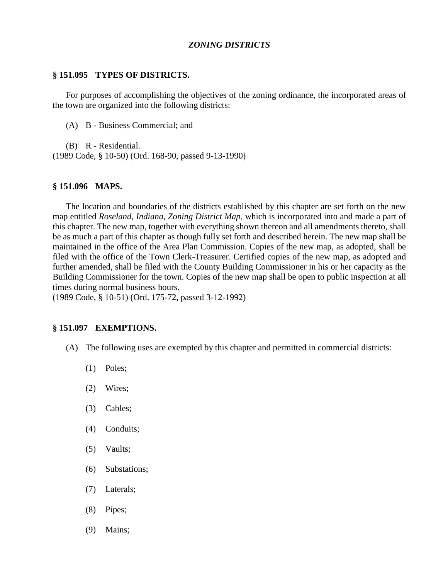#### *ZONING DISTRICTS*

#### **§ 151.095 TYPES OF DISTRICTS.**

For purposes of accomplishing the objectives of the zoning ordinance, the incorporated areas of the town are organized into the following districts:

(A) B - Business Commercial; and

(B) R - Residential. (1989 Code, § 10-50) (Ord. 168-90, passed 9-13-1990)

#### **§ 151.096 MAPS.**

The location and boundaries of the districts established by this chapter are set forth on the new map entitled *Roseland, Indiana, Zoning District Map*, which is incorporated into and made a part of this chapter. The new map, together with everything shown thereon and all amendments thereto, shall be as much a part of this chapter as though fully set forth and described herein. The new map shall be maintained in the office of the Area Plan Commission. Copies of the new map, as adopted, shall be filed with the office of the Town Clerk-Treasurer. Certified copies of the new map, as adopted and further amended, shall be filed with the County Building Commissioner in his or her capacity as the Building Commissioner for the town. Copies of the new map shall be open to public inspection at all times during normal business hours.

(1989 Code, § 10-51) (Ord. 175-72, passed 3-12-1992)

#### **§ 151.097 EXEMPTIONS.**

- (A) The following uses are exempted by this chapter and permitted in commercial districts:
	- (1) Poles;
	- (2) Wires;
	- (3) Cables;
	- (4) Conduits;
	- (5) Vaults;
	- (6) Substations;
	- (7) Laterals;
	- (8) Pipes;
	- (9) Mains;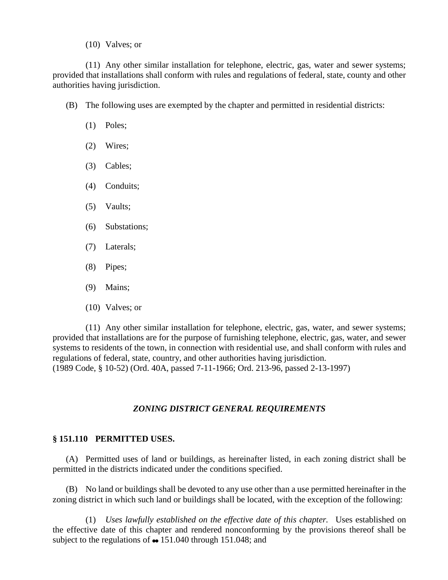#### (10) Valves; or

(11) Any other similar installation for telephone, electric, gas, water and sewer systems; provided that installations shall conform with rules and regulations of federal, state, county and other authorities having jurisdiction.

- (B) The following uses are exempted by the chapter and permitted in residential districts:
	- (1) Poles;
	- (2) Wires;
	- (3) Cables;
	- (4) Conduits;
	- (5) Vaults;
	- (6) Substations;
	- (7) Laterals;
	- (8) Pipes;
	- (9) Mains;
	- (10) Valves; or

(11) Any other similar installation for telephone, electric, gas, water, and sewer systems; provided that installations are for the purpose of furnishing telephone, electric, gas, water, and sewer systems to residents of the town, in connection with residential use, and shall conform with rules and regulations of federal, state, country, and other authorities having jurisdiction. (1989 Code, § 10-52) (Ord. 40A, passed 7-11-1966; Ord. 213-96, passed 2-13-1997)

# *ZONING DISTRICT GENERAL REQUIREMENTS*

# **§ 151.110 PERMITTED USES.**

(A) Permitted uses of land or buildings, as hereinafter listed, in each zoning district shall be permitted in the districts indicated under the conditions specified.

(B) No land or buildings shall be devoted to any use other than a use permitted hereinafter in the zoning district in which such land or buildings shall be located, with the exception of the following:

(1) *Uses lawfully established on the effective date of this chapter.* Uses established on the effective date of this chapter and rendered nonconforming by the provisions thereof shall be subject to the regulations of  $\bullet$  151.040 through 151.048; and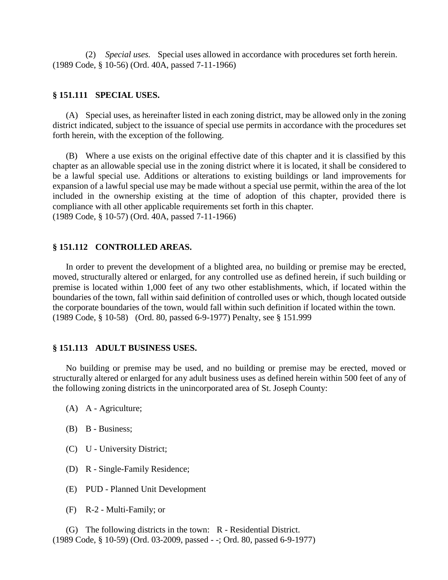(2) *Special uses.* Special uses allowed in accordance with procedures set forth herein. (1989 Code, § 10-56) (Ord. 40A, passed 7-11-1966)

#### **§ 151.111 SPECIAL USES.**

(A) Special uses, as hereinafter listed in each zoning district, may be allowed only in the zoning district indicated, subject to the issuance of special use permits in accordance with the procedures set forth herein, with the exception of the following.

(B) Where a use exists on the original effective date of this chapter and it is classified by this chapter as an allowable special use in the zoning district where it is located, it shall be considered to be a lawful special use. Additions or alterations to existing buildings or land improvements for expansion of a lawful special use may be made without a special use permit, within the area of the lot included in the ownership existing at the time of adoption of this chapter, provided there is compliance with all other applicable requirements set forth in this chapter. (1989 Code, § 10-57) (Ord. 40A, passed 7-11-1966)

#### **§ 151.112 CONTROLLED AREAS.**

In order to prevent the development of a blighted area, no building or premise may be erected, moved, structurally altered or enlarged, for any controlled use as defined herein, if such building or premise is located within 1,000 feet of any two other establishments, which, if located within the boundaries of the town, fall within said definition of controlled uses or which, though located outside the corporate boundaries of the town, would fall within such definition if located within the town. (1989 Code, § 10-58) (Ord. 80, passed 6-9-1977) Penalty, see § 151.999

# **§ 151.113 ADULT BUSINESS USES.**

No building or premise may be used, and no building or premise may be erected, moved or structurally altered or enlarged for any adult business uses as defined herein within 500 feet of any of the following zoning districts in the unincorporated area of St. Joseph County:

- (A) A Agriculture;
- (B) B Business;
- (C) U University District;
- (D) R Single-Family Residence;
- (E) PUD Planned Unit Development
- (F) R-2 Multi-Family; or

(G) The following districts in the town: R - Residential District. (1989 Code, § 10-59) (Ord. 03-2009, passed - -; Ord. 80, passed 6-9-1977)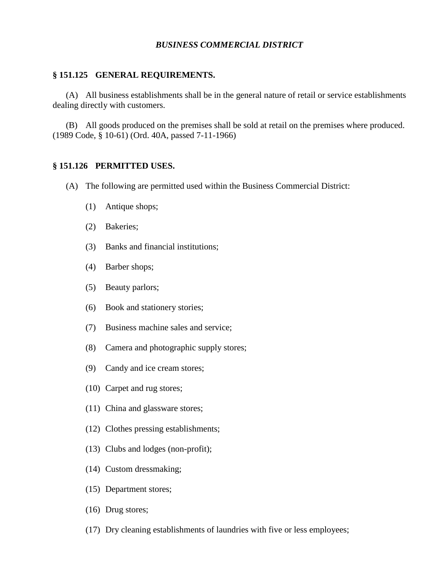#### *BUSINESS COMMERCIAL DISTRICT*

#### **§ 151.125 GENERAL REQUIREMENTS.**

(A) All business establishments shall be in the general nature of retail or service establishments dealing directly with customers.

(B) All goods produced on the premises shall be sold at retail on the premises where produced. (1989 Code, § 10-61) (Ord. 40A, passed 7-11-1966)

# **§ 151.126 PERMITTED USES.**

- (A) The following are permitted used within the Business Commercial District:
	- (1) Antique shops;
	- (2) Bakeries;
	- (3) Banks and financial institutions;
	- (4) Barber shops;
	- (5) Beauty parlors;
	- (6) Book and stationery stories;
	- (7) Business machine sales and service;
	- (8) Camera and photographic supply stores;
	- (9) Candy and ice cream stores;
	- (10) Carpet and rug stores;
	- (11) China and glassware stores;
	- (12) Clothes pressing establishments;
	- (13) Clubs and lodges (non-profit);
	- (14) Custom dressmaking;
	- (15) Department stores;
	- (16) Drug stores;
	- (17) Dry cleaning establishments of laundries with five or less employees;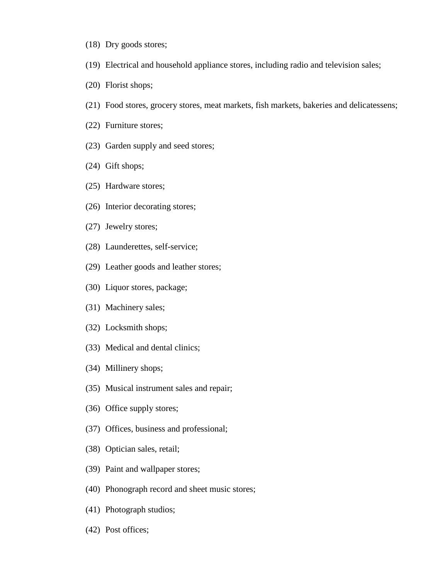- (18) Dry goods stores;
- (19) Electrical and household appliance stores, including radio and television sales;
- (20) Florist shops;
- (21) Food stores, grocery stores, meat markets, fish markets, bakeries and delicatessens;
- (22) Furniture stores;
- (23) Garden supply and seed stores;
- (24) Gift shops;
- (25) Hardware stores;
- (26) Interior decorating stores;
- (27) Jewelry stores;
- (28) Launderettes, self-service;
- (29) Leather goods and leather stores;
- (30) Liquor stores, package;
- (31) Machinery sales;
- (32) Locksmith shops;
- (33) Medical and dental clinics;
- (34) Millinery shops;
- (35) Musical instrument sales and repair;
- (36) Office supply stores;
- (37) Offices, business and professional;
- (38) Optician sales, retail;
- (39) Paint and wallpaper stores;
- (40) Phonograph record and sheet music stores;
- (41) Photograph studios;
- (42) Post offices;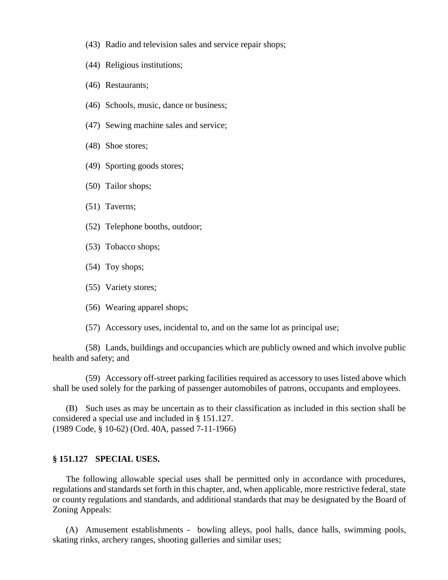- (43) Radio and television sales and service repair shops;
- (44) Religious institutions;
- (46) Restaurants;
- (46) Schools, music, dance or business;
- (47) Sewing machine sales and service;
- (48) Shoe stores;
- (49) Sporting goods stores;
- (50) Tailor shops;
- (51) Taverns;
- (52) Telephone booths, outdoor;
- (53) Tobacco shops;
- (54) Toy shops;
- (55) Variety stores;
- (56) Wearing apparel shops;
- (57) Accessory uses, incidental to, and on the same lot as principal use;

(58) Lands, buildings and occupancies which are publicly owned and which involve public health and safety; and

(59) Accessory off-street parking facilities required as accessory to uses listed above which shall be used solely for the parking of passenger automobiles of patrons, occupants and employees.

(B) Such uses as may be uncertain as to their classification as included in this section shall be considered a special use and included in § 151.127. (1989 Code, § 10-62) (Ord. 40A, passed 7-11-1966)

### **§ 151.127 SPECIAL USES.**

The following allowable special uses shall be permitted only in accordance with procedures, regulations and standards set forth in this chapter, and, when applicable, more restrictive federal, state or county regulations and standards, and additional standards that may be designated by the Board of Zoning Appeals:

(A) Amusement establishments - bowling alleys, pool halls, dance halls, swimming pools, skating rinks, archery ranges, shooting galleries and similar uses;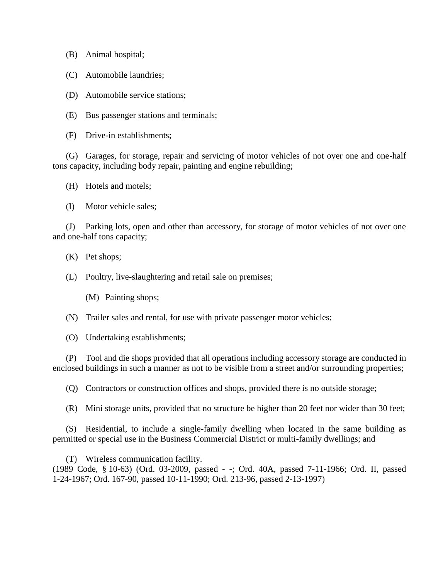(B) Animal hospital;

(C) Automobile laundries;

(D) Automobile service stations;

(E) Bus passenger stations and terminals;

(F) Drive-in establishments;

(G) Garages, for storage, repair and servicing of motor vehicles of not over one and one-half tons capacity, including body repair, painting and engine rebuilding;

(H) Hotels and motels;

(I) Motor vehicle sales;

(J) Parking lots, open and other than accessory, for storage of motor vehicles of not over one and one-half tons capacity;

(K) Pet shops;

(L) Poultry, live-slaughtering and retail sale on premises;

(M) Painting shops;

(N) Trailer sales and rental, for use with private passenger motor vehicles;

(O) Undertaking establishments;

(P) Tool and die shops provided that all operations including accessory storage are conducted in enclosed buildings in such a manner as not to be visible from a street and/or surrounding properties;

(Q) Contractors or construction offices and shops, provided there is no outside storage;

(R) Mini storage units, provided that no structure be higher than 20 feet nor wider than 30 feet;

(S) Residential, to include a single-family dwelling when located in the same building as permitted or special use in the Business Commercial District or multi-family dwellings; and

(T) Wireless communication facility. (1989 Code, § 10-63) (Ord. 03-2009, passed - -; Ord. 40A, passed 7-11-1966; Ord. II, passed 1-24-1967; Ord. 167-90, passed 10-11-1990; Ord. 213-96, passed 2-13-1997)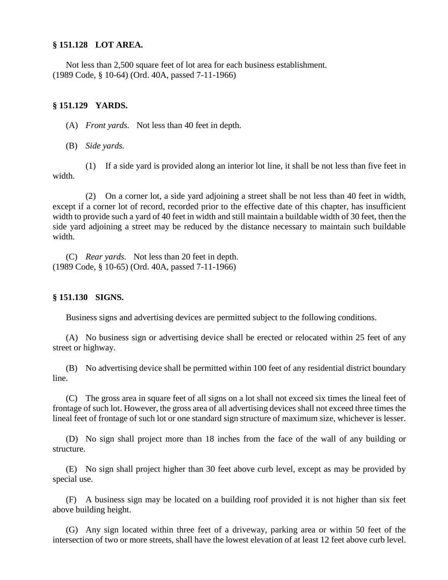#### **§ 151.128 LOT AREA.**

Not less than 2,500 square feet of lot area for each business establishment. (1989 Code, § 10-64) (Ord. 40A, passed 7-11-1966)

#### **§ 151.129 YARDS.**

(A) *Front yards.* Not less than 40 feet in depth.

(B) *Side yards.*

(1) If a side yard is provided along an interior lot line, it shall be not less than five feet in width.

(2) On a corner lot, a side yard adjoining a street shall be not less than 40 feet in width, except if a corner lot of record, recorded prior to the effective date of this chapter, has insufficient width to provide such a yard of 40 feet in width and still maintain a buildable width of 30 feet, then the side yard adjoining a street may be reduced by the distance necessary to maintain such buildable width.

(C) *Rear yards.* Not less than 20 feet in depth. (1989 Code, § 10-65) (Ord. 40A, passed 7-11-1966)

# **§ 151.130 SIGNS.**

Business signs and advertising devices are permitted subject to the following conditions.

(A) No business sign or advertising device shall be erected or relocated within 25 feet of any street or highway.

(B) No advertising device shall be permitted within 100 feet of any residential district boundary line.

(C) The gross area in square feet of all signs on a lot shall not exceed six times the lineal feet of frontage of such lot. However, the gross area of all advertising devices shall not exceed three times the lineal feet of frontage of such lot or one standard sign structure of maximum size, whichever is lesser.

(D) No sign shall project more than 18 inches from the face of the wall of any building or structure.

(E) No sign shall project higher than 30 feet above curb level, except as may be provided by special use.

(F) A business sign may be located on a building roof provided it is not higher than six feet above building height.

(G) Any sign located within three feet of a driveway, parking area or within 50 feet of the intersection of two or more streets, shall have the lowest elevation of at least 12 feet above curb level.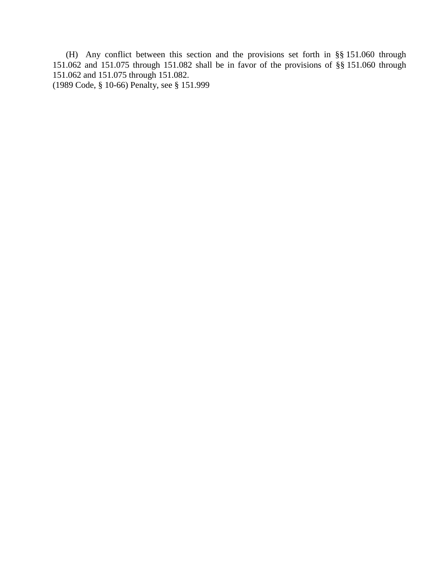(H) Any conflict between this section and the provisions set forth in §§ 151.060 through 151.062 and 151.075 through 151.082 shall be in favor of the provisions of §§ 151.060 through 151.062 and 151.075 through 151.082.

(1989 Code, § 10-66) Penalty, see § 151.999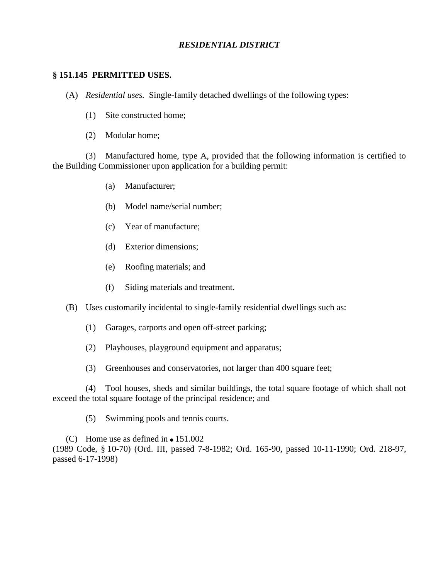# *RESIDENTIAL DISTRICT*

#### **§ 151.145 PERMITTED USES.**

(A) *Residential uses.* Single-family detached dwellings of the following types:

- (1) Site constructed home;
- (2) Modular home;

(3) Manufactured home, type A, provided that the following information is certified to the Building Commissioner upon application for a building permit:

- (a) Manufacturer;
- (b) Model name/serial number;
- (c) Year of manufacture;
- (d) Exterior dimensions;
- (e) Roofing materials; and
- (f) Siding materials and treatment.
- (B) Uses customarily incidental to single-family residential dwellings such as:
	- (1) Garages, carports and open off-street parking;
	- (2) Playhouses, playground equipment and apparatus;
	- (3) Greenhouses and conservatories, not larger than 400 square feet;

(4) Tool houses, sheds and similar buildings, the total square footage of which shall not exceed the total square footage of the principal residence; and

(5) Swimming pools and tennis courts.

(C) Home use as defined in  $\bullet$  151.002 (1989 Code, § 10-70) (Ord. III, passed 7-8-1982; Ord. 165-90, passed 10-11-1990; Ord. 218-97, passed 6-17-1998)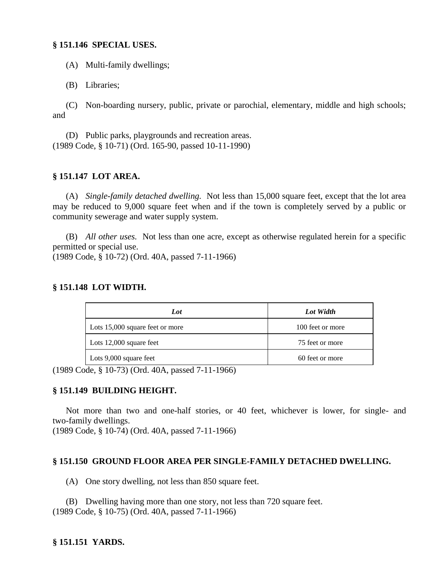#### **§ 151.146 SPECIAL USES.**

(A) Multi-family dwellings;

(B) Libraries;

(C) Non-boarding nursery, public, private or parochial, elementary, middle and high schools; and

(D) Public parks, playgrounds and recreation areas. (1989 Code, § 10-71) (Ord. 165-90, passed 10-11-1990)

# **§ 151.147 LOT AREA.**

(A) *Single-family detached dwelling.* Not less than 15,000 square feet, except that the lot area may be reduced to 9,000 square feet when and if the town is completely served by a public or community sewerage and water supply system.

(B) *All other uses.* Not less than one acre, except as otherwise regulated herein for a specific permitted or special use.

(1989 Code, § 10-72) (Ord. 40A, passed 7-11-1966)

# **§ 151.148 LOT WIDTH.**

| Lot                             | Lot Width        |
|---------------------------------|------------------|
| Lots 15,000 square feet or more | 100 feet or more |
| Lots $12,000$ square feet       | 75 feet or more  |
| Lots 9,000 square feet          | 60 feet or more  |

(1989 Code, § 10-73) (Ord. 40A, passed 7-11-1966)

# **§ 151.149 BUILDING HEIGHT.**

Not more than two and one-half stories, or 40 feet, whichever is lower, for single- and two-family dwellings.

(1989 Code, § 10-74) (Ord. 40A, passed 7-11-1966)

# **§ 151.150 GROUND FLOOR AREA PER SINGLE-FAMILY DETACHED DWELLING.**

(A) One story dwelling, not less than 850 square feet.

(B) Dwelling having more than one story, not less than 720 square feet. (1989 Code, § 10-75) (Ord. 40A, passed 7-11-1966)

# **§ 151.151 YARDS.**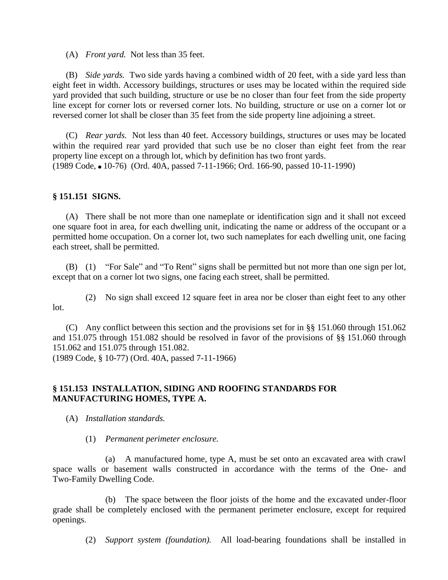(A) *Front yard.* Not less than 35 feet.

(B) *Side yards.* Two side yards having a combined width of 20 feet, with a side yard less than eight feet in width. Accessory buildings, structures or uses may be located within the required side yard provided that such building, structure or use be no closer than four feet from the side property line except for corner lots or reversed corner lots. No building, structure or use on a corner lot or reversed corner lot shall be closer than 35 feet from the side property line adjoining a street.

(C) *Rear yards.* Not less than 40 feet. Accessory buildings, structures or uses may be located within the required rear yard provided that such use be no closer than eight feet from the rear property line except on a through lot, which by definition has two front yards. (1989 Code, ' 10-76) (Ord. 40A, passed 7-11-1966; Ord. 166-90, passed 10-11-1990)

# **§ 151.151 SIGNS.**

(A) There shall be not more than one nameplate or identification sign and it shall not exceed one square foot in area, for each dwelling unit, indicating the name or address of the occupant or a permitted home occupation. On a corner lot, two such nameplates for each dwelling unit, one facing each street, shall be permitted.

(B) (1) "For Sale" and "To Rent" signs shall be permitted but not more than one sign per lot, except that on a corner lot two signs, one facing each street, shall be permitted.

(2) No sign shall exceed 12 square feet in area nor be closer than eight feet to any other lot.

(C) Any conflict between this section and the provisions set for in §§ 151.060 through 151.062 and 151.075 through 151.082 should be resolved in favor of the provisions of §§ 151.060 through 151.062 and 151.075 through 151.082.

(1989 Code, § 10-77) (Ord. 40A, passed 7-11-1966)

# **§ 151.153 INSTALLATION, SIDING AND ROOFING STANDARDS FOR MANUFACTURING HOMES, TYPE A.**

(A) *Installation standards.*

(1) *Permanent perimeter enclosure.*

(a) A manufactured home, type A, must be set onto an excavated area with crawl space walls or basement walls constructed in accordance with the terms of the One- and Two-Family Dwelling Code.

(b) The space between the floor joists of the home and the excavated under-floor grade shall be completely enclosed with the permanent perimeter enclosure, except for required openings.

(2) *Support system (foundation).* All load-bearing foundations shall be installed in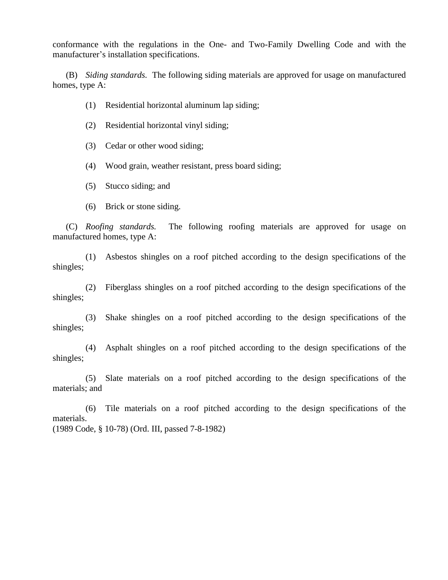conformance with the regulations in the One- and Two-Family Dwelling Code and with the manufacturer's installation specifications.

(B) *Siding standards.* The following siding materials are approved for usage on manufactured homes, type A:

- (1) Residential horizontal aluminum lap siding;
- (2) Residential horizontal vinyl siding;

(3) Cedar or other wood siding;

(4) Wood grain, weather resistant, press board siding;

(5) Stucco siding; and

(6) Brick or stone siding.

(C) *Roofing standards.* The following roofing materials are approved for usage on manufactured homes, type A:

(1) Asbestos shingles on a roof pitched according to the design specifications of the shingles;

(2) Fiberglass shingles on a roof pitched according to the design specifications of the shingles;

(3) Shake shingles on a roof pitched according to the design specifications of the shingles;

(4) Asphalt shingles on a roof pitched according to the design specifications of the shingles;

(5) Slate materials on a roof pitched according to the design specifications of the materials; and

(6) Tile materials on a roof pitched according to the design specifications of the materials. (1989 Code, § 10-78) (Ord. III, passed 7-8-1982)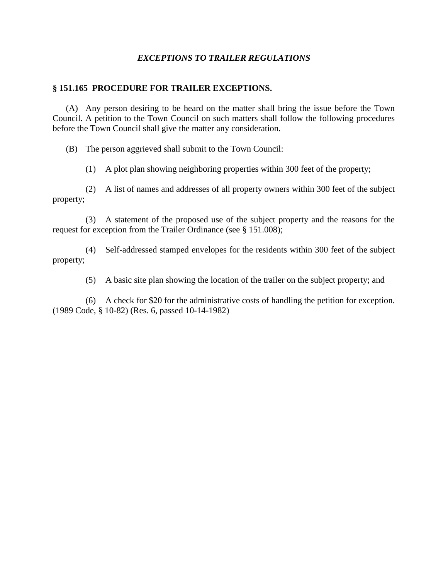# *EXCEPTIONS TO TRAILER REGULATIONS*

#### **§ 151.165 PROCEDURE FOR TRAILER EXCEPTIONS.**

(A) Any person desiring to be heard on the matter shall bring the issue before the Town Council. A petition to the Town Council on such matters shall follow the following procedures before the Town Council shall give the matter any consideration.

(B) The person aggrieved shall submit to the Town Council:

(1) A plot plan showing neighboring properties within 300 feet of the property;

(2) A list of names and addresses of all property owners within 300 feet of the subject property;

(3) A statement of the proposed use of the subject property and the reasons for the request for exception from the Trailer Ordinance (see § 151.008);

(4) Self-addressed stamped envelopes for the residents within 300 feet of the subject property;

(5) A basic site plan showing the location of the trailer on the subject property; and

(6) A check for \$20 for the administrative costs of handling the petition for exception. (1989 Code, § 10-82) (Res. 6, passed 10-14-1982)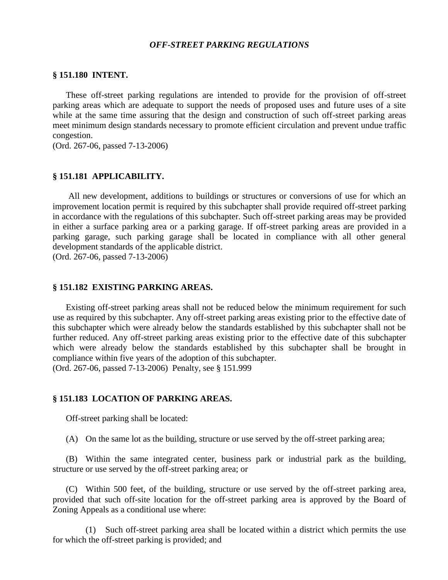#### *OFF-STREET PARKING REGULATIONS*

#### **§ 151.180 INTENT.**

These off-street parking regulations are intended to provide for the provision of off-street parking areas which are adequate to support the needs of proposed uses and future uses of a site while at the same time assuring that the design and construction of such off-street parking areas meet minimum design standards necessary to promote efficient circulation and prevent undue traffic congestion.

(Ord. 267-06, passed 7-13-2006)

#### **§ 151.181 APPLICABILITY.**

All new development, additions to buildings or structures or conversions of use for which an improvement location permit is required by this subchapter shall provide required off-street parking in accordance with the regulations of this subchapter. Such off-street parking areas may be provided in either a surface parking area or a parking garage. If off-street parking areas are provided in a parking garage, such parking garage shall be located in compliance with all other general development standards of the applicable district.

(Ord. 267-06, passed 7-13-2006)

#### **§ 151.182 EXISTING PARKING AREAS.**

Existing off-street parking areas shall not be reduced below the minimum requirement for such use as required by this subchapter. Any off-street parking areas existing prior to the effective date of this subchapter which were already below the standards established by this subchapter shall not be further reduced. Any off-street parking areas existing prior to the effective date of this subchapter which were already below the standards established by this subchapter shall be brought in compliance within five years of the adoption of this subchapter. (Ord. 267-06, passed 7-13-2006) Penalty, see § 151.999

#### **§ 151.183 LOCATION OF PARKING AREAS.**

Off-street parking shall be located:

(A) On the same lot as the building, structure or use served by the off-street parking area;

(B) Within the same integrated center, business park or industrial park as the building, structure or use served by the off-street parking area; or

(C) Within 500 feet, of the building, structure or use served by the off-street parking area, provided that such off-site location for the off-street parking area is approved by the Board of Zoning Appeals as a conditional use where:

(1) Such off-street parking area shall be located within a district which permits the use for which the off-street parking is provided; and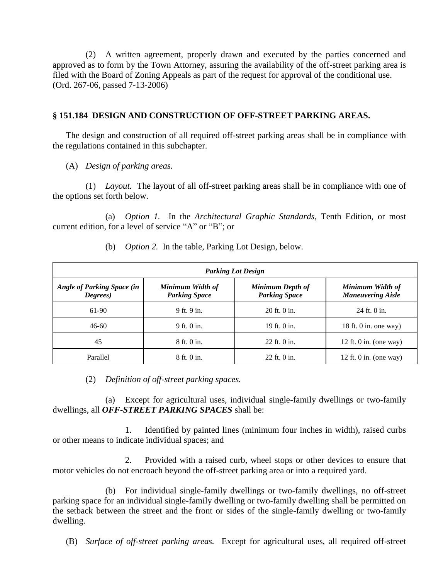(2) A written agreement, properly drawn and executed by the parties concerned and approved as to form by the Town Attorney, assuring the availability of the off-street parking area is filed with the Board of Zoning Appeals as part of the request for approval of the conditional use. (Ord. 267-06, passed 7-13-2006)

### **§ 151.184 DESIGN AND CONSTRUCTION OF OFF-STREET PARKING AREAS.**

The design and construction of all required off-street parking areas shall be in compliance with the regulations contained in this subchapter.

(A) *Design of parking areas.*

(1) *Layout.* The layout of all off-street parking areas shall be in compliance with one of the options set forth below.

(a) *Option 1.* In the *Architectural Graphic Standards*, Tenth Edition, or most current edition, for a level of service "A" or "B"; or

| <b>Parking Lot Design</b>                     |                                          |                                          |                                              |
|-----------------------------------------------|------------------------------------------|------------------------------------------|----------------------------------------------|
| <b>Angle of Parking Space (in</b><br>Degrees) | Minimum Width of<br><b>Parking Space</b> | Minimum Depth of<br><b>Parking Space</b> | Minimum Width of<br><b>Maneuvering Aisle</b> |
| 61-90                                         | 9 ft. 9 in.                              | 20 ft. 0 in.                             | $24$ ft. 0 in.                               |
| $46 - 60$                                     | 9 ft. 0 in.                              | 19 ft. $0$ in.                           | 18 ft. 0 in. one way)                        |
| 45                                            | 8 ft. 0 in.                              | 22 ft. 0 in.                             | 12 ft. 0 in. (one way)                       |
| Parallel                                      | 8 ft. 0 in.                              | $22$ ft. 0 in.                           | 12 ft. 0 in. (one way)                       |

(b) *Option 2.* In the table, Parking Lot Design, below.

(2) *Definition of off-street parking spaces.*

(a) Except for agricultural uses, individual single-family dwellings or two-family dwellings, all *OFF-STREET PARKING SPACES* shall be:

1. Identified by painted lines (minimum four inches in width), raised curbs or other means to indicate individual spaces; and

2. Provided with a raised curb, wheel stops or other devices to ensure that motor vehicles do not encroach beyond the off-street parking area or into a required yard.

(b) For individual single-family dwellings or two-family dwellings, no off-street parking space for an individual single-family dwelling or two-family dwelling shall be permitted on the setback between the street and the front or sides of the single-family dwelling or two-family dwelling.

(B) *Surface of off-street parking areas.* Except for agricultural uses, all required off-street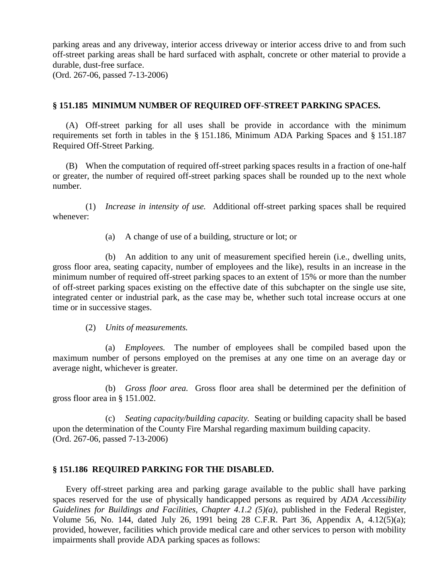parking areas and any driveway, interior access driveway or interior access drive to and from such off-street parking areas shall be hard surfaced with asphalt, concrete or other material to provide a durable, dust-free surface.

(Ord. 267-06, passed 7-13-2006)

# **§ 151.185 MINIMUM NUMBER OF REQUIRED OFF-STREET PARKING SPACES.**

(A) Off-street parking for all uses shall be provide in accordance with the minimum requirements set forth in tables in the § 151.186, Minimum ADA Parking Spaces and § 151.187 Required Off-Street Parking.

(B) When the computation of required off-street parking spaces results in a fraction of one-half or greater, the number of required off-street parking spaces shall be rounded up to the next whole number.

(1) *Increase in intensity of use.* Additional off-street parking spaces shall be required whenever:

(a) A change of use of a building, structure or lot; or

(b) An addition to any unit of measurement specified herein (i.e., dwelling units, gross floor area, seating capacity, number of employees and the like), results in an increase in the minimum number of required off-street parking spaces to an extent of 15% or more than the number of off-street parking spaces existing on the effective date of this subchapter on the single use site, integrated center or industrial park, as the case may be, whether such total increase occurs at one time or in successive stages.

(2) *Units of measurements.*

(a) *Employees.* The number of employees shall be compiled based upon the maximum number of persons employed on the premises at any one time on an average day or average night, whichever is greater.

(b) *Gross floor area.* Gross floor area shall be determined per the definition of gross floor area in § 151.002.

(c) *Seating capacity/building capacity.* Seating or building capacity shall be based upon the determination of the County Fire Marshal regarding maximum building capacity. (Ord. 267-06, passed 7-13-2006)

# **§ 151.186 REQUIRED PARKING FOR THE DISABLED.**

Every off-street parking area and parking garage available to the public shall have parking spaces reserved for the use of physically handicapped persons as required by *ADA Accessibility Guidelines for Buildings and Facilities, Chapter 4.1.2 (5)(a)*, published in the Federal Register, Volume 56, No. 144, dated July 26, 1991 being 28 C.F.R. Part 36, Appendix A, 4.12(5)(a); provided, however, facilities which provide medical care and other services to person with mobility impairments shall provide ADA parking spaces as follows: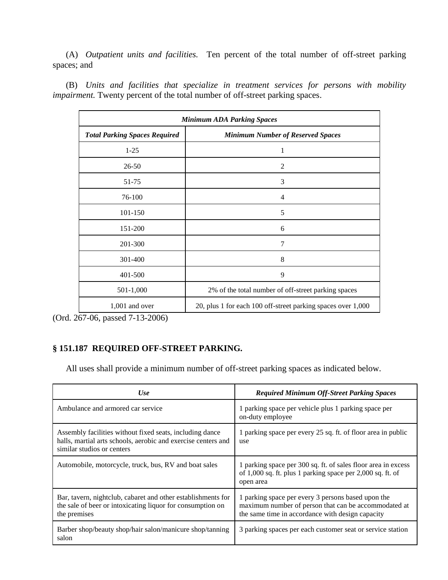(A) *Outpatient units and facilities.* Ten percent of the total number of off-street parking spaces; and

(B) *Units and facilities that specialize in treatment services for persons with mobility impairment*. Twenty percent of the total number of off-street parking spaces.

| <b>Minimum ADA Parking Spaces</b>    |                                                              |  |
|--------------------------------------|--------------------------------------------------------------|--|
| <b>Total Parking Spaces Required</b> | <b>Minimum Number of Reserved Spaces</b>                     |  |
| $1-25$                               | 1                                                            |  |
| $26 - 50$                            | 2                                                            |  |
| 51-75                                | 3                                                            |  |
| 76-100                               | $\overline{4}$                                               |  |
| 101-150                              | 5                                                            |  |
| 151-200                              | 6                                                            |  |
| 201-300                              | 7                                                            |  |
| 301-400                              | 8                                                            |  |
| 401-500                              | 9                                                            |  |
| 501-1,000                            | 2% of the total number of off-street parking spaces          |  |
| $1,001$ and over                     | 20, plus 1 for each 100 off-street parking spaces over 1,000 |  |

(Ord. 267-06, passed 7-13-2006)

# **§ 151.187 REQUIRED OFF-STREET PARKING.**

All uses shall provide a minimum number of off-street parking spaces as indicated below.

| <b>Use</b>                                                                                                                                              | <b>Required Minimum Off-Street Parking Spaces</b>                                                                                                              |
|---------------------------------------------------------------------------------------------------------------------------------------------------------|----------------------------------------------------------------------------------------------------------------------------------------------------------------|
| Ambulance and armored car service                                                                                                                       | 1 parking space per vehicle plus 1 parking space per<br>on-duty employee                                                                                       |
| Assembly facilities without fixed seats, including dance<br>halls, martial arts schools, aerobic and exercise centers and<br>similar studios or centers | 1 parking space per every 25 sq. ft. of floor area in public<br>use                                                                                            |
| Automobile, motorcycle, truck, bus, RV and boat sales                                                                                                   | 1 parking space per 300 sq. ft. of sales floor area in excess<br>of 1,000 sq. ft. plus 1 parking space per 2,000 sq. ft. of<br>open area                       |
| Bar, tavern, nightclub, cabaret and other establishments for<br>the sale of beer or intoxicating liquor for consumption on<br>the premises              | 1 parking space per every 3 persons based upon the<br>maximum number of person that can be accommodated at<br>the same time in accordance with design capacity |
| Barber shop/beauty shop/hair salon/manicure shop/tanning<br>salon                                                                                       | 3 parking spaces per each customer seat or service station                                                                                                     |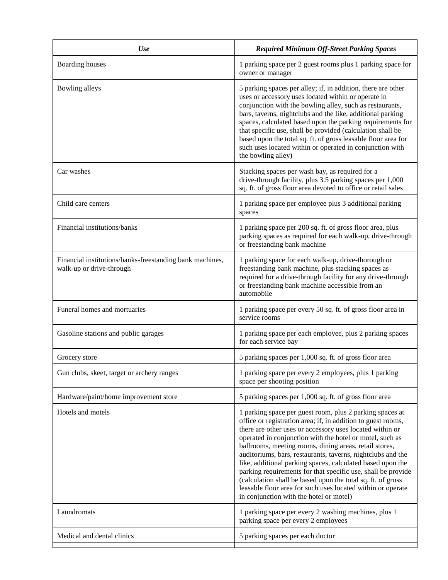| Use                                                                                  | <b>Required Minimum Off-Street Parking Spaces</b>                                                                                                                                                                                                                                                                                                                                                                                                                                                                                                                                                                                                                                |
|--------------------------------------------------------------------------------------|----------------------------------------------------------------------------------------------------------------------------------------------------------------------------------------------------------------------------------------------------------------------------------------------------------------------------------------------------------------------------------------------------------------------------------------------------------------------------------------------------------------------------------------------------------------------------------------------------------------------------------------------------------------------------------|
| <b>Boarding houses</b>                                                               | 1 parking space per 2 guest rooms plus 1 parking space for<br>owner or manager                                                                                                                                                                                                                                                                                                                                                                                                                                                                                                                                                                                                   |
| Bowling alleys                                                                       | 5 parking spaces per alley; if, in addition, there are other<br>uses or accessory uses located within or operate in<br>conjunction with the bowling alley, such as restaurants,<br>bars, taverns, nightclubs and the like, additional parking<br>spaces, calculated based upon the parking requirements for<br>that specific use, shall be provided (calculation shall be<br>based upon the total sq. ft. of gross leasable floor area for<br>such uses located within or operated in conjunction with<br>the bowling alley)                                                                                                                                                     |
| Car washes                                                                           | Stacking spaces per wash bay, as required for a<br>drive-through facility, plus 3.5 parking spaces per 1,000<br>sq. ft. of gross floor area devoted to office or retail sales                                                                                                                                                                                                                                                                                                                                                                                                                                                                                                    |
| Child care centers                                                                   | 1 parking space per employee plus 3 additional parking<br>spaces                                                                                                                                                                                                                                                                                                                                                                                                                                                                                                                                                                                                                 |
| Financial institutions/banks                                                         | 1 parking space per 200 sq. ft. of gross floor area, plus<br>parking spaces as required for each walk-up, drive-through<br>or freestanding bank machine                                                                                                                                                                                                                                                                                                                                                                                                                                                                                                                          |
| Financial institutions/banks-freestanding bank machines,<br>walk-up or drive-through | 1 parking space for each walk-up, drive-thorough or<br>freestanding bank machine, plus stacking spaces as<br>required for a drive-through facility for any drive-through<br>or freestanding bank machine accessible from an<br>automobile                                                                                                                                                                                                                                                                                                                                                                                                                                        |
| Funeral homes and mortuaries                                                         | 1 parking space per every 50 sq. ft. of gross floor area in<br>service rooms                                                                                                                                                                                                                                                                                                                                                                                                                                                                                                                                                                                                     |
| Gasoline stations and public garages                                                 | 1 parking space per each employee, plus 2 parking spaces<br>for each service bay                                                                                                                                                                                                                                                                                                                                                                                                                                                                                                                                                                                                 |
| Grocery store                                                                        | 5 parking spaces per 1,000 sq. ft. of gross floor area                                                                                                                                                                                                                                                                                                                                                                                                                                                                                                                                                                                                                           |
| Gun clubs, skeet, target or archery ranges                                           | 1 parking space per every 2 employees, plus 1 parking<br>space per shooting position                                                                                                                                                                                                                                                                                                                                                                                                                                                                                                                                                                                             |
| Hardware/paint/home improvement store                                                | 5 parking spaces per 1,000 sq. ft. of gross floor area                                                                                                                                                                                                                                                                                                                                                                                                                                                                                                                                                                                                                           |
| Hotels and motels                                                                    | 1 parking space per guest room, plus 2 parking spaces at<br>office or registration area; if, in addition to guest rooms,<br>there are other uses or accessory uses located within or<br>operated in conjunction with the hotel or motel, such as<br>ballrooms, meeting rooms, dining areas, retail stores,<br>auditoriums, bars, restaurants, taverns, nightclubs and the<br>like, additional parking spaces, calculated based upon the<br>parking requirements for that specific use, shall be provide<br>(calculation shall be based upon the total sq. ft. of gross<br>leasable floor area for such uses located within or operate<br>in conjunction with the hotel or motel) |
| Laundromats                                                                          | 1 parking space per every 2 washing machines, plus 1<br>parking space per every 2 employees                                                                                                                                                                                                                                                                                                                                                                                                                                                                                                                                                                                      |
| Medical and dental clinics                                                           | 5 parking spaces per each doctor                                                                                                                                                                                                                                                                                                                                                                                                                                                                                                                                                                                                                                                 |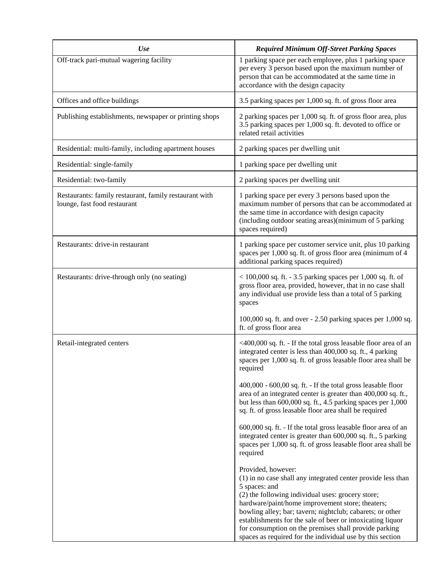| Use                                                                                    | <b>Required Minimum Off-Street Parking Spaces</b>                                                                                                                                                                                                                                                                                                                                                                                                             |
|----------------------------------------------------------------------------------------|---------------------------------------------------------------------------------------------------------------------------------------------------------------------------------------------------------------------------------------------------------------------------------------------------------------------------------------------------------------------------------------------------------------------------------------------------------------|
| Off-track pari-mutual wagering facility                                                | 1 parking space per each employee, plus 1 parking space<br>per every 3 person based upon the maximum number of<br>person that can be accommodated at the same time in<br>accordance with the design capacity                                                                                                                                                                                                                                                  |
| Offices and office buildings                                                           | 3.5 parking spaces per 1,000 sq. ft. of gross floor area                                                                                                                                                                                                                                                                                                                                                                                                      |
| Publishing establishments, newspaper or printing shops                                 | 2 parking spaces per 1,000 sq. ft. of gross floor area, plus<br>3.5 parking spaces per 1,000 sq. ft. devoted to office or<br>related retail activities                                                                                                                                                                                                                                                                                                        |
| Residential: multi-family, including apartment houses                                  | 2 parking spaces per dwelling unit                                                                                                                                                                                                                                                                                                                                                                                                                            |
| Residential: single-family                                                             | 1 parking space per dwelling unit                                                                                                                                                                                                                                                                                                                                                                                                                             |
| Residential: two-family                                                                | 2 parking spaces per dwelling unit                                                                                                                                                                                                                                                                                                                                                                                                                            |
| Restaurants: family restaurant, family restaurant with<br>lounge, fast food restaurant | 1 parking space per every 3 persons based upon the<br>maximum number of persons that can be accommodated at<br>the same time in accordance with design capacity<br>(including outdoor seating areas)(minimum of 5 parking<br>spaces required)                                                                                                                                                                                                                 |
| Restaurants: drive-in restaurant                                                       | 1 parking space per customer service unit, plus 10 parking<br>spaces per 1,000 sq. ft. of gross floor area (minimum of 4<br>additional parking spaces required)                                                                                                                                                                                                                                                                                               |
| Restaurants: drive-through only (no seating)                                           | $<$ 100,000 sq. ft. - 3.5 parking spaces per 1,000 sq. ft. of<br>gross floor area, provided, however, that in no case shall<br>any individual use provide less than a total of 5 parking<br>spaces                                                                                                                                                                                                                                                            |
|                                                                                        | $100,000$ sq. ft. and over $-2.50$ parking spaces per $1,000$ sq.<br>ft. of gross floor area                                                                                                                                                                                                                                                                                                                                                                  |
| Retail-integrated centers                                                              | <400,000 sq. ft. - If the total gross leasable floor area of an<br>integrated center is less than 400,000 sq. ft., 4 parking<br>spaces per 1,000 sq. ft. of gross leasable floor area shall be<br>required                                                                                                                                                                                                                                                    |
|                                                                                        | 400,000 - 600,00 sq. ft. - If the total gross leasable floor<br>area of an integrated center is greater than 400,000 sq. ft.,<br>but less than 600,000 sq. ft., 4.5 parking spaces per 1,000<br>sq. ft. of gross leasable floor area shall be required                                                                                                                                                                                                        |
|                                                                                        | 600,000 sq. ft. - If the total gross leasable floor area of an<br>integrated center is greater than 600,000 sq. ft., 5 parking<br>spaces per 1,000 sq. ft. of gross leasable floor area shall be<br>required                                                                                                                                                                                                                                                  |
|                                                                                        | Provided, however:<br>(1) in no case shall any integrated center provide less than<br>5 spaces: and<br>(2) the following individual uses: grocery store;<br>hardware/paint/home improvement store; theaters;<br>bowling alley; bar; tavern; nightclub; cabarets; or other<br>establishments for the sale of beer or intoxicating liquor<br>for consumption on the premises shall provide parking<br>spaces as required for the individual use by this section |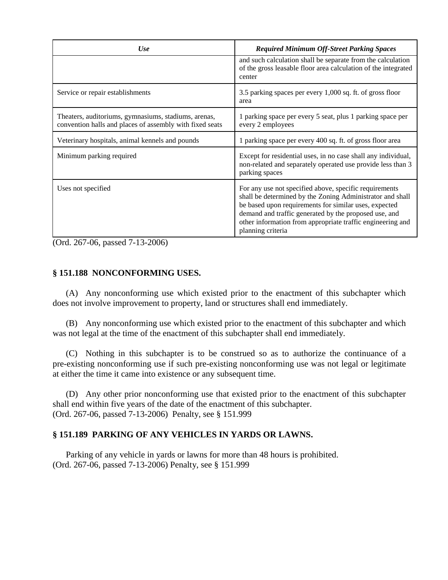| Use                                                                                                              | <b>Required Minimum Off-Street Parking Spaces</b>                                                                                                                                                                                                                                                                        |
|------------------------------------------------------------------------------------------------------------------|--------------------------------------------------------------------------------------------------------------------------------------------------------------------------------------------------------------------------------------------------------------------------------------------------------------------------|
|                                                                                                                  | and such calculation shall be separate from the calculation<br>of the gross leasable floor area calculation of the integrated<br>center                                                                                                                                                                                  |
| Service or repair establishments                                                                                 | 3.5 parking spaces per every 1,000 sq. ft. of gross floor<br>area                                                                                                                                                                                                                                                        |
| Theaters, auditoriums, gymnasiums, stadiums, arenas,<br>convention halls and places of assembly with fixed seats | 1 parking space per every 5 seat, plus 1 parking space per<br>every 2 employees                                                                                                                                                                                                                                          |
| Veterinary hospitals, animal kennels and pounds                                                                  | 1 parking space per every 400 sq. ft. of gross floor area                                                                                                                                                                                                                                                                |
| Minimum parking required                                                                                         | Except for residential uses, in no case shall any individual,<br>non-related and separately operated use provide less than 3<br>parking spaces                                                                                                                                                                           |
| Uses not specified                                                                                               | For any use not specified above, specific requirements<br>shall be determined by the Zoning Administrator and shall<br>be based upon requirements for similar uses, expected<br>demand and traffic generated by the proposed use, and<br>other information from appropriate traffic engineering and<br>planning criteria |

(Ord. 267-06, passed 7-13-2006)

# **§ 151.188 NONCONFORMING USES.**

(A) Any nonconforming use which existed prior to the enactment of this subchapter which does not involve improvement to property, land or structures shall end immediately.

(B) Any nonconforming use which existed prior to the enactment of this subchapter and which was not legal at the time of the enactment of this subchapter shall end immediately.

(C) Nothing in this subchapter is to be construed so as to authorize the continuance of a pre-existing nonconforming use if such pre-existing nonconforming use was not legal or legitimate at either the time it came into existence or any subsequent time.

(D) Any other prior nonconforming use that existed prior to the enactment of this subchapter shall end within five years of the date of the enactment of this subchapter. (Ord. 267-06, passed 7-13-2006) Penalty, see § 151.999

# **§ 151.189 PARKING OF ANY VEHICLES IN YARDS OR LAWNS.**

Parking of any vehicle in yards or lawns for more than 48 hours is prohibited. (Ord. 267-06, passed 7-13-2006) Penalty, see § 151.999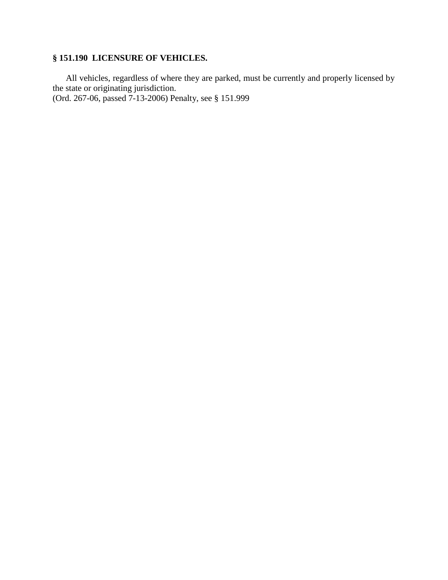# **§ 151.190 LICENSURE OF VEHICLES.**

All vehicles, regardless of where they are parked, must be currently and properly licensed by the state or originating jurisdiction.

(Ord. 267-06, passed 7-13-2006) Penalty, see § 151.999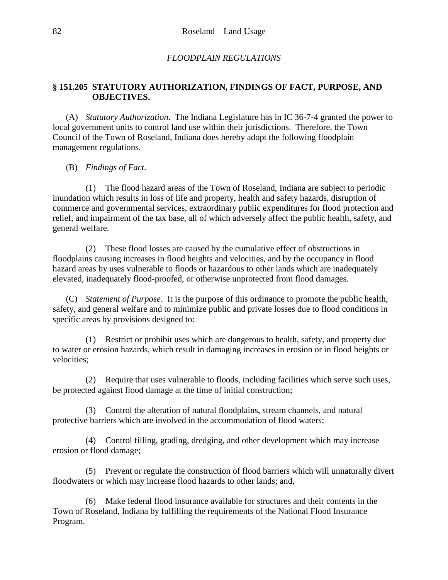# *FLOODPLAIN REGULATIONS*

# **§ 151.205 STATUTORY AUTHORIZATION, FINDINGS OF FACT, PURPOSE, AND OBJECTIVES.**

(A) *Statutory Authorization*. The Indiana Legislature has in IC 36-7-4 granted the power to local government units to control land use within their jurisdictions. Therefore, the Town Council of the Town of Roseland, Indiana does hereby adopt the following floodplain management regulations.

(B) *Findings of Fact*.

(1) The flood hazard areas of the Town of Roseland, Indiana are subject to periodic inundation which results in loss of life and property, health and safety hazards, disruption of commerce and governmental services, extraordinary public expenditures for flood protection and relief, and impairment of the tax base, all of which adversely affect the public health, safety, and general welfare.

(2) These flood losses are caused by the cumulative effect of obstructions in floodplains causing increases in flood heights and velocities, and by the occupancy in flood hazard areas by uses vulnerable to floods or hazardous to other lands which are inadequately elevated, inadequately flood-proofed, or otherwise unprotected from flood damages.

(C) *Statement of Purpose*. It is the purpose of this ordinance to promote the public health, safety, and general welfare and to minimize public and private losses due to flood conditions in specific areas by provisions designed to:

(1) Restrict or prohibit uses which are dangerous to health, safety, and property due to water or erosion hazards, which result in damaging increases in erosion or in flood heights or velocities;

(2) Require that uses vulnerable to floods, including facilities which serve such uses, be protected against flood damage at the time of initial construction;

(3) Control the alteration of natural floodplains, stream channels, and natural protective barriers which are involved in the accommodation of flood waters;

(4) Control filling, grading, dredging, and other development which may increase erosion or flood damage;

(5) Prevent or regulate the construction of flood barriers which will unnaturally divert floodwaters or which may increase flood hazards to other lands; and,

(6) Make federal flood insurance available for structures and their contents in the Town of Roseland, Indiana by fulfilling the requirements of the National Flood Insurance Program.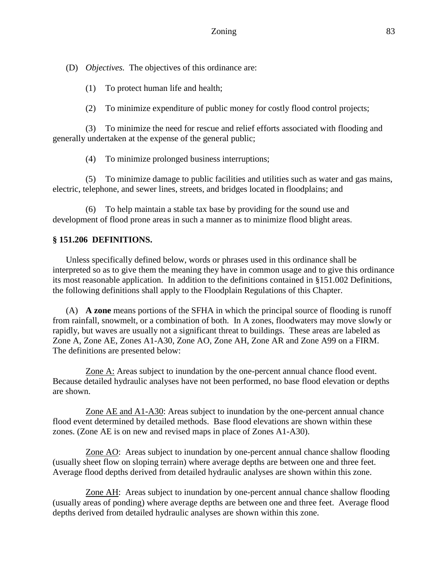(D) *Objectives.* The objectives of this ordinance are:

(1) To protect human life and health;

(2) To minimize expenditure of public money for costly flood control projects;

(3) To minimize the need for rescue and relief efforts associated with flooding and generally undertaken at the expense of the general public;

(4) To minimize prolonged business interruptions;

(5) To minimize damage to public facilities and utilities such as water and gas mains, electric, telephone, and sewer lines, streets, and bridges located in floodplains; and

(6) To help maintain a stable tax base by providing for the sound use and development of flood prone areas in such a manner as to minimize flood blight areas.

# **§ 151.206 DEFINITIONS.**

Unless specifically defined below, words or phrases used in this ordinance shall be interpreted so as to give them the meaning they have in common usage and to give this ordinance its most reasonable application. In addition to the definitions contained in §151.002 Definitions, the following definitions shall apply to the Floodplain Regulations of this Chapter.

(A) **A zone** means portions of the SFHA in which the principal source of flooding is runoff from rainfall, snowmelt, or a combination of both. In A zones, floodwaters may move slowly or rapidly, but waves are usually not a significant threat to buildings. These areas are labeled as Zone A, Zone AE, Zones A1-A30, Zone AO, Zone AH, Zone AR and Zone A99 on a FIRM. The definitions are presented below:

Zone A: Areas subject to inundation by the one-percent annual chance flood event. Because detailed hydraulic analyses have not been performed, no base flood elevation or depths are shown.

Zone AE and A1-A30: Areas subject to inundation by the one-percent annual chance flood event determined by detailed methods. Base flood elevations are shown within these zones. (Zone AE is on new and revised maps in place of Zones A1-A30).

Zone AO: Areas subject to inundation by one-percent annual chance shallow flooding (usually sheet flow on sloping terrain) where average depths are between one and three feet. Average flood depths derived from detailed hydraulic analyses are shown within this zone.

Zone AH: Areas subject to inundation by one-percent annual chance shallow flooding (usually areas of ponding) where average depths are between one and three feet. Average flood depths derived from detailed hydraulic analyses are shown within this zone.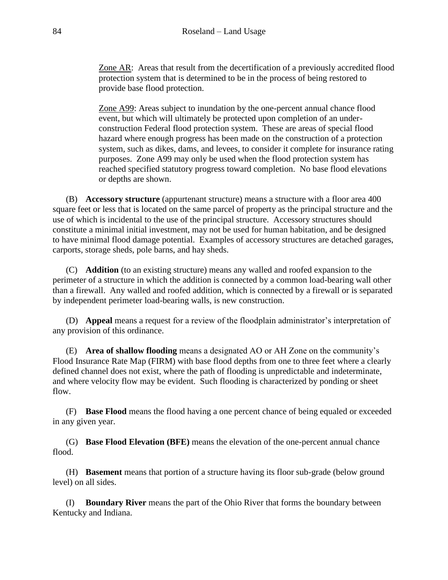Zone AR: Areas that result from the decertification of a previously accredited flood protection system that is determined to be in the process of being restored to provide base flood protection.

Zone A99: Areas subject to inundation by the one-percent annual chance flood event, but which will ultimately be protected upon completion of an underconstruction Federal flood protection system. These are areas of special flood hazard where enough progress has been made on the construction of a protection system, such as dikes, dams, and levees, to consider it complete for insurance rating purposes. Zone A99 may only be used when the flood protection system has reached specified statutory progress toward completion. No base flood elevations or depths are shown.

(B) **Accessory structure** (appurtenant structure) means a structure with a floor area 400 square feet or less that is located on the same parcel of property as the principal structure and the use of which is incidental to the use of the principal structure. Accessory structures should constitute a minimal initial investment, may not be used for human habitation, and be designed to have minimal flood damage potential. Examples of accessory structures are detached garages, carports, storage sheds, pole barns, and hay sheds.

(C) **Addition** (to an existing structure) means any walled and roofed expansion to the perimeter of a structure in which the addition is connected by a common load-bearing wall other than a firewall. Any walled and roofed addition, which is connected by a firewall or is separated by independent perimeter load-bearing walls, is new construction.

(D) **Appeal** means a request for a review of the floodplain administrator's interpretation of any provision of this ordinance.

(E) **Area of shallow flooding** means a designated AO or AH Zone on the community's Flood Insurance Rate Map (FIRM) with base flood depths from one to three feet where a clearly defined channel does not exist, where the path of flooding is unpredictable and indeterminate, and where velocity flow may be evident. Such flooding is characterized by ponding or sheet flow.

(F) **Base Flood** means the flood having a one percent chance of being equaled or exceeded in any given year.

(G) **Base Flood Elevation (BFE)** means the elevation of the one-percent annual chance flood.

(H) **Basement** means that portion of a structure having its floor sub-grade (below ground level) on all sides.

(I) **Boundary River** means the part of the Ohio River that forms the boundary between Kentucky and Indiana.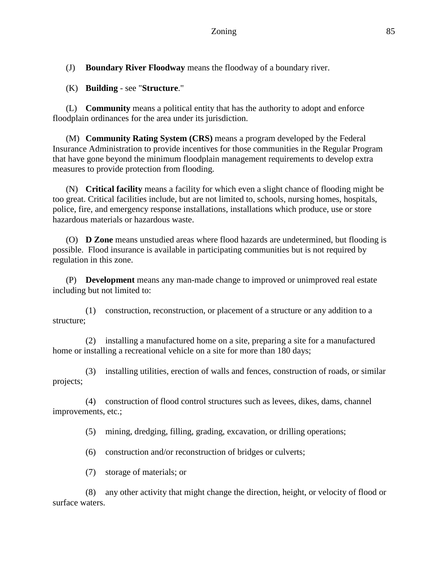(J) **Boundary River Floodway** means the floodway of a boundary river.

(K) **Building** - see "**Structure**."

(L) **Community** means a political entity that has the authority to adopt and enforce floodplain ordinances for the area under its jurisdiction.

(M) **Community Rating System (CRS)** means a program developed by the Federal Insurance Administration to provide incentives for those communities in the Regular Program that have gone beyond the minimum floodplain management requirements to develop extra measures to provide protection from flooding.

(N) **Critical facility** means a facility for which even a slight chance of flooding might be too great. Critical facilities include, but are not limited to, schools, nursing homes, hospitals, police, fire, and emergency response installations, installations which produce, use or store hazardous materials or hazardous waste.

(O) **D Zone** means unstudied areas where flood hazards are undetermined, but flooding is possible. Flood insurance is available in participating communities but is not required by regulation in this zone.

(P) **Development** means any man-made change to improved or unimproved real estate including but not limited to:

(1) construction, reconstruction, or placement of a structure or any addition to a structure;

(2) installing a manufactured home on a site, preparing a site for a manufactured home or installing a recreational vehicle on a site for more than 180 days;

(3) installing utilities, erection of walls and fences, construction of roads, or similar projects;

(4) construction of flood control structures such as levees, dikes, dams, channel improvements, etc.;

(5) mining, dredging, filling, grading, excavation, or drilling operations;

(6) construction and/or reconstruction of bridges or culverts;

(7) storage of materials; or

(8) any other activity that might change the direction, height, or velocity of flood or surface waters.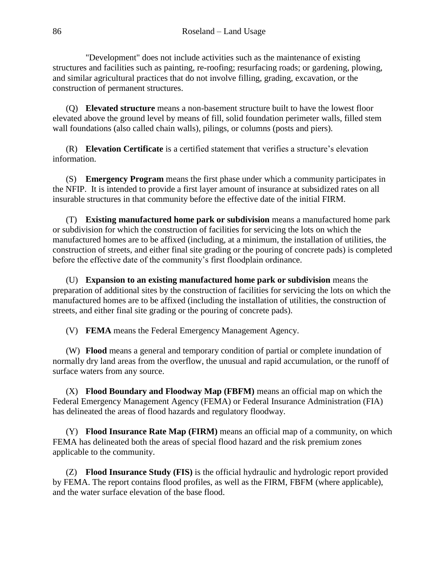"Development" does not include activities such as the maintenance of existing structures and facilities such as painting, re-roofing; resurfacing roads; or gardening, plowing, and similar agricultural practices that do not involve filling, grading, excavation, or the construction of permanent structures.

(Q) **Elevated structure** means a non-basement structure built to have the lowest floor elevated above the ground level by means of fill, solid foundation perimeter walls, filled stem wall foundations (also called chain walls), pilings, or columns (posts and piers).

(R) **Elevation Certificate** is a certified statement that verifies a structure's elevation information.

(S) **Emergency Program** means the first phase under which a community participates in the NFIP. It is intended to provide a first layer amount of insurance at subsidized rates on all insurable structures in that community before the effective date of the initial FIRM.

(T) **Existing manufactured home park or subdivision** means a manufactured home park or subdivision for which the construction of facilities for servicing the lots on which the manufactured homes are to be affixed (including, at a minimum, the installation of utilities, the construction of streets, and either final site grading or the pouring of concrete pads) is completed before the effective date of the community's first floodplain ordinance.

(U) **Expansion to an existing manufactured home park or subdivision** means the preparation of additional sites by the construction of facilities for servicing the lots on which the manufactured homes are to be affixed (including the installation of utilities, the construction of streets, and either final site grading or the pouring of concrete pads).

(V) **FEMA** means the Federal Emergency Management Agency.

(W) **Flood** means a general and temporary condition of partial or complete inundation of normally dry land areas from the overflow, the unusual and rapid accumulation, or the runoff of surface waters from any source.

(X) **Flood Boundary and Floodway Map (FBFM)** means an official map on which the Federal Emergency Management Agency (FEMA) or Federal Insurance Administration (FIA) has delineated the areas of flood hazards and regulatory floodway.

(Y) **Flood Insurance Rate Map (FIRM)** means an official map of a community, on which FEMA has delineated both the areas of special flood hazard and the risk premium zones applicable to the community.

(Z) **Flood Insurance Study (FIS)** is the official hydraulic and hydrologic report provided by FEMA. The report contains flood profiles, as well as the FIRM, FBFM (where applicable), and the water surface elevation of the base flood.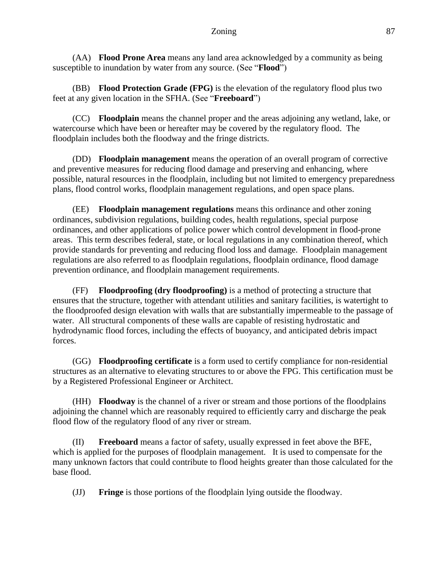### Zoning 87

(AA) **Flood Prone Area** means any land area acknowledged by a community as being susceptible to inundation by water from any source. (See "**Flood**")

(BB) **Flood Protection Grade (FPG)** is the elevation of the regulatory flood plus two feet at any given location in the SFHA. (See "**Freeboard**")

(CC) **Floodplain** means the channel proper and the areas adjoining any wetland, lake, or watercourse which have been or hereafter may be covered by the regulatory flood. The floodplain includes both the floodway and the fringe districts.

(DD) **Floodplain management** means the operation of an overall program of corrective and preventive measures for reducing flood damage and preserving and enhancing, where possible, natural resources in the floodplain, including but not limited to emergency preparedness plans, flood control works, floodplain management regulations, and open space plans.

(EE) **Floodplain management regulations** means this ordinance and other zoning ordinances, subdivision regulations, building codes, health regulations, special purpose ordinances, and other applications of police power which control development in flood-prone areas. This term describes federal, state, or local regulations in any combination thereof, which provide standards for preventing and reducing flood loss and damage. Floodplain management regulations are also referred to as floodplain regulations, floodplain ordinance, flood damage prevention ordinance, and floodplain management requirements.

(FF) **Floodproofing (dry floodproofing)** is a method of protecting a structure that ensures that the structure, together with attendant utilities and sanitary facilities, is watertight to the floodproofed design elevation with walls that are substantially impermeable to the passage of water. All structural components of these walls are capable of resisting hydrostatic and hydrodynamic flood forces, including the effects of buoyancy, and anticipated debris impact forces.

(GG) **Floodproofing certificate** is a form used to certify compliance for non-residential structures as an alternative to elevating structures to or above the FPG. This certification must be by a Registered Professional Engineer or Architect.

(HH) **Floodway** is the channel of a river or stream and those portions of the floodplains adjoining the channel which are reasonably required to efficiently carry and discharge the peak flood flow of the regulatory flood of any river or stream.

(II) **Freeboard** means a factor of safety, usually expressed in feet above the BFE, which is applied for the purposes of floodplain management. It is used to compensate for the many unknown factors that could contribute to flood heights greater than those calculated for the base flood.

(JJ) **Fringe** is those portions of the floodplain lying outside the floodway.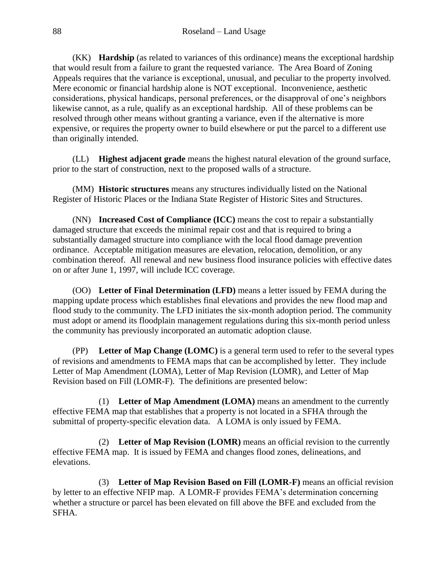(KK) **Hardship** (as related to variances of this ordinance) means the exceptional hardship that would result from a failure to grant the requested variance. The Area Board of Zoning Appeals requires that the variance is exceptional, unusual, and peculiar to the property involved. Mere economic or financial hardship alone is NOT exceptional. Inconvenience, aesthetic considerations, physical handicaps, personal preferences, or the disapproval of one's neighbors likewise cannot, as a rule, qualify as an exceptional hardship. All of these problems can be resolved through other means without granting a variance, even if the alternative is more expensive, or requires the property owner to build elsewhere or put the parcel to a different use than originally intended.

(LL) **Highest adjacent grade** means the highest natural elevation of the ground surface, prior to the start of construction, next to the proposed walls of a structure.

(MM) **Historic structures** means any structures individually listed on the National Register of Historic Places or the Indiana State Register of Historic Sites and Structures.

(NN) **Increased Cost of Compliance (ICC)** means the cost to repair a substantially damaged structure that exceeds the minimal repair cost and that is required to bring a substantially damaged structure into compliance with the local flood damage prevention ordinance. Acceptable mitigation measures are elevation, relocation, demolition, or any combination thereof. All renewal and new business flood insurance policies with effective dates on or after June 1, 1997, will include ICC coverage.

(OO) **Letter of Final Determination (LFD)** means a letter issued by FEMA during the mapping update process which establishes final elevations and provides the new flood map and flood study to the community. The LFD initiates the six-month adoption period. The community must adopt or amend its floodplain management regulations during this six-month period unless the community has previously incorporated an automatic adoption clause.

(PP) **Letter of Map Change (LOMC)** is a general term used to refer to the several types of revisions and amendments to FEMA maps that can be accomplished by letter. They include Letter of Map Amendment (LOMA), Letter of Map Revision (LOMR), and Letter of Map Revision based on Fill (LOMR-F). The definitions are presented below:

(1) **Letter of Map Amendment (LOMA)** means an amendment to the currently effective FEMA map that establishes that a property is not located in a SFHA through the submittal of property-specific elevation data. A LOMA is only issued by FEMA.

(2) **Letter of Map Revision (LOMR)** means an official revision to the currently effective FEMA map. It is issued by FEMA and changes flood zones, delineations, and elevations.

(3) **Letter of Map Revision Based on Fill (LOMR-F)** means an official revision by letter to an effective NFIP map. A LOMR-F provides FEMA's determination concerning whether a structure or parcel has been elevated on fill above the BFE and excluded from the SFHA.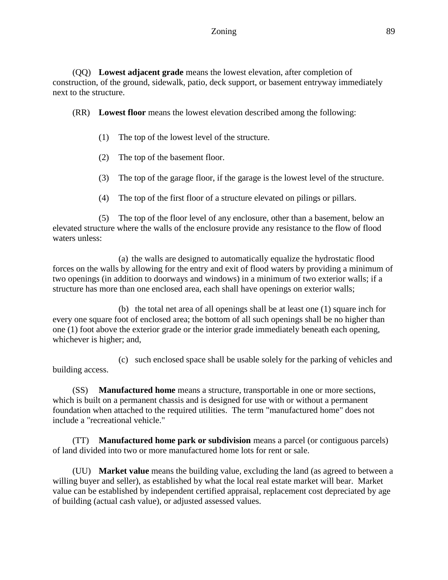(QQ) **Lowest adjacent grade** means the lowest elevation, after completion of construction, of the ground, sidewalk, patio, deck support, or basement entryway immediately next to the structure.

(RR) **Lowest floor** means the lowest elevation described among the following:

- (1) The top of the lowest level of the structure.
- (2) The top of the basement floor.
- (3) The top of the garage floor, if the garage is the lowest level of the structure.
- (4) The top of the first floor of a structure elevated on pilings or pillars.

(5) The top of the floor level of any enclosure, other than a basement, below an elevated structure where the walls of the enclosure provide any resistance to the flow of flood waters unless:

(a) the walls are designed to automatically equalize the hydrostatic flood forces on the walls by allowing for the entry and exit of flood waters by providing a minimum of two openings (in addition to doorways and windows) in a minimum of two exterior walls; if a structure has more than one enclosed area, each shall have openings on exterior walls;

(b) the total net area of all openings shall be at least one (1) square inch for every one square foot of enclosed area; the bottom of all such openings shall be no higher than one (1) foot above the exterior grade or the interior grade immediately beneath each opening, whichever is higher; and,

(c) such enclosed space shall be usable solely for the parking of vehicles and building access.

(SS) **Manufactured home** means a structure, transportable in one or more sections, which is built on a permanent chassis and is designed for use with or without a permanent foundation when attached to the required utilities. The term "manufactured home" does not include a "recreational vehicle."

(TT) **Manufactured home park or subdivision** means a parcel (or contiguous parcels) of land divided into two or more manufactured home lots for rent or sale.

(UU) **Market value** means the building value, excluding the land (as agreed to between a willing buyer and seller), as established by what the local real estate market will bear. Market value can be established by independent certified appraisal, replacement cost depreciated by age of building (actual cash value), or adjusted assessed values.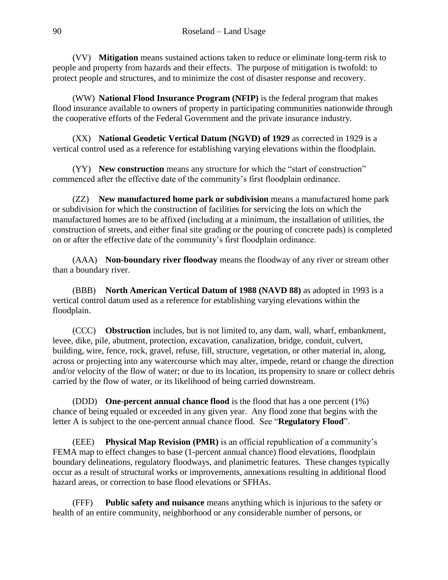(VV) **Mitigation** means sustained actions taken to reduce or eliminate long-term risk to people and property from hazards and their effects. The purpose of mitigation is twofold: to protect people and structures, and to minimize the cost of disaster response and recovery.

(WW) **National Flood Insurance Program (NFIP)** is the federal program that makes flood insurance available to owners of property in participating communities nationwide through the cooperative efforts of the Federal Government and the private insurance industry.

(XX) **National Geodetic Vertical Datum (NGVD) of 1929** as corrected in 1929 is a vertical control used as a reference for establishing varying elevations within the floodplain.

(YY) **New construction** means any structure for which the "start of construction" commenced after the effective date of the community's first floodplain ordinance.

(ZZ) **New manufactured home park or subdivision** means a manufactured home park or subdivision for which the construction of facilities for servicing the lots on which the manufactured homes are to be affixed (including at a minimum, the installation of utilities, the construction of streets, and either final site grading or the pouring of concrete pads) is completed on or after the effective date of the community's first floodplain ordinance.

(AAA) **Non-boundary river floodway** means the floodway of any river or stream other than a boundary river.

(BBB) **North American Vertical Datum of 1988 (NAVD 88)** as adopted in 1993 is a vertical control datum used as a reference for establishing varying elevations within the floodplain.

(CCC) **Obstruction** includes, but is not limited to, any dam, wall, wharf, embankment, levee, dike, pile, abutment, protection, excavation, canalization, bridge, conduit, culvert, building, wire, fence, rock, gravel, refuse, fill, structure, vegetation, or other material in, along, across or projecting into any watercourse which may alter, impede, retard or change the direction and/or velocity of the flow of water; or due to its location, its propensity to snare or collect debris carried by the flow of water, or its likelihood of being carried downstream.

(DDD) **One-percent annual chance flood** is the flood that has a one percent (1%) chance of being equaled or exceeded in any given year. Any flood zone that begins with the letter A is subject to the one-percent annual chance flood. See "**Regulatory Flood**".

(EEE) **Physical Map Revision (PMR)** is an official republication of a community's FEMA map to effect changes to base (1-percent annual chance) flood elevations, floodplain boundary delineations, regulatory floodways, and planimetric features. These changes typically occur as a result of structural works or improvements, annexations resulting in additional flood hazard areas, or correction to base flood elevations or SFHAs.

(FFF) **Public safety and nuisance** means anything which is injurious to the safety or health of an entire community, neighborhood or any considerable number of persons, or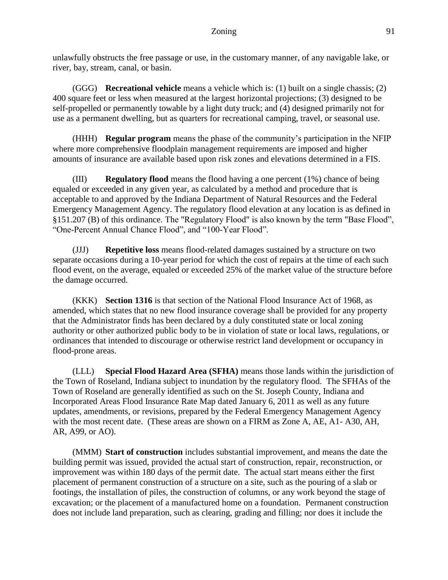unlawfully obstructs the free passage or use, in the customary manner, of any navigable lake, or river, bay, stream, canal, or basin.

(GGG) **Recreational vehicle** means a vehicle which is: (1) built on a single chassis; (2) 400 square feet or less when measured at the largest horizontal projections; (3) designed to be self-propelled or permanently towable by a light duty truck; and (4) designed primarily not for use as a permanent dwelling, but as quarters for recreational camping, travel, or seasonal use.

(HHH) **Regular program** means the phase of the community's participation in the NFIP where more comprehensive floodplain management requirements are imposed and higher amounts of insurance are available based upon risk zones and elevations determined in a FIS.

(III) **Regulatory flood** means the flood having a one percent (1%) chance of being equaled or exceeded in any given year, as calculated by a method and procedure that is acceptable to and approved by the Indiana Department of Natural Resources and the Federal Emergency Management Agency. The regulatory flood elevation at any location is as defined in §151.207 (B) of this ordinance. The "Regulatory Flood" is also known by the term "Base Flood", "One-Percent Annual Chance Flood", and "100-Year Flood".

(JJJ) **Repetitive loss** means flood-related damages sustained by a structure on two separate occasions during a 10-year period for which the cost of repairs at the time of each such flood event, on the average, equaled or exceeded 25% of the market value of the structure before the damage occurred.

(KKK) **Section 1316** is that section of the National Flood Insurance Act of 1968, as amended, which states that no new flood insurance coverage shall be provided for any property that the Administrator finds has been declared by a duly constituted state or local zoning authority or other authorized public body to be in violation of state or local laws, regulations, or ordinances that intended to discourage or otherwise restrict land development or occupancy in flood-prone areas.

(LLL) **Special Flood Hazard Area (SFHA)** means those lands within the jurisdiction of the Town of Roseland, Indiana subject to inundation by the regulatory flood. The SFHAs of the Town of Roseland are generally identified as such on the St. Joseph County, Indiana and Incorporated Areas Flood Insurance Rate Map dated January 6, 2011 as well as any future updates, amendments, or revisions, prepared by the Federal Emergency Management Agency with the most recent date. (These areas are shown on a FIRM as Zone A, AE, A1- A30, AH, AR, A99, or AO).

(MMM) **Start of construction** includes substantial improvement, and means the date the building permit was issued, provided the actual start of construction, repair, reconstruction, or improvement was within 180 days of the permit date. The actual start means either the first placement of permanent construction of a structure on a site, such as the pouring of a slab or footings, the installation of piles, the construction of columns, or any work beyond the stage of excavation; or the placement of a manufactured home on a foundation. Permanent construction does not include land preparation, such as clearing, grading and filling; nor does it include the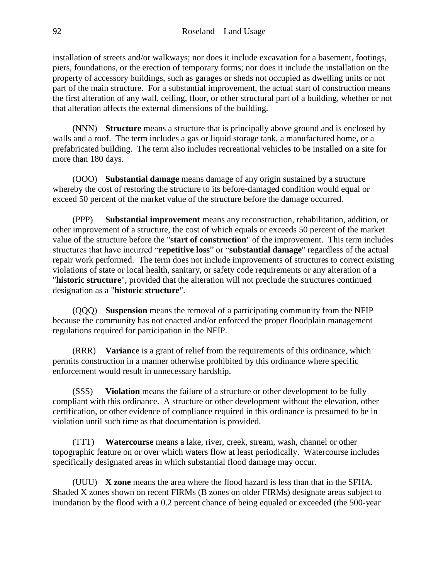installation of streets and/or walkways; nor does it include excavation for a basement, footings, piers, foundations, or the erection of temporary forms; nor does it include the installation on the property of accessory buildings, such as garages or sheds not occupied as dwelling units or not part of the main structure. For a substantial improvement, the actual start of construction means the first alteration of any wall, ceiling, floor, or other structural part of a building, whether or not that alteration affects the external dimensions of the building.

(NNN) **Structure** means a structure that is principally above ground and is enclosed by walls and a roof. The term includes a gas or liquid storage tank, a manufactured home, or a prefabricated building. The term also includes recreational vehicles to be installed on a site for more than 180 days.

(OOO) **Substantial damage** means damage of any origin sustained by a structure whereby the cost of restoring the structure to its before-damaged condition would equal or exceed 50 percent of the market value of the structure before the damage occurred.

(PPP) **Substantial improvement** means any reconstruction, rehabilitation, addition, or other improvement of a structure, the cost of which equals or exceeds 50 percent of the market value of the structure before the "**start of construction**" of the improvement. This term includes structures that have incurred "**repetitive loss**" or "**substantial damage**" regardless of the actual repair work performed. The term does not include improvements of structures to correct existing violations of state or local health, sanitary, or safety code requirements or any alteration of a "**historic structure**", provided that the alteration will not preclude the structures continued designation as a "**historic structure**".

(QQQ) **Suspension** means the removal of a participating community from the NFIP because the community has not enacted and/or enforced the proper floodplain management regulations required for participation in the NFIP.

(RRR) **Variance** is a grant of relief from the requirements of this ordinance, which permits construction in a manner otherwise prohibited by this ordinance where specific enforcement would result in unnecessary hardship.

(SSS) **Violation** means the failure of a structure or other development to be fully compliant with this ordinance. A structure or other development without the elevation, other certification, or other evidence of compliance required in this ordinance is presumed to be in violation until such time as that documentation is provided.

(TTT) **Watercourse** means a lake, river, creek, stream, wash, channel or other topographic feature on or over which waters flow at least periodically. Watercourse includes specifically designated areas in which substantial flood damage may occur.

(UUU) **X zone** means the area where the flood hazard is less than that in the SFHA. Shaded X zones shown on recent FIRMs (B zones on older FIRMs) designate areas subject to inundation by the flood with a 0.2 percent chance of being equaled or exceeded (the 500-year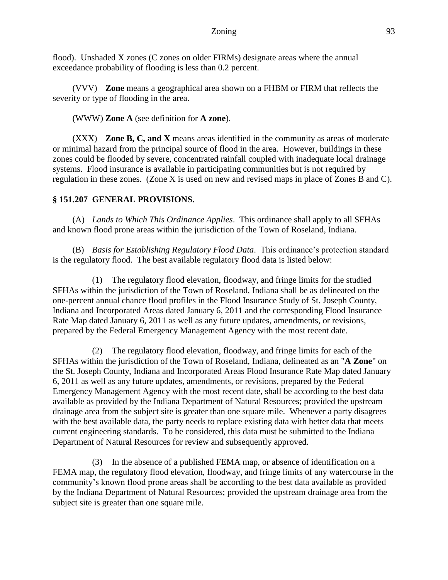flood). Unshaded X zones (C zones on older FIRMs) designate areas where the annual exceedance probability of flooding is less than 0.2 percent.

(VVV) **Zone** means a geographical area shown on a FHBM or FIRM that reflects the severity or type of flooding in the area.

(WWW) **Zone A** (see definition for **A zone**).

(XXX) **Zone B, C, and X** means areas identified in the community as areas of moderate or minimal hazard from the principal source of flood in the area. However, buildings in these zones could be flooded by severe, concentrated rainfall coupled with inadequate local drainage systems. Flood insurance is available in participating communities but is not required by regulation in these zones. (Zone X is used on new and revised maps in place of Zones B and C).

#### **§ 151.207 GENERAL PROVISIONS.**

(A) *Lands to Which This Ordinance Applies*. This ordinance shall apply to all SFHAs and known flood prone areas within the jurisdiction of the Town of Roseland, Indiana.

(B) *Basis for Establishing Regulatory Flood Data*. This ordinance's protection standard is the regulatory flood. The best available regulatory flood data is listed below:

(1) The regulatory flood elevation, floodway, and fringe limits for the studied SFHAs within the jurisdiction of the Town of Roseland, Indiana shall be as delineated on the one-percent annual chance flood profiles in the Flood Insurance Study of St. Joseph County, Indiana and Incorporated Areas dated January 6, 2011 and the corresponding Flood Insurance Rate Map dated January 6, 2011 as well as any future updates, amendments, or revisions, prepared by the Federal Emergency Management Agency with the most recent date.

(2) The regulatory flood elevation, floodway, and fringe limits for each of the SFHAs within the jurisdiction of the Town of Roseland, Indiana, delineated as an "**A Zone**" on the St. Joseph County, Indiana and Incorporated Areas Flood Insurance Rate Map dated January 6, 2011 as well as any future updates, amendments, or revisions, prepared by the Federal Emergency Management Agency with the most recent date, shall be according to the best data available as provided by the Indiana Department of Natural Resources; provided the upstream drainage area from the subject site is greater than one square mile. Whenever a party disagrees with the best available data, the party needs to replace existing data with better data that meets current engineering standards. To be considered, this data must be submitted to the Indiana Department of Natural Resources for review and subsequently approved.

(3) In the absence of a published FEMA map, or absence of identification on a FEMA map, the regulatory flood elevation, floodway, and fringe limits of any watercourse in the community's known flood prone areas shall be according to the best data available as provided by the Indiana Department of Natural Resources; provided the upstream drainage area from the subject site is greater than one square mile.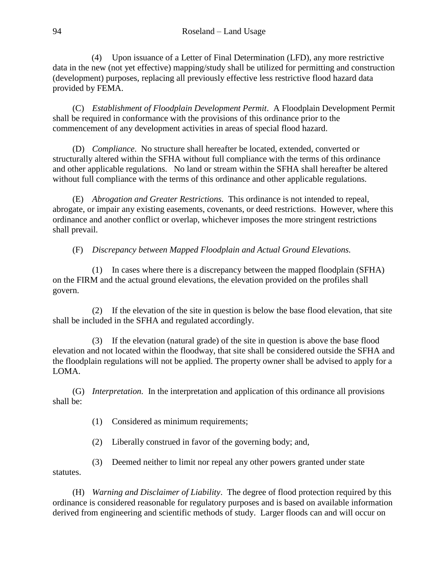(4) Upon issuance of a Letter of Final Determination (LFD), any more restrictive data in the new (not yet effective) mapping/study shall be utilized for permitting and construction (development) purposes, replacing all previously effective less restrictive flood hazard data provided by FEMA.

(C) *Establishment of Floodplain Development Permit*. A Floodplain Development Permit shall be required in conformance with the provisions of this ordinance prior to the commencement of any development activities in areas of special flood hazard.

(D) *Compliance*. No structure shall hereafter be located, extended, converted or structurally altered within the SFHA without full compliance with the terms of this ordinance and other applicable regulations. No land or stream within the SFHA shall hereafter be altered without full compliance with the terms of this ordinance and other applicable regulations.

(E) *Abrogation and Greater Restrictions.* This ordinance is not intended to repeal, abrogate, or impair any existing easements, covenants, or deed restrictions. However, where this ordinance and another conflict or overlap, whichever imposes the more stringent restrictions shall prevail.

(F) *Discrepancy between Mapped Floodplain and Actual Ground Elevations.*

(1) In cases where there is a discrepancy between the mapped floodplain (SFHA) on the FIRM and the actual ground elevations, the elevation provided on the profiles shall govern.

(2) If the elevation of the site in question is below the base flood elevation, that site shall be included in the SFHA and regulated accordingly.

(3) If the elevation (natural grade) of the site in question is above the base flood elevation and not located within the floodway, that site shall be considered outside the SFHA and the floodplain regulations will not be applied. The property owner shall be advised to apply for a LOMA.

(G) *Interpretation.* In the interpretation and application of this ordinance all provisions shall be:

(1) Considered as minimum requirements;

(2) Liberally construed in favor of the governing body; and,

(3) Deemed neither to limit nor repeal any other powers granted under state

statutes.

(H) *Warning and Disclaimer of Liability*. The degree of flood protection required by this ordinance is considered reasonable for regulatory purposes and is based on available information derived from engineering and scientific methods of study. Larger floods can and will occur on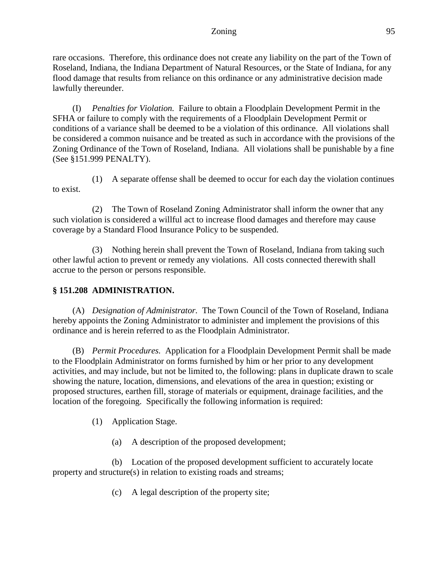#### Zoning 95

rare occasions. Therefore, this ordinance does not create any liability on the part of the Town of Roseland, Indiana, the Indiana Department of Natural Resources, or the State of Indiana, for any flood damage that results from reliance on this ordinance or any administrative decision made lawfully thereunder.

(I) *Penalties for Violation.* Failure to obtain a Floodplain Development Permit in the SFHA or failure to comply with the requirements of a Floodplain Development Permit or conditions of a variance shall be deemed to be a violation of this ordinance. All violations shall be considered a common nuisance and be treated as such in accordance with the provisions of the Zoning Ordinance of the Town of Roseland, Indiana. All violations shall be punishable by a fine (See §151.999 PENALTY).

(1) A separate offense shall be deemed to occur for each day the violation continues to exist.

(2) The Town of Roseland Zoning Administrator shall inform the owner that any such violation is considered a willful act to increase flood damages and therefore may cause coverage by a Standard Flood Insurance Policy to be suspended.

(3) Nothing herein shall prevent the Town of Roseland, Indiana from taking such other lawful action to prevent or remedy any violations. All costs connected therewith shall accrue to the person or persons responsible.

## **§ 151.208 ADMINISTRATION.**

(A) *Designation of Administrator.* The Town Council of the Town of Roseland, Indiana hereby appoints the Zoning Administrator to administer and implement the provisions of this ordinance and is herein referred to as the Floodplain Administrator.

(B) *Permit Procedures.* Application for a Floodplain Development Permit shall be made to the Floodplain Administrator on forms furnished by him or her prior to any development activities, and may include, but not be limited to, the following: plans in duplicate drawn to scale showing the nature, location, dimensions, and elevations of the area in question; existing or proposed structures, earthen fill, storage of materials or equipment, drainage facilities, and the location of the foregoing. Specifically the following information is required:

(1) Application Stage.

(a) A description of the proposed development;

(b) Location of the proposed development sufficient to accurately locate property and structure(s) in relation to existing roads and streams;

(c) A legal description of the property site;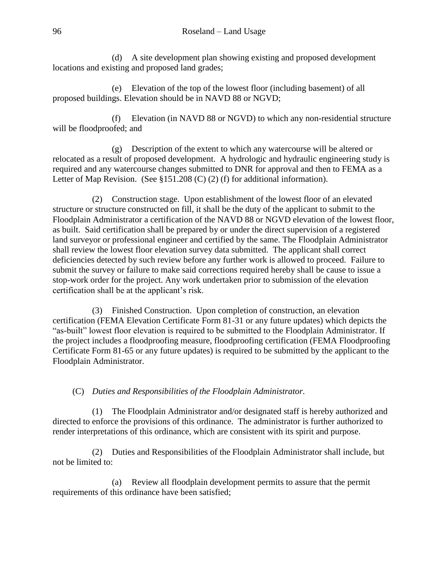(d) A site development plan showing existing and proposed development locations and existing and proposed land grades;

(e) Elevation of the top of the lowest floor (including basement) of all proposed buildings. Elevation should be in NAVD 88 or NGVD;

(f) Elevation (in NAVD 88 or NGVD) to which any non-residential structure will be floodproofed; and

(g) Description of the extent to which any watercourse will be altered or relocated as a result of proposed development. A hydrologic and hydraulic engineering study is required and any watercourse changes submitted to DNR for approval and then to FEMA as a Letter of Map Revision. (See §151.208 (C) (2) (f) for additional information).

(2) Construction stage. Upon establishment of the lowest floor of an elevated structure or structure constructed on fill, it shall be the duty of the applicant to submit to the Floodplain Administrator a certification of the NAVD 88 or NGVD elevation of the lowest floor, as built. Said certification shall be prepared by or under the direct supervision of a registered land surveyor or professional engineer and certified by the same. The Floodplain Administrator shall review the lowest floor elevation survey data submitted. The applicant shall correct deficiencies detected by such review before any further work is allowed to proceed. Failure to submit the survey or failure to make said corrections required hereby shall be cause to issue a stop-work order for the project. Any work undertaken prior to submission of the elevation certification shall be at the applicant's risk.

(3) Finished Construction. Upon completion of construction, an elevation certification (FEMA Elevation Certificate Form 81-31 or any future updates) which depicts the "as-built" lowest floor elevation is required to be submitted to the Floodplain Administrator. If the project includes a floodproofing measure, floodproofing certification (FEMA Floodproofing Certificate Form 81-65 or any future updates) is required to be submitted by the applicant to the Floodplain Administrator.

(C) *Duties and Responsibilities of the Floodplain Administrator.*

(1) The Floodplain Administrator and/or designated staff is hereby authorized and directed to enforce the provisions of this ordinance. The administrator is further authorized to render interpretations of this ordinance, which are consistent with its spirit and purpose.

(2) Duties and Responsibilities of the Floodplain Administrator shall include, but not be limited to:

(a) Review all floodplain development permits to assure that the permit requirements of this ordinance have been satisfied;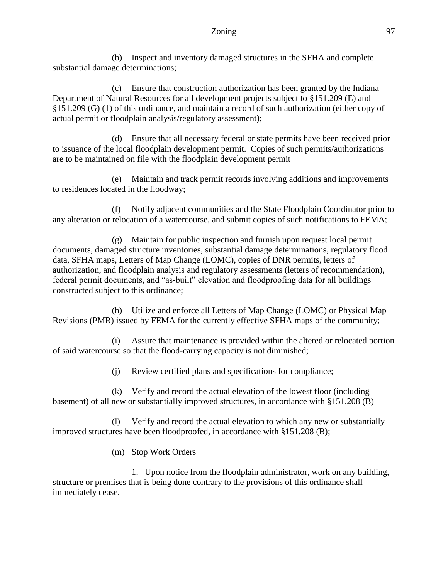#### Zoning 97

(b) Inspect and inventory damaged structures in the SFHA and complete substantial damage determinations;

(c) Ensure that construction authorization has been granted by the Indiana Department of Natural Resources for all development projects subject to §151.209 (E) and §151.209 (G) (1) of this ordinance, and maintain a record of such authorization (either copy of actual permit or floodplain analysis/regulatory assessment);

(d) Ensure that all necessary federal or state permits have been received prior to issuance of the local floodplain development permit. Copies of such permits/authorizations are to be maintained on file with the floodplain development permit

(e) Maintain and track permit records involving additions and improvements to residences located in the floodway;

(f) Notify adjacent communities and the State Floodplain Coordinator prior to any alteration or relocation of a watercourse, and submit copies of such notifications to FEMA;

(g) Maintain for public inspection and furnish upon request local permit documents, damaged structure inventories, substantial damage determinations, regulatory flood data, SFHA maps, Letters of Map Change (LOMC), copies of DNR permits, letters of authorization, and floodplain analysis and regulatory assessments (letters of recommendation), federal permit documents, and "as-built" elevation and floodproofing data for all buildings constructed subject to this ordinance;

(h) Utilize and enforce all Letters of Map Change (LOMC) or Physical Map Revisions (PMR) issued by FEMA for the currently effective SFHA maps of the community;

(i) Assure that maintenance is provided within the altered or relocated portion of said watercourse so that the flood-carrying capacity is not diminished;

(j) Review certified plans and specifications for compliance;

(k) Verify and record the actual elevation of the lowest floor (including basement) of all new or substantially improved structures, in accordance with §151.208 (B)

(l) Verify and record the actual elevation to which any new or substantially improved structures have been floodproofed, in accordance with §151.208 (B);

(m) Stop Work Orders

1. Upon notice from the floodplain administrator, work on any building, structure or premises that is being done contrary to the provisions of this ordinance shall immediately cease.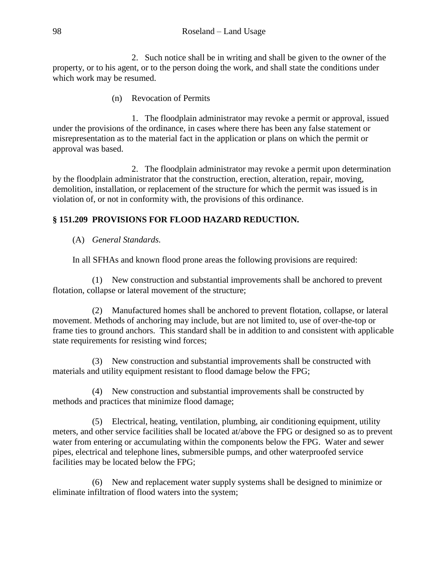2. Such notice shall be in writing and shall be given to the owner of the property, or to his agent, or to the person doing the work, and shall state the conditions under which work may be resumed.

(n) Revocation of Permits

1. The floodplain administrator may revoke a permit or approval, issued under the provisions of the ordinance, in cases where there has been any false statement or misrepresentation as to the material fact in the application or plans on which the permit or approval was based.

2. The floodplain administrator may revoke a permit upon determination by the floodplain administrator that the construction, erection, alteration, repair, moving, demolition, installation, or replacement of the structure for which the permit was issued is in violation of, or not in conformity with, the provisions of this ordinance.

# **§ 151.209 PROVISIONS FOR FLOOD HAZARD REDUCTION.**

(A) *General Standards.*

In all SFHAs and known flood prone areas the following provisions are required:

(1) New construction and substantial improvements shall be anchored to prevent flotation, collapse or lateral movement of the structure;

(2) Manufactured homes shall be anchored to prevent flotation, collapse, or lateral movement. Methods of anchoring may include, but are not limited to, use of over-the-top or frame ties to ground anchors. This standard shall be in addition to and consistent with applicable state requirements for resisting wind forces;

(3) New construction and substantial improvements shall be constructed with materials and utility equipment resistant to flood damage below the FPG;

(4) New construction and substantial improvements shall be constructed by methods and practices that minimize flood damage;

(5) Electrical, heating, ventilation, plumbing, air conditioning equipment, utility meters, and other service facilities shall be located at/above the FPG or designed so as to prevent water from entering or accumulating within the components below the FPG. Water and sewer pipes, electrical and telephone lines, submersible pumps, and other waterproofed service facilities may be located below the FPG;

(6) New and replacement water supply systems shall be designed to minimize or eliminate infiltration of flood waters into the system;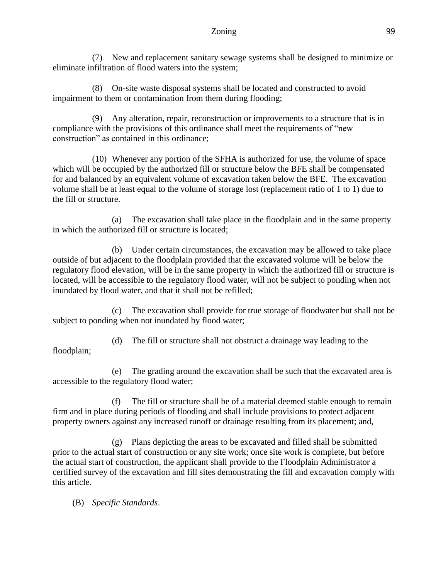(7) New and replacement sanitary sewage systems shall be designed to minimize or eliminate infiltration of flood waters into the system;

(8) On-site waste disposal systems shall be located and constructed to avoid impairment to them or contamination from them during flooding;

(9) Any alteration, repair, reconstruction or improvements to a structure that is in compliance with the provisions of this ordinance shall meet the requirements of "new construction" as contained in this ordinance;

(10) Whenever any portion of the SFHA is authorized for use, the volume of space which will be occupied by the authorized fill or structure below the BFE shall be compensated for and balanced by an equivalent volume of excavation taken below the BFE. The excavation volume shall be at least equal to the volume of storage lost (replacement ratio of 1 to 1) due to the fill or structure.

(a) The excavation shall take place in the floodplain and in the same property in which the authorized fill or structure is located;

(b) Under certain circumstances, the excavation may be allowed to take place outside of but adjacent to the floodplain provided that the excavated volume will be below the regulatory flood elevation, will be in the same property in which the authorized fill or structure is located, will be accessible to the regulatory flood water, will not be subject to ponding when not inundated by flood water, and that it shall not be refilled;

(c) The excavation shall provide for true storage of floodwater but shall not be subject to ponding when not inundated by flood water;

(d) The fill or structure shall not obstruct a drainage way leading to the floodplain;

(e) The grading around the excavation shall be such that the excavated area is accessible to the regulatory flood water;

(f) The fill or structure shall be of a material deemed stable enough to remain firm and in place during periods of flooding and shall include provisions to protect adjacent property owners against any increased runoff or drainage resulting from its placement; and,

(g) Plans depicting the areas to be excavated and filled shall be submitted prior to the actual start of construction or any site work; once site work is complete, but before the actual start of construction, the applicant shall provide to the Floodplain Administrator a certified survey of the excavation and fill sites demonstrating the fill and excavation comply with this article.

(B) *Specific Standards*.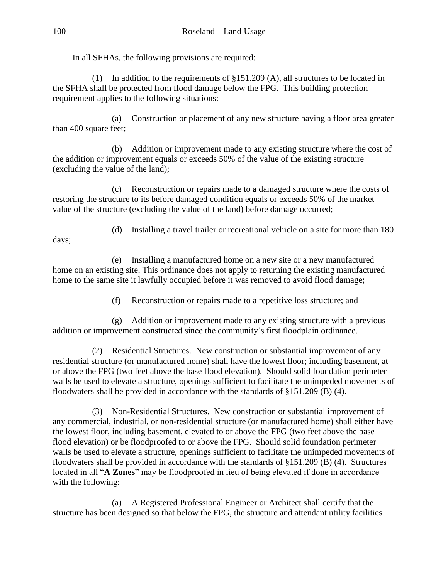In all SFHAs, the following provisions are required:

(1) In addition to the requirements of §151.209 (A), all structures to be located in the SFHA shall be protected from flood damage below the FPG. This building protection requirement applies to the following situations:

(a) Construction or placement of any new structure having a floor area greater than 400 square feet;

(b) Addition or improvement made to any existing structure where the cost of the addition or improvement equals or exceeds 50% of the value of the existing structure (excluding the value of the land);

(c) Reconstruction or repairs made to a damaged structure where the costs of restoring the structure to its before damaged condition equals or exceeds 50% of the market value of the structure (excluding the value of the land) before damage occurred;

(d) Installing a travel trailer or recreational vehicle on a site for more than 180

(e) Installing a manufactured home on a new site or a new manufactured home on an existing site. This ordinance does not apply to returning the existing manufactured home to the same site it lawfully occupied before it was removed to avoid flood damage;

(f) Reconstruction or repairs made to a repetitive loss structure; and

(g) Addition or improvement made to any existing structure with a previous addition or improvement constructed since the community's first floodplain ordinance.

(2) Residential Structures. New construction or substantial improvement of any residential structure (or manufactured home) shall have the lowest floor; including basement, at or above the FPG (two feet above the base flood elevation). Should solid foundation perimeter walls be used to elevate a structure, openings sufficient to facilitate the unimpeded movements of floodwaters shall be provided in accordance with the standards of §151.209 (B) (4).

(3) Non-Residential Structures. New construction or substantial improvement of any commercial, industrial, or non-residential structure (or manufactured home) shall either have the lowest floor, including basement, elevated to or above the FPG (two feet above the base flood elevation) or be floodproofed to or above the FPG. Should solid foundation perimeter walls be used to elevate a structure, openings sufficient to facilitate the unimpeded movements of floodwaters shall be provided in accordance with the standards of §151.209 (B) (4). Structures located in all "**A Zones**" may be floodproofed in lieu of being elevated if done in accordance with the following:

(a) A Registered Professional Engineer or Architect shall certify that the structure has been designed so that below the FPG, the structure and attendant utility facilities

days;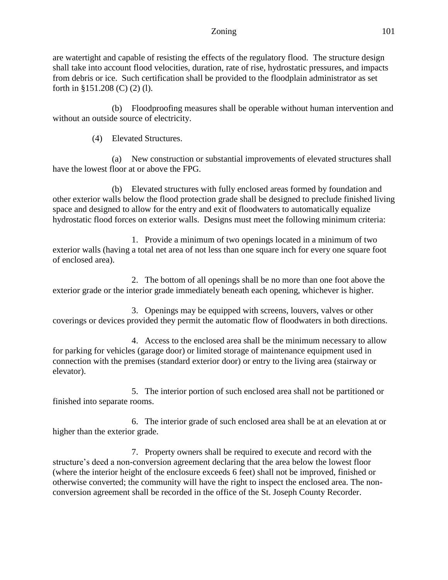are watertight and capable of resisting the effects of the regulatory flood. The structure design shall take into account flood velocities, duration, rate of rise, hydrostatic pressures, and impacts from debris or ice. Such certification shall be provided to the floodplain administrator as set forth in §151.208 (C) (2) (l).

(b) Floodproofing measures shall be operable without human intervention and without an outside source of electricity.

(4) Elevated Structures.

(a) New construction or substantial improvements of elevated structures shall have the lowest floor at or above the FPG.

(b) Elevated structures with fully enclosed areas formed by foundation and other exterior walls below the flood protection grade shall be designed to preclude finished living space and designed to allow for the entry and exit of floodwaters to automatically equalize hydrostatic flood forces on exterior walls. Designs must meet the following minimum criteria:

1. Provide a minimum of two openings located in a minimum of two exterior walls (having a total net area of not less than one square inch for every one square foot of enclosed area).

2. The bottom of all openings shall be no more than one foot above the exterior grade or the interior grade immediately beneath each opening, whichever is higher.

3. Openings may be equipped with screens, louvers, valves or other coverings or devices provided they permit the automatic flow of floodwaters in both directions.

4. Access to the enclosed area shall be the minimum necessary to allow for parking for vehicles (garage door) or limited storage of maintenance equipment used in connection with the premises (standard exterior door) or entry to the living area (stairway or elevator).

5. The interior portion of such enclosed area shall not be partitioned or finished into separate rooms.

6. The interior grade of such enclosed area shall be at an elevation at or higher than the exterior grade.

7. Property owners shall be required to execute and record with the structure's deed a non-conversion agreement declaring that the area below the lowest floor (where the interior height of the enclosure exceeds 6 feet) shall not be improved, finished or otherwise converted; the community will have the right to inspect the enclosed area. The nonconversion agreement shall be recorded in the office of the St. Joseph County Recorder.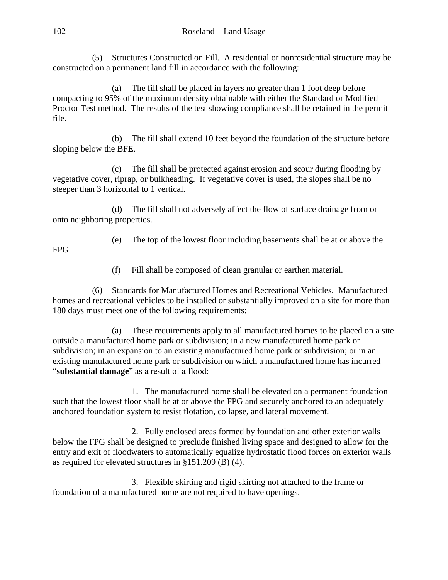(5) Structures Constructed on Fill. A residential or nonresidential structure may be constructed on a permanent land fill in accordance with the following:

(a) The fill shall be placed in layers no greater than 1 foot deep before compacting to 95% of the maximum density obtainable with either the Standard or Modified Proctor Test method. The results of the test showing compliance shall be retained in the permit file.

(b) The fill shall extend 10 feet beyond the foundation of the structure before sloping below the BFE.

(c) The fill shall be protected against erosion and scour during flooding by vegetative cover, riprap, or bulkheading. If vegetative cover is used, the slopes shall be no steeper than 3 horizontal to 1 vertical.

(d) The fill shall not adversely affect the flow of surface drainage from or onto neighboring properties.

(e) The top of the lowest floor including basements shall be at or above the

FPG.

(f) Fill shall be composed of clean granular or earthen material.

(6) Standards for Manufactured Homes and Recreational Vehicles.Manufactured homes and recreational vehicles to be installed or substantially improved on a site for more than 180 days must meet one of the following requirements:

(a) These requirements apply to all manufactured homes to be placed on a site outside a manufactured home park or subdivision; in a new manufactured home park or subdivision; in an expansion to an existing manufactured home park or subdivision; or in an existing manufactured home park or subdivision on which a manufactured home has incurred "**substantial damage**" as a result of a flood:

1. The manufactured home shall be elevated on a permanent foundation such that the lowest floor shall be at or above the FPG and securely anchored to an adequately anchored foundation system to resist flotation, collapse, and lateral movement.

2. Fully enclosed areas formed by foundation and other exterior walls below the FPG shall be designed to preclude finished living space and designed to allow for the entry and exit of floodwaters to automatically equalize hydrostatic flood forces on exterior walls as required for elevated structures in §151.209 (B) (4).

3. Flexible skirting and rigid skirting not attached to the frame or foundation of a manufactured home are not required to have openings.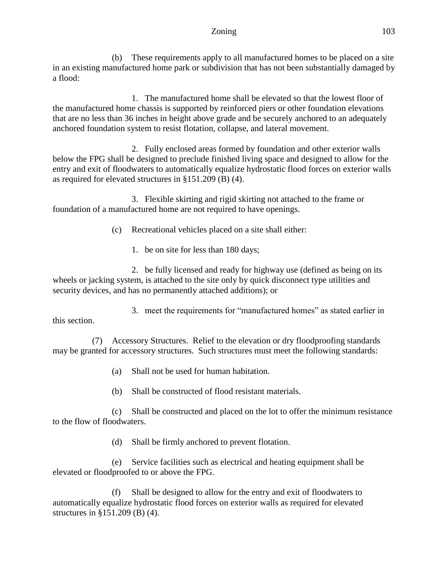#### Zoning 103

(b) These requirements apply to all manufactured homes to be placed on a site in an existing manufactured home park or subdivision that has not been substantially damaged by a flood:

1. The manufactured home shall be elevated so that the lowest floor of the manufactured home chassis is supported by reinforced piers or other foundation elevations that are no less than 36 inches in height above grade and be securely anchored to an adequately anchored foundation system to resist flotation, collapse, and lateral movement.

2. Fully enclosed areas formed by foundation and other exterior walls below the FPG shall be designed to preclude finished living space and designed to allow for the entry and exit of floodwaters to automatically equalize hydrostatic flood forces on exterior walls as required for elevated structures in §151.209 (B) (4).

3. Flexible skirting and rigid skirting not attached to the frame or foundation of a manufactured home are not required to have openings.

(c) Recreational vehicles placed on a site shall either:

1. be on site for less than 180 days;

2. be fully licensed and ready for highway use (defined as being on its wheels or jacking system, is attached to the site only by quick disconnect type utilities and security devices, and has no permanently attached additions); or

3. meet the requirements for "manufactured homes" as stated earlier in this section.

(7) Accessory Structures. Relief to the elevation or dry floodproofing standards may be granted for accessory structures. Such structures must meet the following standards:

(a) Shall not be used for human habitation.

(b) Shall be constructed of flood resistant materials.

(c) Shall be constructed and placed on the lot to offer the minimum resistance to the flow of floodwaters.

(d) Shall be firmly anchored to prevent flotation.

(e) Service facilities such as electrical and heating equipment shall be elevated or floodproofed to or above the FPG.

(f) Shall be designed to allow for the entry and exit of floodwaters to automatically equalize hydrostatic flood forces on exterior walls as required for elevated structures in §151.209 (B) (4).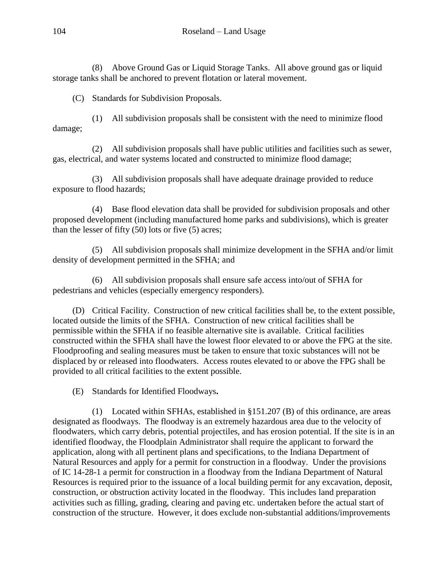(8) Above Ground Gas or Liquid Storage Tanks.All above ground gas or liquid storage tanks shall be anchored to prevent flotation or lateral movement.

(C) Standards for Subdivision Proposals.

(1) All subdivision proposals shall be consistent with the need to minimize flood damage;

(2) All subdivision proposals shall have public utilities and facilities such as sewer, gas, electrical, and water systems located and constructed to minimize flood damage;

(3) All subdivision proposals shall have adequate drainage provided to reduce exposure to flood hazards;

(4) Base flood elevation data shall be provided for subdivision proposals and other proposed development (including manufactured home parks and subdivisions), which is greater than the lesser of fifty (50) lots or five (5) acres;

(5) All subdivision proposals shall minimize development in the SFHA and/or limit density of development permitted in the SFHA; and

(6) All subdivision proposals shall ensure safe access into/out of SFHA for pedestrians and vehicles (especially emergency responders).

(D) Critical Facility. Construction of new critical facilities shall be, to the extent possible, located outside the limits of the SFHA. Construction of new critical facilities shall be permissible within the SFHA if no feasible alternative site is available. Critical facilities constructed within the SFHA shall have the lowest floor elevated to or above the FPG at the site. Floodproofing and sealing measures must be taken to ensure that toxic substances will not be displaced by or released into floodwaters. Access routes elevated to or above the FPG shall be provided to all critical facilities to the extent possible.

(E) Standards for Identified Floodways**.**

(1) Located within SFHAs, established in §151.207 (B) of this ordinance, are areas designated as floodways. The floodway is an extremely hazardous area due to the velocity of floodwaters, which carry debris, potential projectiles, and has erosion potential. If the site is in an identified floodway, the Floodplain Administrator shall require the applicant to forward the application, along with all pertinent plans and specifications, to the Indiana Department of Natural Resources and apply for a permit for construction in a floodway. Under the provisions of IC 14-28-1 a permit for construction in a floodway from the Indiana Department of Natural Resources is required prior to the issuance of a local building permit for any excavation, deposit, construction, or obstruction activity located in the floodway. This includes land preparation activities such as filling, grading, clearing and paving etc. undertaken before the actual start of construction of the structure. However, it does exclude non-substantial additions/improvements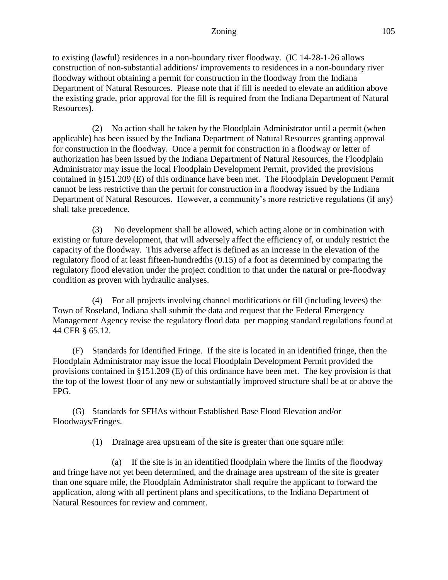to existing (lawful) residences in a non-boundary river floodway. (IC 14-28-1-26 allows construction of non-substantial additions/ improvements to residences in a non-boundary river floodway without obtaining a permit for construction in the floodway from the Indiana Department of Natural Resources. Please note that if fill is needed to elevate an addition above the existing grade, prior approval for the fill is required from the Indiana Department of Natural Resources).

(2) No action shall be taken by the Floodplain Administrator until a permit (when applicable) has been issued by the Indiana Department of Natural Resources granting approval for construction in the floodway. Once a permit for construction in a floodway or letter of authorization has been issued by the Indiana Department of Natural Resources, the Floodplain Administrator may issue the local Floodplain Development Permit, provided the provisions contained in §151.209 (E) of this ordinance have been met. The Floodplain Development Permit cannot be less restrictive than the permit for construction in a floodway issued by the Indiana Department of Natural Resources. However, a community's more restrictive regulations (if any) shall take precedence.

(3) No development shall be allowed, which acting alone or in combination with existing or future development, that will adversely affect the efficiency of, or unduly restrict the capacity of the floodway. This adverse affect is defined as an increase in the elevation of the regulatory flood of at least fifteen-hundredths (0.15) of a foot as determined by comparing the regulatory flood elevation under the project condition to that under the natural or pre-floodway condition as proven with hydraulic analyses.

(4) For all projects involving channel modifications or fill (including levees) the Town of Roseland, Indiana shall submit the data and request that the Federal Emergency Management Agency revise the regulatory flood data per mapping standard regulations found at 44 CFR § 65.12.

(F) Standards for Identified Fringe. If the site is located in an identified fringe, then the Floodplain Administrator may issue the local Floodplain Development Permit provided the provisions contained in §151.209 (E) of this ordinance have been met. The key provision is that the top of the lowest floor of any new or substantially improved structure shall be at or above the FPG.

(G) Standards for SFHAs without Established Base Flood Elevation and/or Floodways/Fringes.

(1) Drainage area upstream of the site is greater than one square mile:

(a) If the site is in an identified floodplain where the limits of the floodway and fringe have not yet been determined, and the drainage area upstream of the site is greater than one square mile, the Floodplain Administrator shall require the applicant to forward the application, along with all pertinent plans and specifications, to the Indiana Department of Natural Resources for review and comment.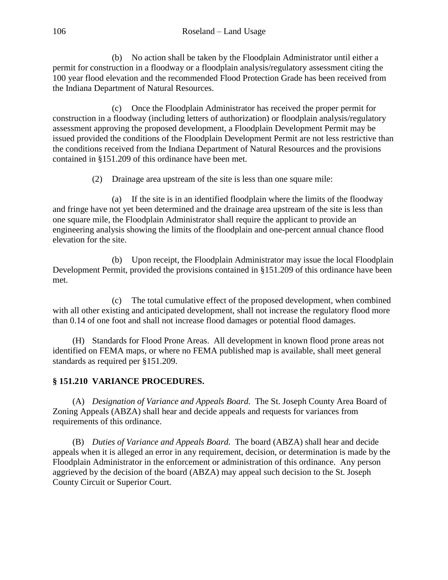(b) No action shall be taken by the Floodplain Administrator until either a permit for construction in a floodway or a floodplain analysis/regulatory assessment citing the 100 year flood elevation and the recommended Flood Protection Grade has been received from the Indiana Department of Natural Resources.

(c) Once the Floodplain Administrator has received the proper permit for construction in a floodway (including letters of authorization) or floodplain analysis/regulatory assessment approving the proposed development, a Floodplain Development Permit may be issued provided the conditions of the Floodplain Development Permit are not less restrictive than the conditions received from the Indiana Department of Natural Resources and the provisions contained in §151.209 of this ordinance have been met.

(2) Drainage area upstream of the site is less than one square mile:

(a) If the site is in an identified floodplain where the limits of the floodway and fringe have not yet been determined and the drainage area upstream of the site is less than one square mile, the Floodplain Administrator shall require the applicant to provide an engineering analysis showing the limits of the floodplain and one-percent annual chance flood elevation for the site.

(b) Upon receipt, the Floodplain Administrator may issue the local Floodplain Development Permit, provided the provisions contained in §151.209 of this ordinance have been met.

(c) The total cumulative effect of the proposed development, when combined with all other existing and anticipated development, shall not increase the regulatory flood more than 0.14 of one foot and shall not increase flood damages or potential flood damages.

(H) Standards for Flood Prone Areas. All development in known flood prone areas not identified on FEMA maps, or where no FEMA published map is available, shall meet general standards as required per §151.209.

# **§ 151.210 VARIANCE PROCEDURES.**

(A) *Designation of Variance and Appeals Board.* The St. Joseph County Area Board of Zoning Appeals (ABZA) shall hear and decide appeals and requests for variances from requirements of this ordinance.

(B) *Duties of Variance and Appeals Board.* The board (ABZA) shall hear and decide appeals when it is alleged an error in any requirement, decision, or determination is made by the Floodplain Administrator in the enforcement or administration of this ordinance. Any person aggrieved by the decision of the board (ABZA) may appeal such decision to the St. Joseph County Circuit or Superior Court.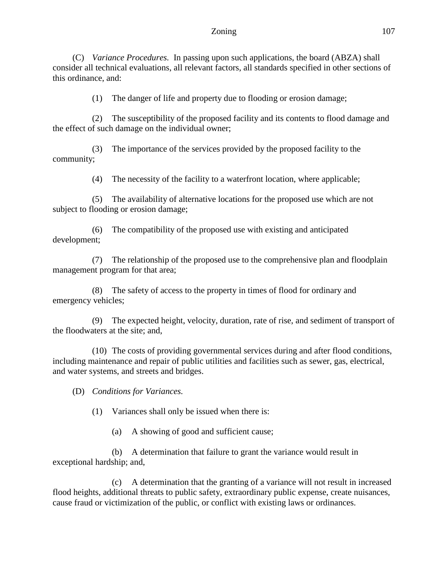#### Zoning 107

(C) *Variance Procedures.* In passing upon such applications, the board (ABZA) shall consider all technical evaluations, all relevant factors, all standards specified in other sections of this ordinance, and:

(1) The danger of life and property due to flooding or erosion damage;

(2) The susceptibility of the proposed facility and its contents to flood damage and the effect of such damage on the individual owner;

(3) The importance of the services provided by the proposed facility to the community;

(4) The necessity of the facility to a waterfront location, where applicable;

(5) The availability of alternative locations for the proposed use which are not subject to flooding or erosion damage;

(6) The compatibility of the proposed use with existing and anticipated development;

(7) The relationship of the proposed use to the comprehensive plan and floodplain management program for that area;

(8) The safety of access to the property in times of flood for ordinary and emergency vehicles;

(9) The expected height, velocity, duration, rate of rise, and sediment of transport of the floodwaters at the site; and,

(10) The costs of providing governmental services during and after flood conditions, including maintenance and repair of public utilities and facilities such as sewer, gas, electrical, and water systems, and streets and bridges.

(D) *Conditions for Variances.*

(1) Variances shall only be issued when there is:

(a) A showing of good and sufficient cause;

(b) A determination that failure to grant the variance would result in exceptional hardship; and,

(c) A determination that the granting of a variance will not result in increased flood heights, additional threats to public safety, extraordinary public expense, create nuisances, cause fraud or victimization of the public, or conflict with existing laws or ordinances.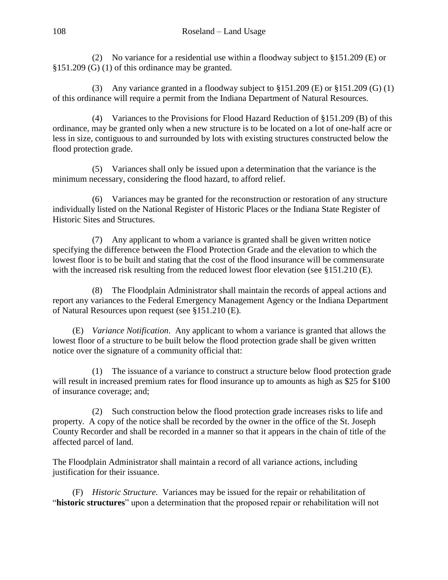(2) No variance for a residential use within a floodway subject to §151.209 (E) or §151.209 (G) (1) of this ordinance may be granted.

(3) Any variance granted in a floodway subject to §151.209 (E) or §151.209 (G) (1) of this ordinance will require a permit from the Indiana Department of Natural Resources.

(4) Variances to the Provisions for Flood Hazard Reduction of §151.209 (B) of this ordinance, may be granted only when a new structure is to be located on a lot of one-half acre or less in size, contiguous to and surrounded by lots with existing structures constructed below the flood protection grade.

(5) Variances shall only be issued upon a determination that the variance is the minimum necessary, considering the flood hazard, to afford relief.

(6) Variances may be granted for the reconstruction or restoration of any structure individually listed on the National Register of Historic Places or the Indiana State Register of Historic Sites and Structures.

(7) Any applicant to whom a variance is granted shall be given written notice specifying the difference between the Flood Protection Grade and the elevation to which the lowest floor is to be built and stating that the cost of the flood insurance will be commensurate with the increased risk resulting from the reduced lowest floor elevation (see §151.210 (E).

(8) The Floodplain Administrator shall maintain the records of appeal actions and report any variances to the Federal Emergency Management Agency or the Indiana Department of Natural Resources upon request (see §151.210 (E).

(E) *Variance Notification*. Any applicant to whom a variance is granted that allows the lowest floor of a structure to be built below the flood protection grade shall be given written notice over the signature of a community official that:

(1) The issuance of a variance to construct a structure below flood protection grade will result in increased premium rates for flood insurance up to amounts as high as \$25 for \$100 of insurance coverage; and;

(2) Such construction below the flood protection grade increases risks to life and property. A copy of the notice shall be recorded by the owner in the office of the St. Joseph County Recorder and shall be recorded in a manner so that it appears in the chain of title of the affected parcel of land.

The Floodplain Administrator shall maintain a record of all variance actions, including justification for their issuance.

(F) *Historic Structure.* Variances may be issued for the repair or rehabilitation of "**historic structures**" upon a determination that the proposed repair or rehabilitation will not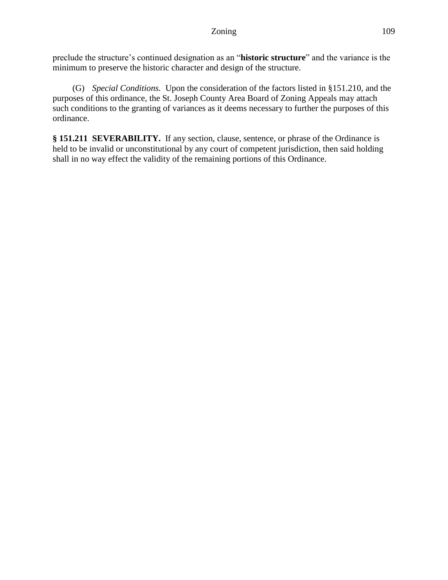preclude the structure's continued designation as an "**historic structure**" and the variance is the minimum to preserve the historic character and design of the structure.

(G) *Special Conditions.* Upon the consideration of the factors listed in §151.210, and the purposes of this ordinance, the St. Joseph County Area Board of Zoning Appeals may attach such conditions to the granting of variances as it deems necessary to further the purposes of this ordinance.

**§ 151.211 SEVERABILITY.** If any section, clause, sentence, or phrase of the Ordinance is held to be invalid or unconstitutional by any court of competent jurisdiction, then said holding shall in no way effect the validity of the remaining portions of this Ordinance.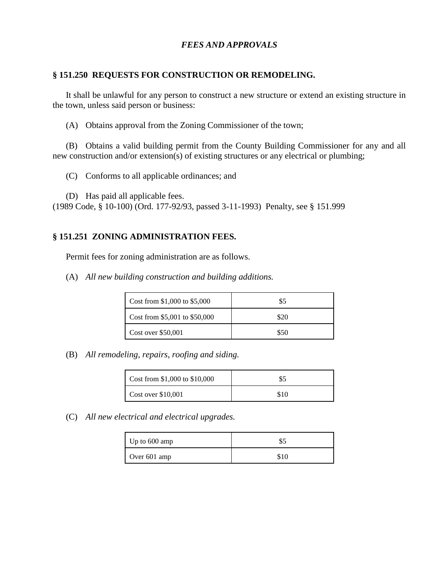### *FEES AND APPROVALS*

#### **§ 151.250 REQUESTS FOR CONSTRUCTION OR REMODELING.**

It shall be unlawful for any person to construct a new structure or extend an existing structure in the town, unless said person or business:

(A) Obtains approval from the Zoning Commissioner of the town;

(B) Obtains a valid building permit from the County Building Commissioner for any and all new construction and/or extension(s) of existing structures or any electrical or plumbing;

(C) Conforms to all applicable ordinances; and

(D) Has paid all applicable fees.

(1989 Code, § 10-100) (Ord. 177-92/93, passed 3-11-1993) Penalty, see § 151.999

#### **§ 151.251 ZONING ADMINISTRATION FEES.**

Permit fees for zoning administration are as follows.

(A) *All new building construction and building additions.*

| Cost from \$1,000 to \$5,000  | \$5  |
|-------------------------------|------|
| Cost from \$5,001 to \$50,000 | \$20 |
| Cost over \$50,001            | \$50 |

(B) *All remodeling, repairs, roofing and siding.*

| Cost from $$1,000$ to $$10,000$ |      |
|---------------------------------|------|
| Cost over \$10,001              | \$10 |

(C) *All new electrical and electrical upgrades.*

| Up to 600 amp | \$5  |
|---------------|------|
| Over 601 amp  | \$10 |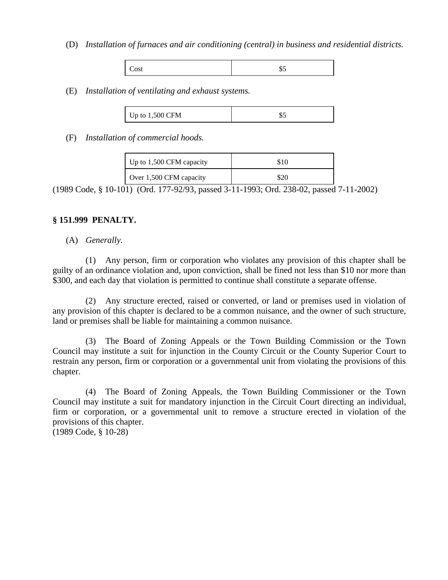(D) *Installation of furnaces and air conditioning (central) in business and residential districts.*

|--|--|

(E) *Installation of ventilating and exhaust systems.*

(F) *Installation of commercial hoods.*

| Up to $1,500$ CFM capacity | \$10 |
|----------------------------|------|
| Over 1,500 CFM capacity    | \$20 |

(1989 Code, § 10-101) (Ord. 177-92/93, passed 3-11-1993; Ord. 238-02, passed 7-11-2002)

#### **§ 151.999 PENALTY.**

#### (A) *Generally.*

(1) Any person, firm or corporation who violates any provision of this chapter shall be guilty of an ordinance violation and, upon conviction, shall be fined not less than \$10 nor more than \$300, and each day that violation is permitted to continue shall constitute a separate offense.

(2) Any structure erected, raised or converted, or land or premises used in violation of any provision of this chapter is declared to be a common nuisance, and the owner of such structure, land or premises shall be liable for maintaining a common nuisance.

(3) The Board of Zoning Appeals or the Town Building Commission or the Town Council may institute a suit for injunction in the County Circuit or the County Superior Court to restrain any person, firm or corporation or a governmental unit from violating the provisions of this chapter.

(4) The Board of Zoning Appeals, the Town Building Commissioner or the Town Council may institute a suit for mandatory injunction in the Circuit Court directing an individual, firm or corporation, or a governmental unit to remove a structure erected in violation of the provisions of this chapter. (1989 Code, § 10-28)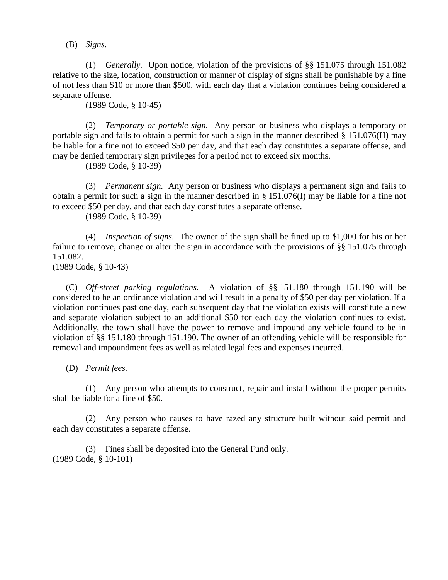(B) *Signs.*

(1) *Generally.* Upon notice, violation of the provisions of §§ 151.075 through 151.082 relative to the size, location, construction or manner of display of signs shall be punishable by a fine of not less than \$10 or more than \$500, with each day that a violation continues being considered a separate offense.

(1989 Code, § 10-45)

(2) *Temporary or portable sign.* Any person or business who displays a temporary or portable sign and fails to obtain a permit for such a sign in the manner described § 151.076(H) may be liable for a fine not to exceed \$50 per day, and that each day constitutes a separate offense, and may be denied temporary sign privileges for a period not to exceed six months.

(1989 Code, § 10-39)

(3) *Permanent sign.* Any person or business who displays a permanent sign and fails to obtain a permit for such a sign in the manner described in § 151.076(I) may be liable for a fine not to exceed \$50 per day, and that each day constitutes a separate offense.

(1989 Code, § 10-39)

(4) *Inspection of signs.* The owner of the sign shall be fined up to \$1,000 for his or her failure to remove, change or alter the sign in accordance with the provisions of §§ 151.075 through 151.082.

(1989 Code, § 10-43)

(C) *Off-street parking regulations.* A violation of §§ 151.180 through 151.190 will be considered to be an ordinance violation and will result in a penalty of \$50 per day per violation. If a violation continues past one day, each subsequent day that the violation exists will constitute a new and separate violation subject to an additional \$50 for each day the violation continues to exist. Additionally, the town shall have the power to remove and impound any vehicle found to be in violation of §§ 151.180 through 151.190. The owner of an offending vehicle will be responsible for removal and impoundment fees as well as related legal fees and expenses incurred.

(D) *Permit fees.*

(1) Any person who attempts to construct, repair and install without the proper permits shall be liable for a fine of \$50.

(2) Any person who causes to have razed any structure built without said permit and each day constitutes a separate offense.

(3) Fines shall be deposited into the General Fund only. (1989 Code, § 10-101)